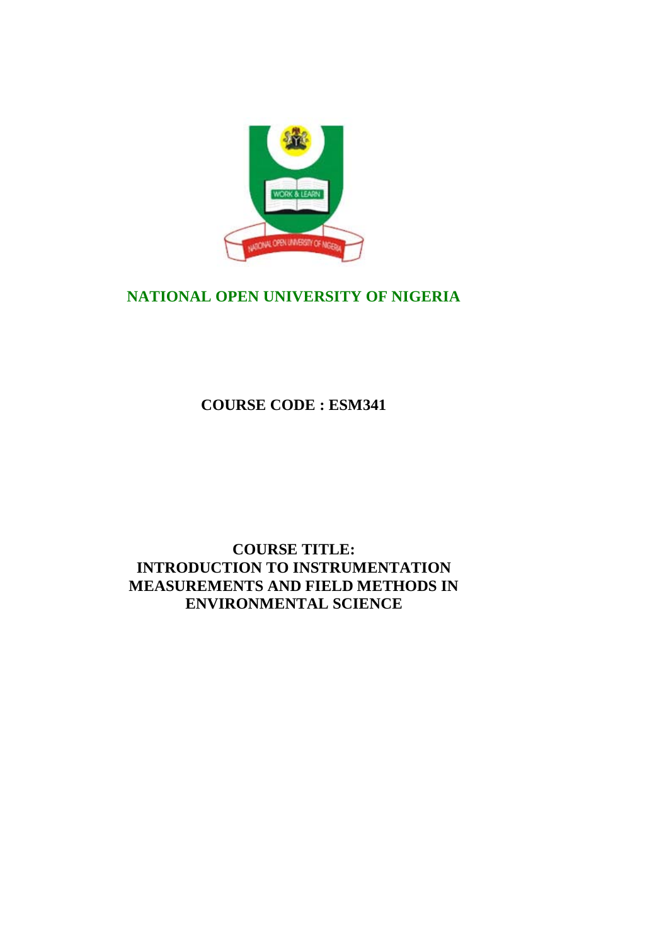

# **NATIONAL OPEN UNIVERSITY OF NIGERIA**

**COURSE CODE : ESM341**

# **COURSE TITLE: INTRODUCTION TO INSTRUMENTATION MEASUREMENTS AND FIELD METHODS IN ENVIRONMENTAL SCIENCE**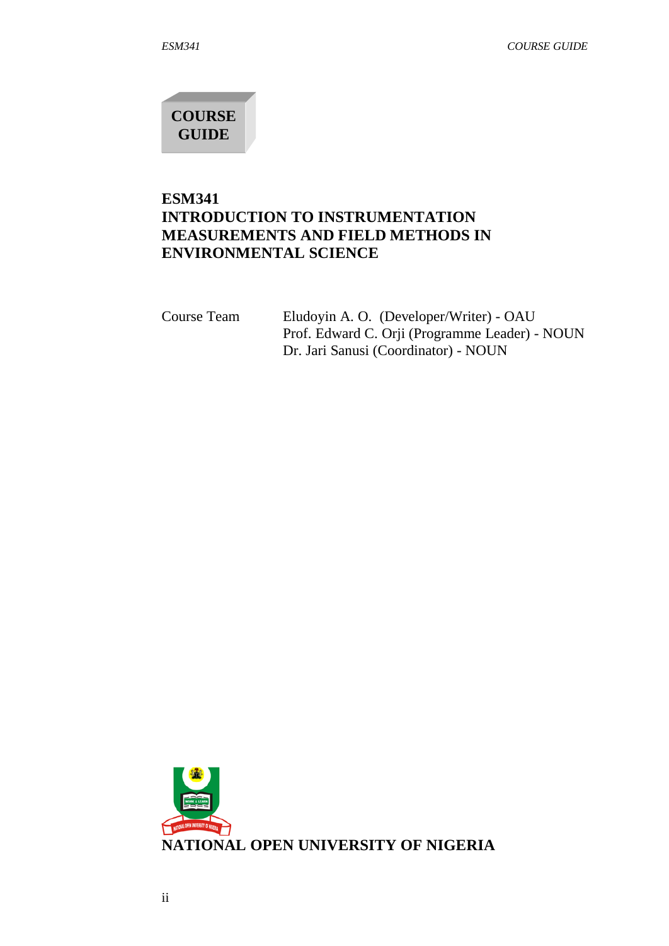**COURSE GUIDE**

# **ESM341 INTRODUCTION TO INSTRUMENTATION MEASUREMENTS AND FIELD METHODS IN ENVIRONMENTAL SCIENCE**

Course Team Eludoyin A. O. (Developer/Writer) - OAU Prof. Edward C. Orji (Programme Leader) - NOUN Dr. Jari Sanusi (Coordinator) - NOUN

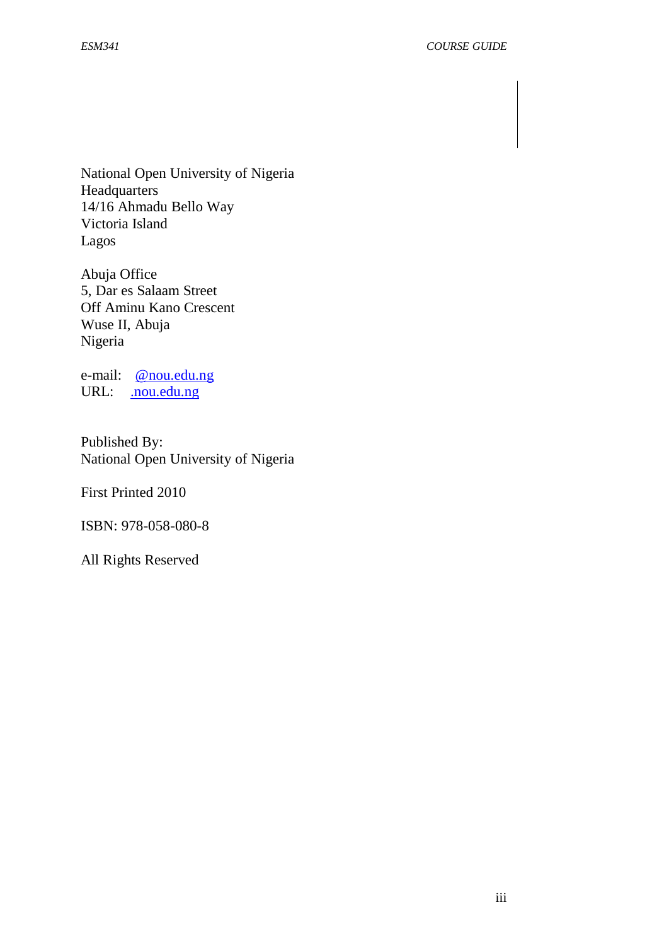National Open University of Nigeria Headquarters 14/16 Ahmadu Bello Way Victoria Island Lagos

Abuja Office 5, Dar es Salaam Street Off Aminu Kano Crescent Wuse II, Abuja Nigeria

e-mail: [@nou.edu.ng](mailto:centralinfo@nou.edu.ng) URL: . nou.edu.ng

Published By: National Open University of Nigeria

First Printed 2010

ISBN: 978-058-080-8

All Rights Reserved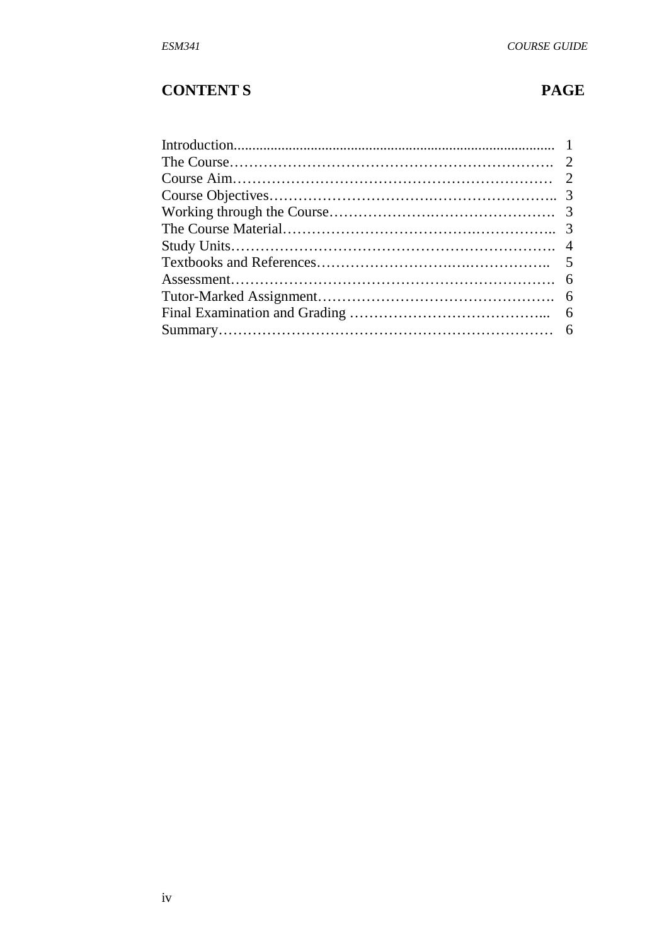# **CONTENT S PAGE**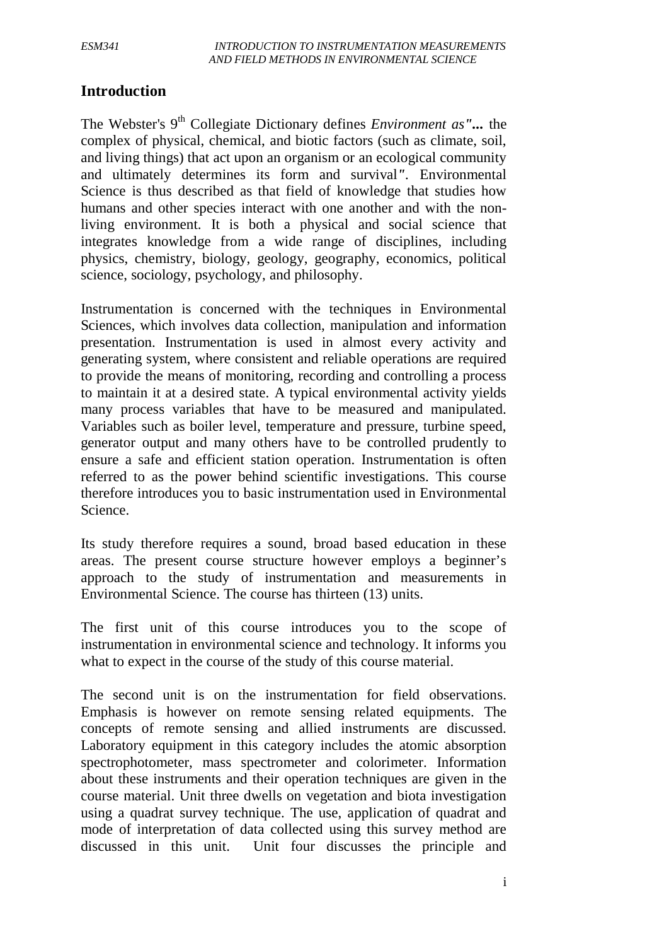# **Introduction**

The Webster's 9th Collegiate Dictionary defines *Environment as"...* the complex of physical, chemical, and biotic factors (such as climate, soil, and living things) that act upon an organism or an ecological community and ultimately determines its form and survival*".* Environmental Science is thus described as that field of knowledge that studies how humans and other species interact with one another and with the nonliving environment. It is both a physical and social science that integrates knowledge from a wide range of disciplines, including physics, chemistry, biology, geology, geography, economics, political science, sociology, psychology, and philosophy.

Instrumentation is concerned with the techniques in Environmental Sciences, which involves data collection, manipulation and information presentation. Instrumentation is used in almost every activity and generating system, where consistent and reliable operations are required to provide the means of monitoring, recording and controlling a process to maintain it at a desired state. A typical environmental activity yields many process variables that have to be measured and manipulated. Variables such as boiler level, temperature and pressure, turbine speed, generator output and many others have to be controlled prudently to ensure a safe and efficient station operation. Instrumentation is often referred to as the power behind scientific investigations. This course therefore introduces you to basic instrumentation used in Environmental Science.

Its study therefore requires a sound, broad based education in these areas. The present course structure however employs a beginner's approach to the study of instrumentation and measurements in Environmental Science. The course has thirteen (13) units.

The first unit of this course introduces you to the scope of instrumentation in environmental science and technology. It informs you what to expect in the course of the study of this course material.

The second unit is on the instrumentation for field observations. Emphasis is however on remote sensing related equipments. The concepts of remote sensing and allied instruments are discussed. Laboratory equipment in this category includes the atomic absorption spectrophotometer, mass spectrometer and colorimeter. Information about these instruments and their operation techniques are given in the course material. Unit three dwells on vegetation and biota investigation using a quadrat survey technique. The use, application of quadrat and mode of interpretation of data collected using this survey method are discussed in this unit. Unit four discusses the principle and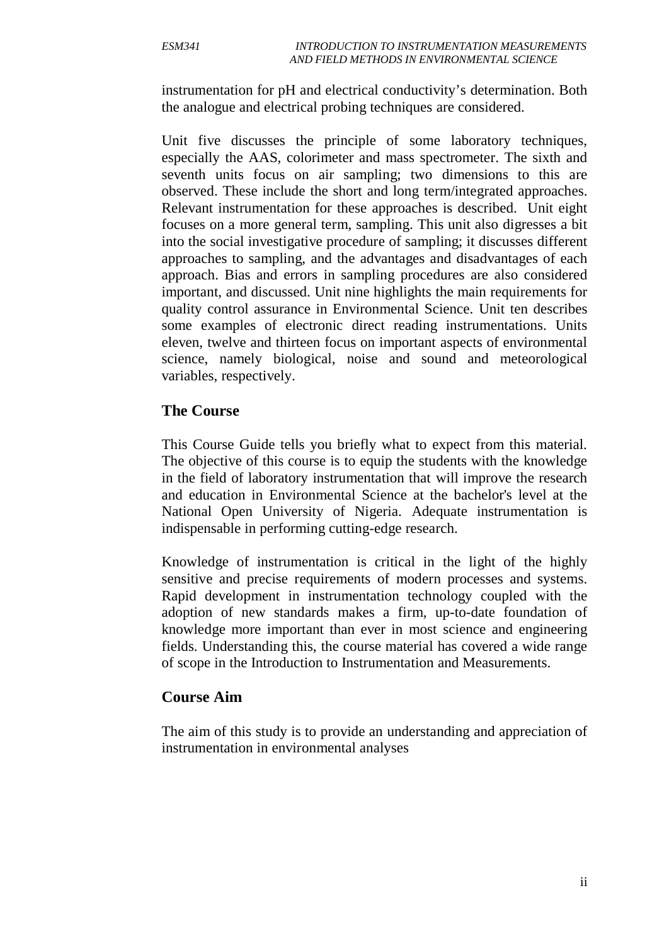instrumentation for pH and electrical conductivity's determination. Both the analogue and electrical probing techniques are considered.

Unit five discusses the principle of some laboratory techniques, especially the AAS, colorimeter and mass spectrometer. The sixth and seventh units focus on air sampling; two dimensions to this are observed. These include the short and long term/integrated approaches. Relevant instrumentation for these approaches is described. Unit eight focuses on a more general term, sampling. This unit also digresses a bit into the social investigative procedure of sampling; it discusses different approaches to sampling, and the advantages and disadvantages of each approach. Bias and errors in sampling procedures are also considered important, and discussed. Unit nine highlights the main requirements for quality control assurance in Environmental Science. Unit ten describes some examples of electronic direct reading instrumentations. Units eleven, twelve and thirteen focus on important aspects of environmental science, namely biological, noise and sound and meteorological variables, respectively.

## **The Course**

This Course Guide tells you briefly what to expect from this material. The objective of this course is to equip the students with the knowledge in the field of laboratory instrumentation that will improve the research and education in Environmental Science at the bachelor's level at the National Open University of Nigeria. Adequate instrumentation is indispensable in performing cutting-edge research.

Knowledge of instrumentation is critical in the light of the highly sensitive and precise requirements of modern processes and systems. Rapid development in instrumentation technology coupled with the adoption of new standards makes a firm, up-to-date foundation of knowledge more important than ever in most science and engineering fields. Understanding this, the course material has covered a wide range of scope in the Introduction to Instrumentation and Measurements.

### **Course Aim**

The aim of this study is to provide an understanding and appreciation of instrumentation in environmental analyses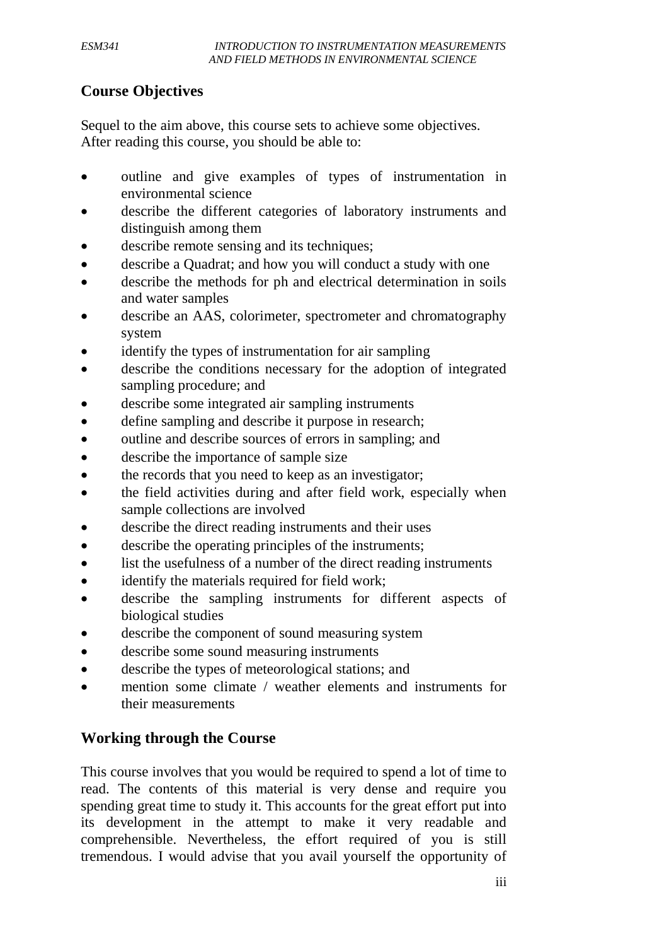# **Course Objectives**

Sequel to the aim above, this course sets to achieve some objectives. After reading this course, you should be able to:

- outline and give examples of types of instrumentation in environmental science
- describe the different categories of laboratory instruments and distinguish among them
- describe remote sensing and its techniques;
- describe a Quadrat; and how you will conduct a study with one
- describe the methods for ph and electrical determination in soils and water samples
- describe an AAS, colorimeter, spectrometer and chromatography system
- identify the types of instrumentation for air sampling
- describe the conditions necessary for the adoption of integrated sampling procedure; and
- describe some integrated air sampling instruments
- define sampling and describe it purpose in research;
- outline and describe sources of errors in sampling; and
- describe the importance of sample size
- the records that you need to keep as an investigator;
- the field activities during and after field work, especially when sample collections are involved
- describe the direct reading instruments and their uses
- describe the operating principles of the instruments;
- list the usefulness of a number of the direct reading instruments
- identify the materials required for field work;
- describe the sampling instruments for different aspects of biological studies
- describe the component of sound measuring system
- describe some sound measuring instruments
- describe the types of meteorological stations; and
- mention some climate / weather elements and instruments for their measurements

# **Working through the Course**

This course involves that you would be required to spend a lot of time to read. The contents of this material is very dense and require you spending great time to study it. This accounts for the great effort put into its development in the attempt to make it very readable and comprehensible. Nevertheless, the effort required of you is still tremendous. I would advise that you avail yourself the opportunity of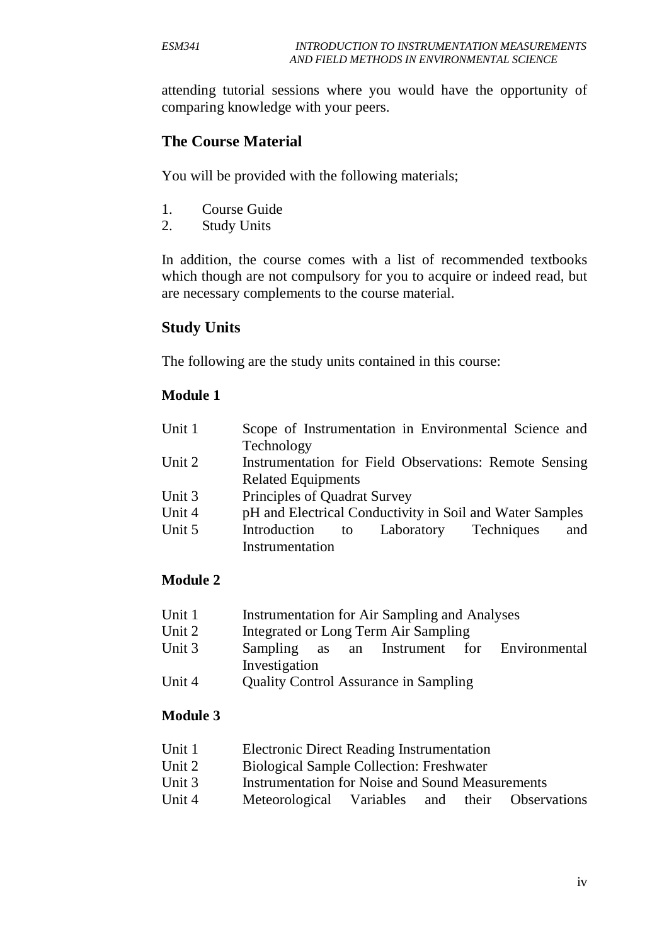attending tutorial sessions where you would have the opportunity of comparing knowledge with your peers.

## **The Course Material**

You will be provided with the following materials;

- 1. Course Guide
- 2. Study Units

In addition, the course comes with a list of recommended textbooks which though are not compulsory for you to acquire or indeed read, but are necessary complements to the course material.

## **Study Units**

The following are the study units contained in this course:

### **Module 1**

| Unit 1 | Scope of Instrumentation in Environmental Science and    |  |  |  |
|--------|----------------------------------------------------------|--|--|--|
|        | Technology                                               |  |  |  |
| Unit 2 | Instrumentation for Field Observations: Remote Sensing   |  |  |  |
|        | <b>Related Equipments</b>                                |  |  |  |
| Unit 3 | Principles of Quadrat Survey                             |  |  |  |
| Unit 4 | pH and Electrical Conductivity in Soil and Water Samples |  |  |  |
| Unit 5 | Laboratory Techniques<br>Introduction<br>and<br>to       |  |  |  |
|        | Instrumentation                                          |  |  |  |

## **Module 2**

- Unit 1 Instrumentation for Air Sampling and Analyses
- Unit 2 Integrated or Long Term Air Sampling
- Unit 3 Sampling as an Instrument for Environmental Investigation
- Unit 4 Quality Control Assurance in Sampling

## **Module 3**

- Unit 1 Electronic Direct Reading Instrumentation
- Unit 2 Biological Sample Collection: Freshwater
- Unit 3 Instrumentation for Noise and Sound Measurements
- Unit 4 Meteorological Variables and their Observations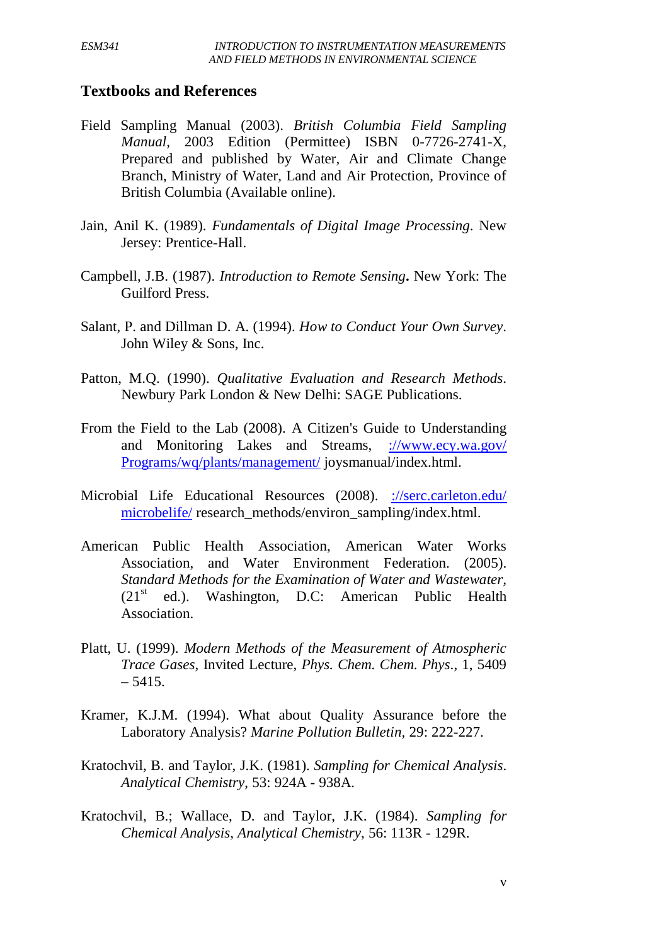## **Textbooks and References**

- Field Sampling Manual (2003). *British Columbia Field Sampling Manual,* 2003 Edition (Permittee) ISBN 0-7726-2741-X, Prepared and published by Water, Air and Climate Change Branch, Ministry of Water, Land and Air Protection, Province of British Columbia (Available online).
- Jain, Anil K. (1989). *Fundamentals of Digital Image Processing*. New Jersey: Prentice-Hall.
- Campbell, J.B. (1987). *Introduction to Remote Sensing***.** New York: The Guilford Press.
- Salant, P. and Dillman D. A. (1994). *How to Conduct Your Own Survey*. John Wiley & Sons, Inc.
- Patton, M.Q. (1990). *Qualitative Evaluation and Research Methods*. Newbury Park London & New Delhi: SAGE Publications.
- From the Field to the Lab (2008). A Citizen's Guide to Understanding and Monitoring Lakes and Streams, [://www.ecy.wa.gov/](http://www.ecy.wa.gov/%20Programs/wq/plants/management/)  [Programs/wq/plants/management/](http://www.ecy.wa.gov/%20Programs/wq/plants/management/) joysmanual/index.html.
- Microbial Life Educational Resources (2008). [://serc.carleton.edu/](http://serc.carleton.edu/%20microbelife/)  [microbelife/](http://serc.carleton.edu/%20microbelife/) research\_methods/environ\_sampling/index.html.
- American Public Health Association, American Water Works Association, and Water Environment Federation. (2005). *Standard Methods for the Examination of Water and Wastewater,*   $(21<sup>st</sup>$  ed.). Washington, D.C: American Public Health Association.
- Platt, U. (1999). *Modern Methods of the Measurement of Atmospheric Trace Gases*, Invited Lecture, *Phys. Chem. Chem. Phys*., 1, 5409 – 5415.
- Kramer, K.J.M. (1994). What about Quality Assurance before the Laboratory Analysis? *Marine Pollution Bulletin,* 29: 222-227.
- Kratochvil, B. and Taylor, J.K. (1981). *Sampling for Chemical Analysis*. *Analytical Chemistry*, 53: 924A - 938A.
- Kratochvil, B.; Wallace, D. and Taylor, J.K. (1984). *Sampling for Chemical Analysis*, *Analytical Chemistry*, 56: 113R - 129R.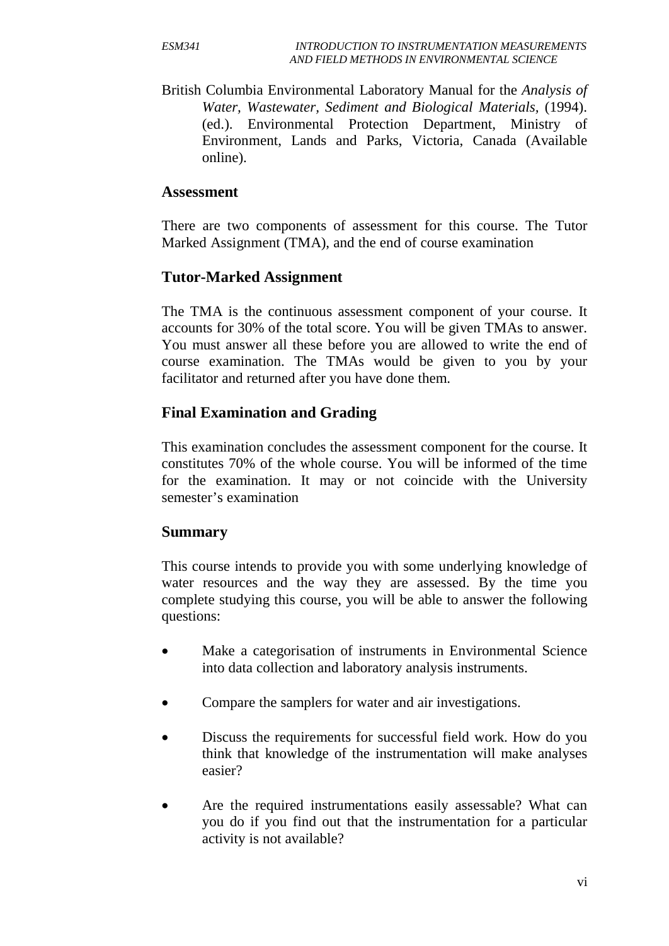British Columbia Environmental Laboratory Manual for the *Analysis of Water, Wastewater, Sediment and Biological Materials,* (1994). (ed.). Environmental Protection Department, Ministry of Environment, Lands and Parks, Victoria, Canada (Available online).

## **Assessment**

There are two components of assessment for this course. The Tutor Marked Assignment (TMA), and the end of course examination

## **Tutor-Marked Assignment**

The TMA is the continuous assessment component of your course. It accounts for 30% of the total score. You will be given TMAs to answer. You must answer all these before you are allowed to write the end of course examination. The TMAs would be given to you by your facilitator and returned after you have done them.

## **Final Examination and Grading**

This examination concludes the assessment component for the course. It constitutes 70% of the whole course. You will be informed of the time for the examination. It may or not coincide with the University semester's examination

## **Summary**

This course intends to provide you with some underlying knowledge of water resources and the way they are assessed. By the time you complete studying this course, you will be able to answer the following questions:

- Make a categorisation of instruments in Environmental Science into data collection and laboratory analysis instruments.
- Compare the samplers for water and air investigations.
- Discuss the requirements for successful field work. How do you think that knowledge of the instrumentation will make analyses easier?
- Are the required instrumentations easily assessable? What can you do if you find out that the instrumentation for a particular activity is not available?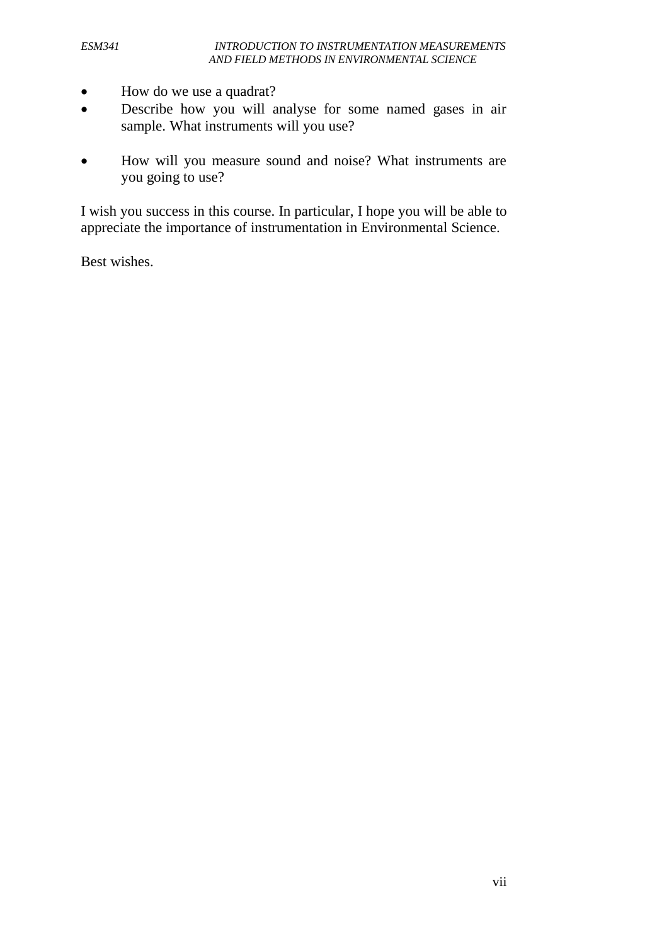- How do we use a quadrat?
- Describe how you will analyse for some named gases in air sample. What instruments will you use?
- How will you measure sound and noise? What instruments are you going to use?

I wish you success in this course. In particular, I hope you will be able to appreciate the importance of instrumentation in Environmental Science.

Best wishes.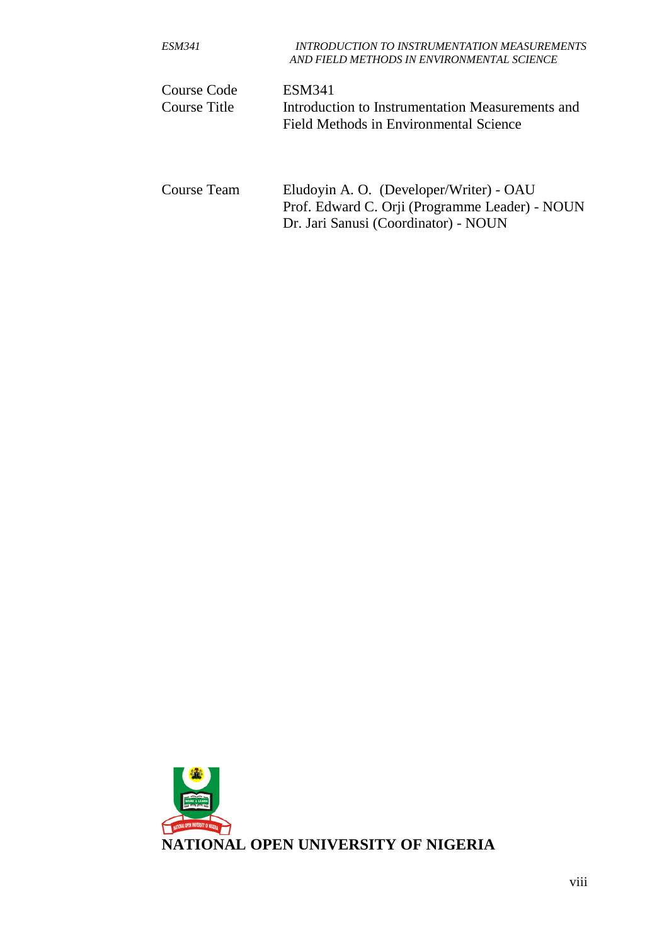| <i>ESM341</i> | <b>INTRODUCTION TO INSTRUMENTATION MEASUREMENTS</b><br>AND FIELD METHODS IN ENVIRONMENTAL SCIENCE |
|---------------|---------------------------------------------------------------------------------------------------|
| Course Code   | <b>ESM341</b>                                                                                     |
| Course Title  | Introduction to Instrumentation Measurements and<br>Field Methods in Environmental Science        |
| Course Team   | Eludovin A. O. (Developer/Writer) - OAU<br>Prof. Edward C. Orji (Programme Leader) - NOUN         |

Dr. Jari Sanusi (Coordinator) - NOUN

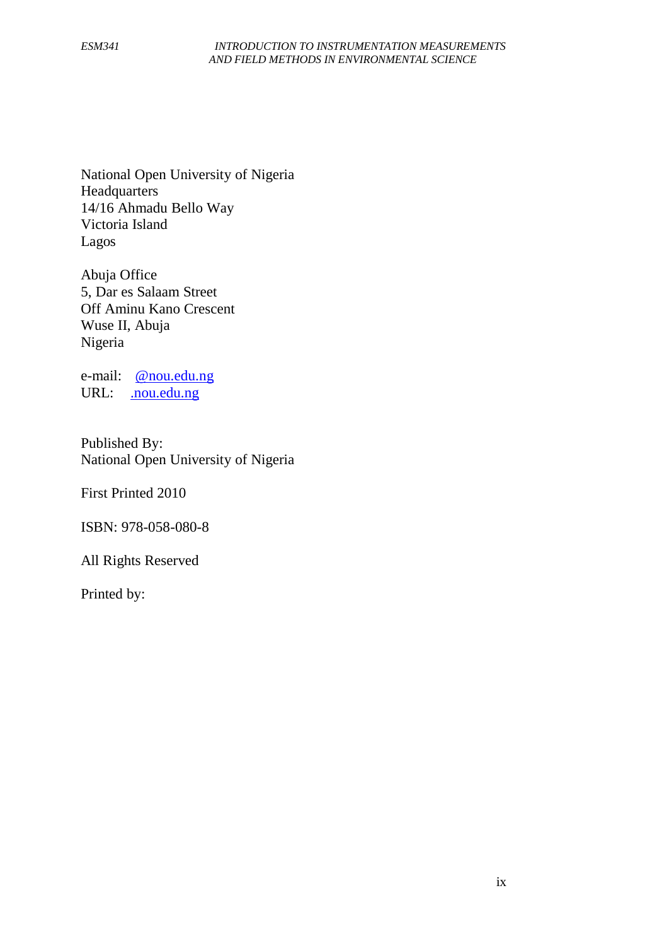National Open University of Nigeria **Headquarters** 14/16 Ahmadu Bello Way Victoria Island Lagos

Abuja Office 5, Dar es Salaam Street Off Aminu Kano Crescent Wuse II, Abuja Nigeria

e-mail: [@nou.edu.ng](mailto:centralinfo@nou.edu.ng) URL: . nou.edu.ng

Published By: National Open University of Nigeria

First Printed 2010

ISBN: 978-058-080-8

All Rights Reserved

Printed by: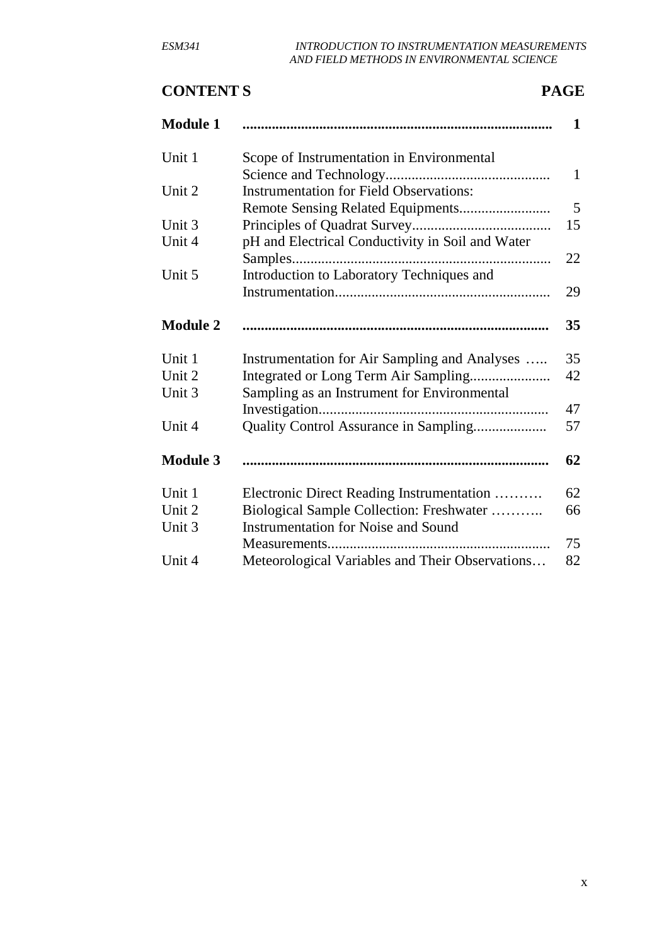# **CONTENT S PAGE**

| <b>Module 1</b> |                                                  | $\mathbf{1}$ |
|-----------------|--------------------------------------------------|--------------|
| Unit 1          | Scope of Instrumentation in Environmental        |              |
|                 |                                                  | $\mathbf{1}$ |
| Unit 2          | <b>Instrumentation for Field Observations:</b>   |              |
|                 |                                                  | 5            |
| Unit 3          |                                                  | 15           |
| Unit 4          | pH and Electrical Conductivity in Soil and Water |              |
|                 | Samples                                          | 22           |
| Unit 5          | Introduction to Laboratory Techniques and        |              |
|                 |                                                  | 29           |
| <b>Module 2</b> |                                                  | 35           |
| Unit 1          | Instrumentation for Air Sampling and Analyses    | 35           |
| Unit 2          |                                                  | 42           |
| Unit 3          | Sampling as an Instrument for Environmental      |              |
|                 |                                                  | 47           |
| Unit 4          |                                                  | 57           |
| <b>Module 3</b> |                                                  | 62           |
| Unit 1          | Electronic Direct Reading Instrumentation        | 62           |
| Unit 2          | Biological Sample Collection: Freshwater         | 66           |
| Unit 3          | <b>Instrumentation for Noise and Sound</b>       |              |
|                 |                                                  | 75           |
| Unit 4          | Meteorological Variables and Their Observations  | 82           |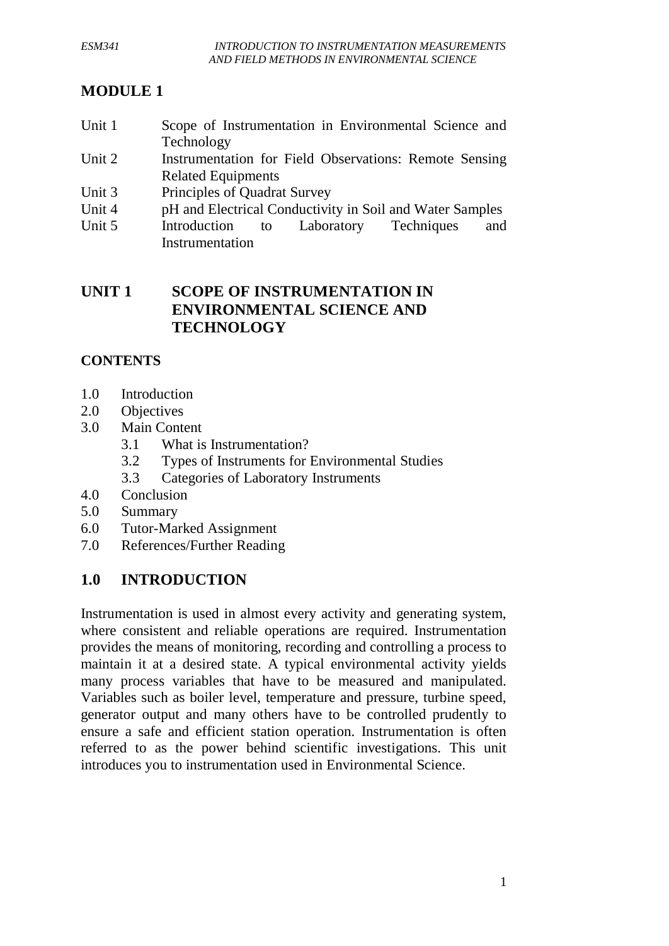# **MODULE 1**

- Unit 1 Scope of Instrumentation in Environmental Science and Technology
- Unit 2 Instrumentation for Field Observations: Remote Sensing Related Equipments
- Unit 3 Principles of Quadrat Survey
- Unit 4 pH and Electrical Conductivity in Soil and Water Samples
- Unit 5 Introduction to Laboratory Techniques and Instrumentation

## **UNIT 1 SCOPE OF INSTRUMENTATION IN ENVIRONMENTAL SCIENCE AND TECHNOLOGY**

# **CONTENTS**

- 1.0 Introduction
- 2.0 Objectives
- 3.0 Main Content
	- 3.1 What is Instrumentation?
	- 3.2 Types of Instruments for Environmental Studies
	- 3.3 Categories of Laboratory Instruments
- 4.0 Conclusion
- 5.0 Summary
- 6.0 Tutor-Marked Assignment
- 7.0 References/Further Reading

# **1.0 INTRODUCTION**

Instrumentation is used in almost every activity and generating system, where consistent and reliable operations are required. Instrumentation provides the means of monitoring, recording and controlling a process to maintain it at a desired state. A typical environmental activity yields many process variables that have to be measured and manipulated. Variables such as boiler level, temperature and pressure, turbine speed, generator output and many others have to be controlled prudently to ensure a safe and efficient station operation. Instrumentation is often referred to as the power behind scientific investigations. This unit introduces you to instrumentation used in Environmental Science.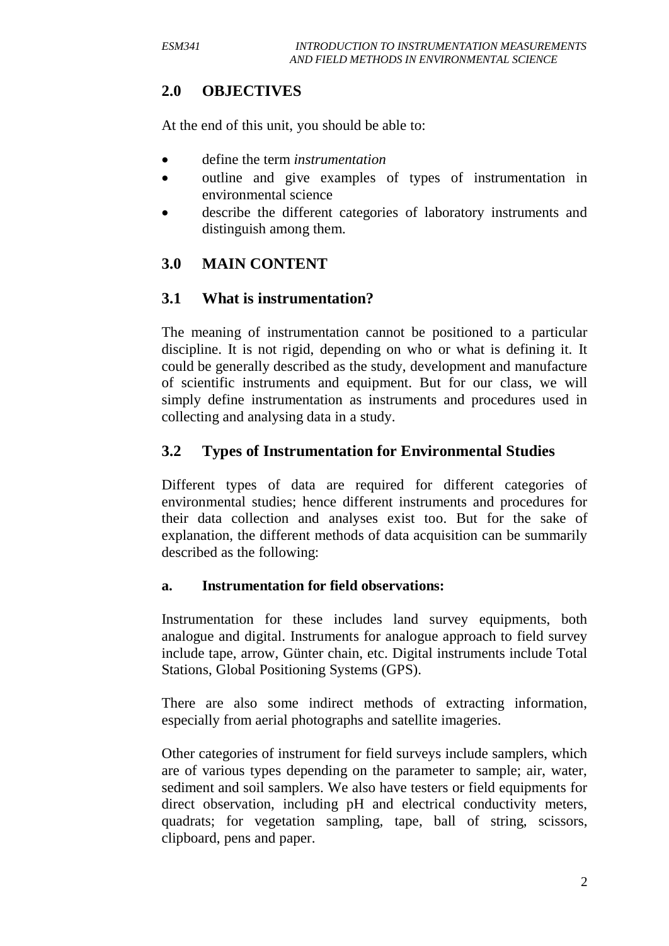# **2.0 OBJECTIVES**

At the end of this unit, you should be able to:

- define the term *instrumentation*
- outline and give examples of types of instrumentation in environmental science
- describe the different categories of laboratory instruments and distinguish among them.

# **3.0 MAIN CONTENT**

## **3.1 What is instrumentation?**

The meaning of instrumentation cannot be positioned to a particular discipline. It is not rigid, depending on who or what is defining it. It could be generally described as the study, development and manufacture of scientific instruments and equipment. But for our class, we will simply define instrumentation as instruments and procedures used in collecting and analysing data in a study.

# **3.2 Types of Instrumentation for Environmental Studies**

Different types of data are required for different categories of environmental studies; hence different instruments and procedures for their data collection and analyses exist too. But for the sake of explanation, the different methods of data acquisition can be summarily described as the following:

## **a. Instrumentation for field observations:**

Instrumentation for these includes land survey equipments, both analogue and digital. Instruments for analogue approach to field survey include tape, arrow, Günter chain, etc. Digital instruments include Total Stations, Global Positioning Systems (GPS).

There are also some indirect methods of extracting information, especially from aerial photographs and satellite imageries.

Other categories of instrument for field surveys include samplers, which are of various types depending on the parameter to sample; air, water, sediment and soil samplers. We also have testers or field equipments for direct observation, including pH and electrical conductivity meters, quadrats; for vegetation sampling, tape, ball of string, scissors, clipboard, pens and paper.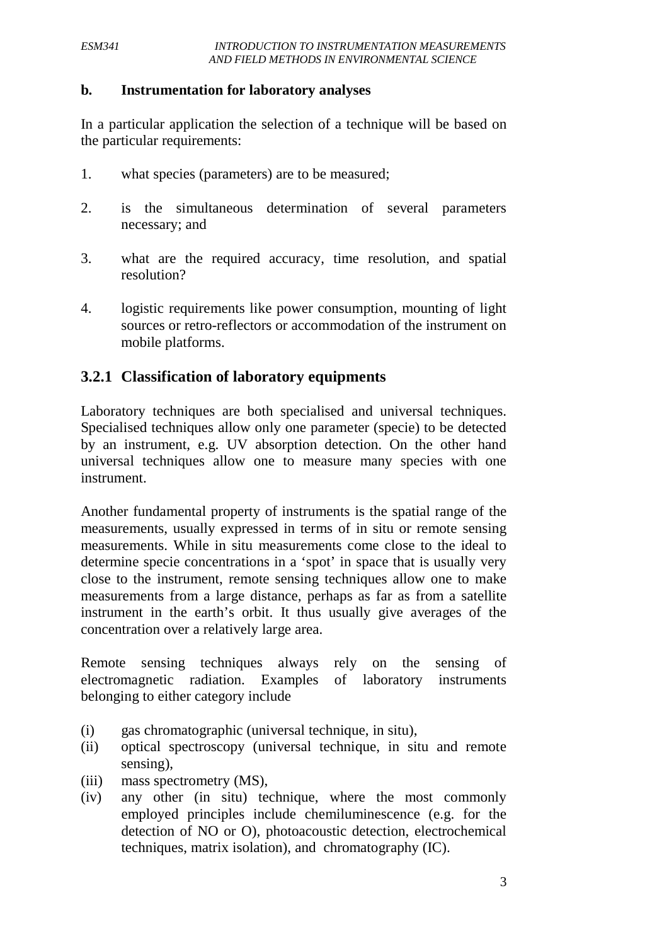### **b. Instrumentation for laboratory analyses**

In a particular application the selection of a technique will be based on the particular requirements:

- 1. what species (parameters) are to be measured;
- 2. is the simultaneous determination of several parameters necessary; and
- 3. what are the required accuracy, time resolution, and spatial resolution?
- 4. logistic requirements like power consumption, mounting of light sources or retro-reflectors or accommodation of the instrument on mobile platforms.

## **3.2.1 Classification of laboratory equipments**

Laboratory techniques are both specialised and universal techniques. Specialised techniques allow only one parameter (specie) to be detected by an instrument, e.g. UV absorption detection. On the other hand universal techniques allow one to measure many species with one instrument.

Another fundamental property of instruments is the spatial range of the measurements, usually expressed in terms of in situ or remote sensing measurements. While in situ measurements come close to the ideal to determine specie concentrations in a 'spot' in space that is usually very close to the instrument, remote sensing techniques allow one to make measurements from a large distance, perhaps as far as from a satellite instrument in the earth's orbit. It thus usually give averages of the concentration over a relatively large area.

Remote sensing techniques always rely on the sensing of electromagnetic radiation. Examples of laboratory instruments belonging to either category include

- (i) gas chromatographic (universal technique, in situ),
- (ii) optical spectroscopy (universal technique, in situ and remote sensing),
- (iii) mass spectrometry (MS),
- (iv) any other (in situ) technique, where the most commonly employed principles include chemiluminescence (e.g. for the detection of NO or O), photoacoustic detection, electrochemical techniques, matrix isolation), and chromatography (IC).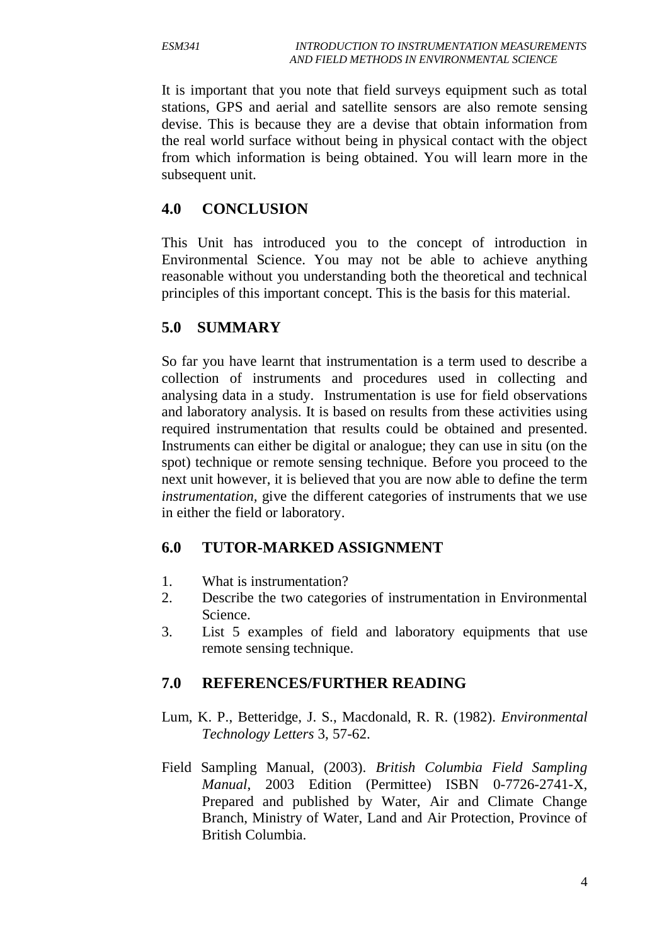It is important that you note that field surveys equipment such as total stations, GPS and aerial and satellite sensors are also remote sensing devise. This is because they are a devise that obtain information from the real world surface without being in physical contact with the object from which information is being obtained. You will learn more in the subsequent unit.

## **4.0 CONCLUSION**

This Unit has introduced you to the concept of introduction in Environmental Science. You may not be able to achieve anything reasonable without you understanding both the theoretical and technical principles of this important concept. This is the basis for this material.

## **5.0 SUMMARY**

So far you have learnt that instrumentation is a term used to describe a collection of instruments and procedures used in collecting and analysing data in a study. Instrumentation is use for field observations and laboratory analysis. It is based on results from these activities using required instrumentation that results could be obtained and presented. Instruments can either be digital or analogue; they can use in situ (on the spot) technique or remote sensing technique. Before you proceed to the next unit however, it is believed that you are now able to define the term *instrumentation,* give the different categories of instruments that we use in either the field or laboratory.

# **6.0 TUTOR-MARKED ASSIGNMENT**

- 1. What is instrumentation?
- 2. Describe the two categories of instrumentation in Environmental Science.
- 3. List 5 examples of field and laboratory equipments that use remote sensing technique.

## **7.0 REFERENCES/FURTHER READING**

- Lum, K. P., Betteridge, J. S., Macdonald, R. R. (1982). *Environmental Technology Letters* 3, 57-62.
- Field Sampling Manual, (2003). *British Columbia Field Sampling Manual*, 2003 Edition (Permittee) ISBN 0-7726-2741-X, Prepared and published by Water, Air and Climate Change Branch, Ministry of Water, Land and Air Protection, Province of British Columbia.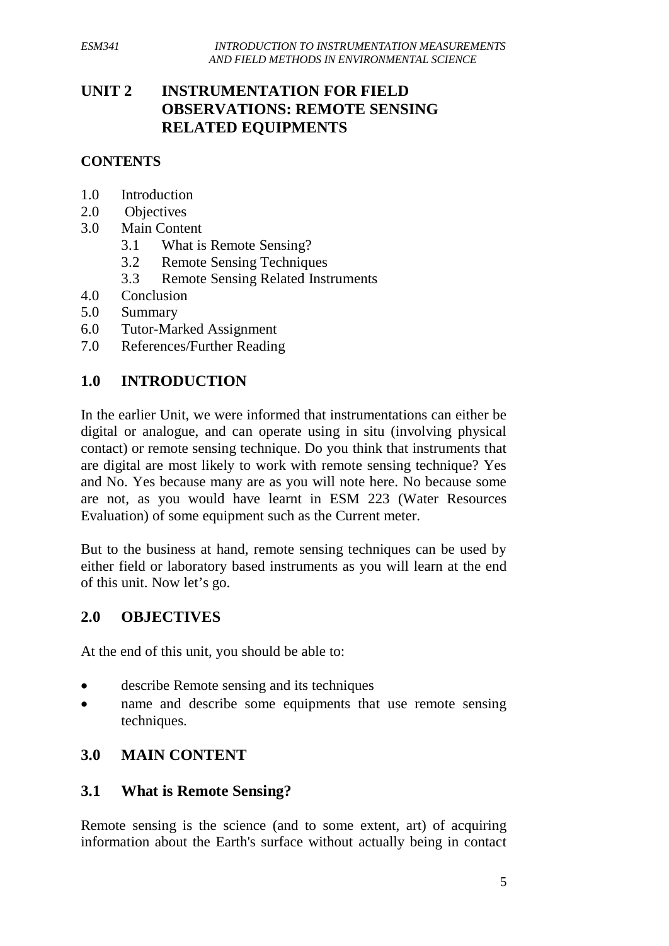# **UNIT 2 INSTRUMENTATION FOR FIELD OBSERVATIONS: REMOTE SENSING RELATED EQUIPMENTS**

## **CONTENTS**

- 1.0 Introduction
- 2.0 Objectives
- 3.0 Main Content
	- 3.1 What is Remote Sensing?
	- 3.2 Remote Sensing Techniques
	- 3.3 Remote Sensing Related Instruments
- 4.0 Conclusion
- 5.0 Summary
- 6.0 Tutor-Marked Assignment
- 7.0 References/Further Reading

# **1.0 INTRODUCTION**

In the earlier Unit, we were informed that instrumentations can either be digital or analogue, and can operate using in situ (involving physical contact) or remote sensing technique. Do you think that instruments that are digital are most likely to work with remote sensing technique? Yes and No. Yes because many are as you will note here. No because some are not, as you would have learnt in ESM 223 (Water Resources Evaluation) of some equipment such as the Current meter.

But to the business at hand, remote sensing techniques can be used by either field or laboratory based instruments as you will learn at the end of this unit. Now let's go.

# **2.0 OBJECTIVES**

At the end of this unit, you should be able to:

- describe Remote sensing and its techniques
- name and describe some equipments that use remote sensing techniques.

# **3.0 MAIN CONTENT**

## **3.1 What is Remote Sensing?**

Remote sensing is the science (and to some extent, art) of acquiring information about the Earth's surface without actually being in contact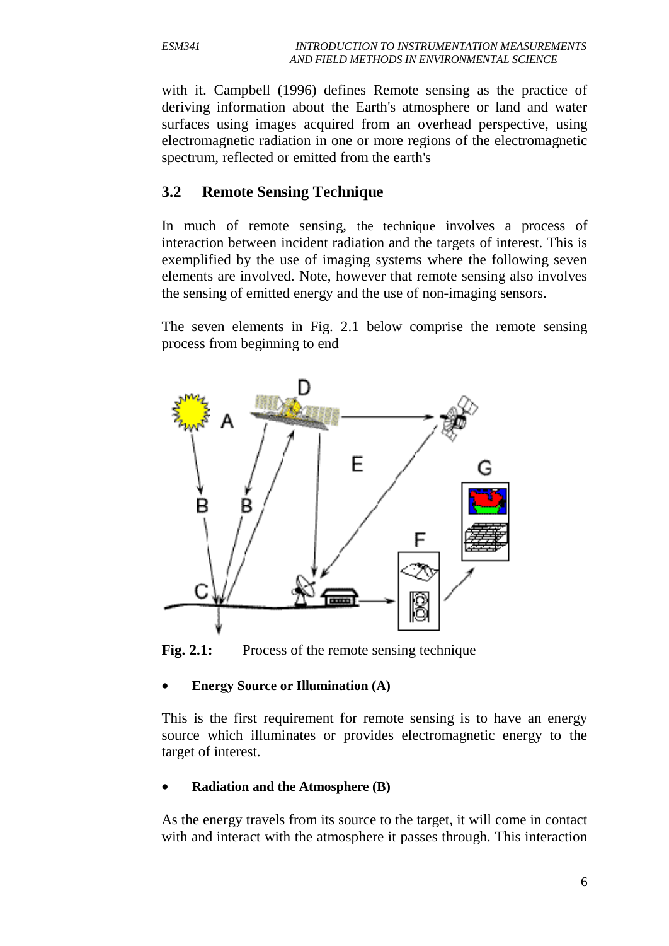with it. Campbell (1996) defines Remote sensing as the practice of deriving information about the Earth's atmosphere or land and water surfaces using images acquired from an overhead perspective, using electromagnetic radiation in one or more regions of the electromagnetic spectrum, reflected or emitted from the earth's

## **3.2 Remote Sensing Technique**

In much of remote sensing, the technique involves a process of interaction between incident radiation and the targets of interest. This is exemplified by the use of imaging systems where the following seven elements are involved. Note, however that remote sensing also involves the sensing of emitted energy and the use of non-imaging sensors.

The seven elements in Fig. 2.1 below comprise the remote sensing process from beginning to end



Fig. 2.1: Process of the remote sensing technique

### • **Energy Source or Illumination (A)**

This is the first requirement for remote sensing is to have an energy source which illuminates or provides electromagnetic energy to the target of interest.

## • **Radiation and the Atmosphere (B)**

As the energy travels from its source to the target, it will come in contact with and interact with the atmosphere it passes through. This interaction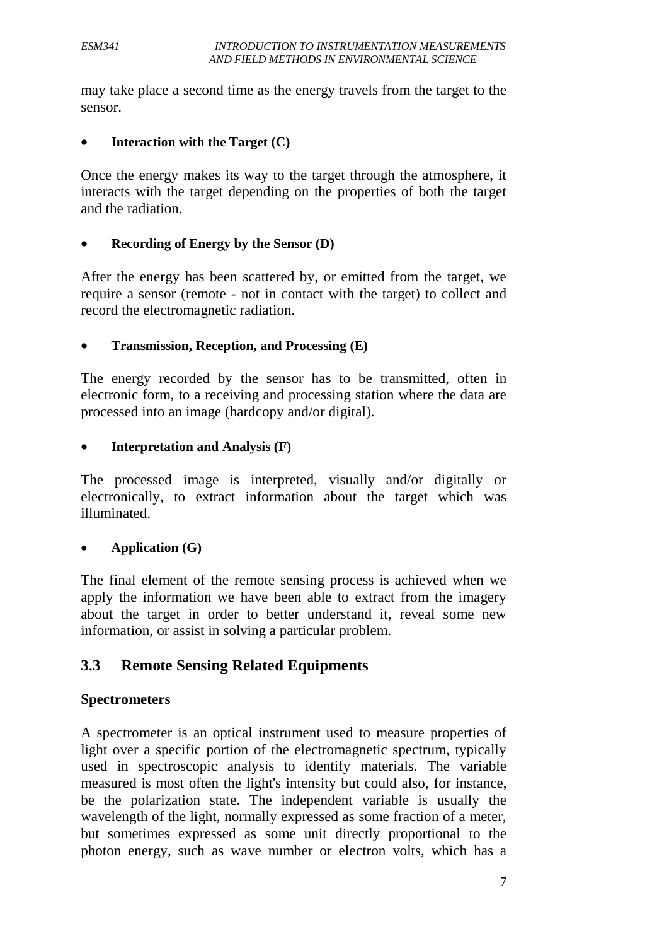may take place a second time as the energy travels from the target to the sensor.

### • **Interaction with the Target (C)**

Once the energy makes its way to the target through the atmosphere, it interacts with the target depending on the properties of both the target and the radiation.

## • **Recording of Energy by the Sensor (D)**

After the energy has been scattered by, or emitted from the target, we require a sensor (remote - not in contact with the target) to collect and record the electromagnetic radiation.

### • **Transmission, Reception, and Processing (E)**

The energy recorded by the sensor has to be transmitted, often in electronic form, to a receiving and processing station where the data are processed into an image (hardcopy and/or digital).

## • **Interpretation and Analysis (F)**

The processed image is interpreted, visually and/or digitally or electronically, to extract information about the target which was illuminated.

### • **Application (G)**

The final element of the remote sensing process is achieved when we apply the information we have been able to extract from the imagery about the target in order to better understand it, reveal some new information, or assist in solving a particular problem.

## **3.3 Remote Sensing Related Equipments**

### **Spectrometers**

A spectrometer is an optical instrument used to measure properties of [light](http://en.wikipedia.org/wiki/Light) over a specific portion of the electromagnetic spectrum, typically used in [spectroscopic analysis](http://en.wikipedia.org/wiki/Spectroscopic_analysis) to identify materials. The variable measured is most often the light's [intensity](http://en.wikipedia.org/wiki/Intensity) but could also, for instance, be the [polarization](http://en.wikipedia.org/wiki/Polarization) state. The independent variable is usually the [wavelength](http://en.wikipedia.org/wiki/Wavelength) of the light, normally expressed as some fraction of a meter, but sometimes expressed as some unit directly proportional to the [photon](http://en.wikipedia.org/wiki/Photon) energy, such as [wave number](http://en.wikipedia.org/wiki/Wavenumber) or [electron volts,](http://en.wikipedia.org/wiki/Electron_volt) which has a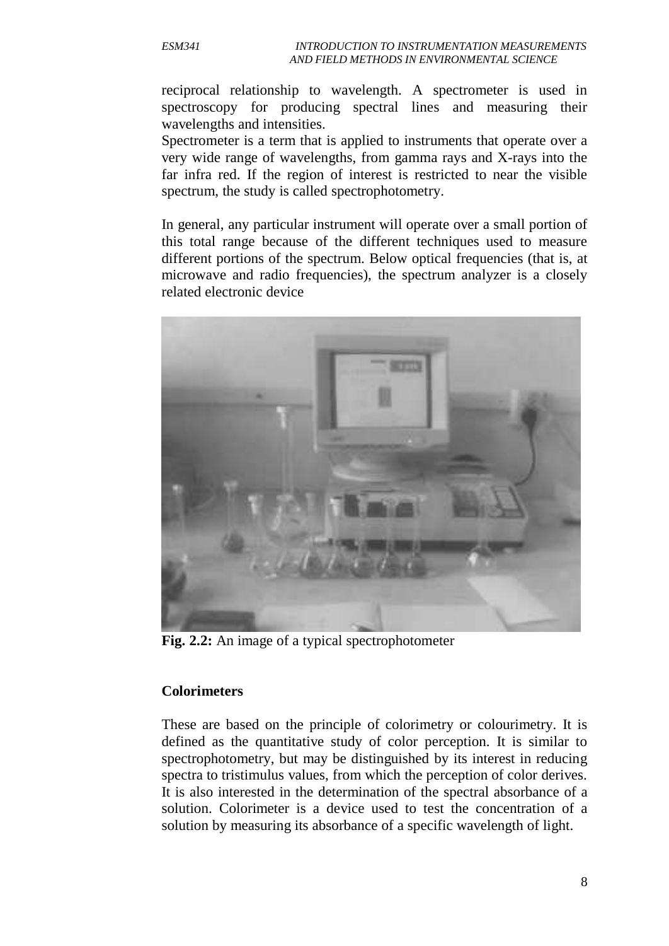reciprocal relationship to wavelength. A spectrometer is used in [spectroscopy](http://en.wikipedia.org/wiki/Spectroscopy) for producing [spectral lines](http://en.wikipedia.org/wiki/Spectral_line) and measuring their [wavelengths](http://en.wikipedia.org/wiki/Wavelength) and intensities.

Spectrometer is a term that is applied to instruments that operate over a very wide range of wavelengths, from [gamma rays](http://en.wikipedia.org/wiki/Gamma_ray) and X-rays into the [far infra](http://en.wikipedia.org/wiki/Far_infrared) red. If the region of interest is restricted to near the visible spectrum, the study is called spectrophotometry.

In general, any particular instrument will operate over a small portion of this total range because of the different techniques used to measure different portions of the spectrum. Below optical frequencies (that is, at [microwave](http://en.wikipedia.org/wiki/Microwave) and [radio](http://en.wikipedia.org/wiki/Radio) frequencies), the [spectrum analyzer](http://en.wikipedia.org/wiki/Spectrum_analyzer) is a closely related electronic device



**Fig. 2.2:** An image of a typical spectrophotometer

### **Colorimeters**

These are based on the principle of colorimetry or colourimetry. It is defined as the quantitative study of color perception. It is similar to spectrophotometry, but may be distinguished by its interest in reducing spectra to tristimulus values, from which the perception of color derives. It is also interested in the determination of the spectral [absorbance](http://en.wikipedia.org/wiki/Absorbance) of a solution. Colorimeter is a device used to test the concentration of a solution by measuring its absorbance of a specific wavelength of light.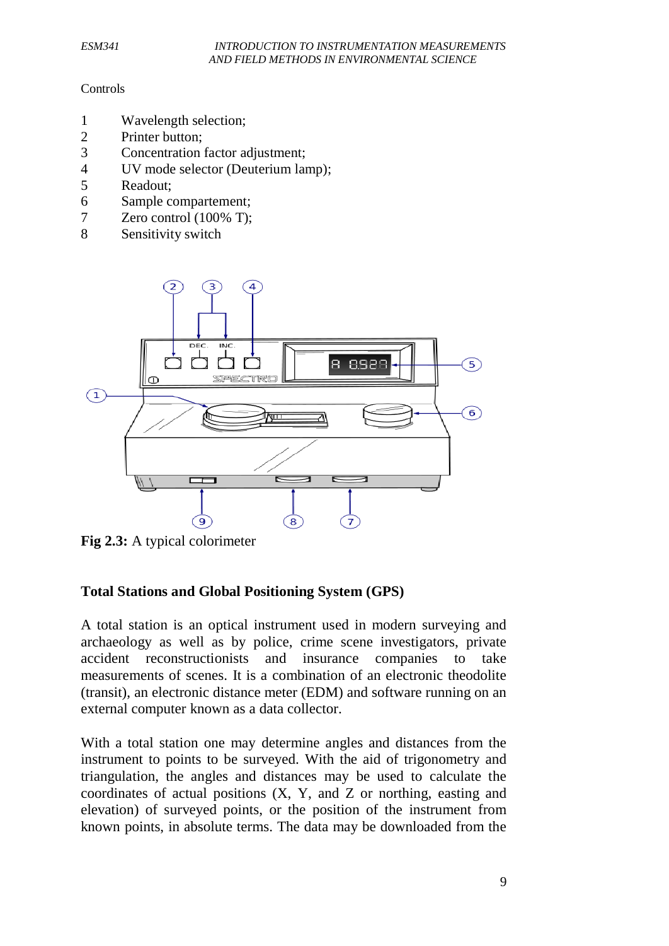#### Controls

- 1 Wavelength selection;
- 2 Printer button;
- 3 Concentration factor adjustment;
- 4 UV mode selector (Deuterium lamp);
- 5 Readout;
- 6 Sample compartement;
- 7 Zero control (100% T);
- 8 Sensitivity switch



**Fig 2.3:** A typical colorimeter

### **Total Stations and Global Positioning System (GPS)**

A total station is an optical instrument used in modern surveying and archaeology as well as by police, crime scene investigators, private accident reconstructionists and insurance companies to take measurements of scenes. It is a combination of an electronic [theodolite](http://en.wikipedia.org/wiki/Theodolite) (transit), an electronic distance meter (EDM) and software running on an external computer known as a data collector.

With a total station one may determine angles and distances from the instrument to points to be surveyed. With the aid of trigonometry and triangulation, the angles and distances may be used to calculate the coordinates of actual positions (X, Y, and Z or northing, easting and elevation) of surveyed points, or the position of the instrument from known points, in absolute terms. The data may be downloaded from the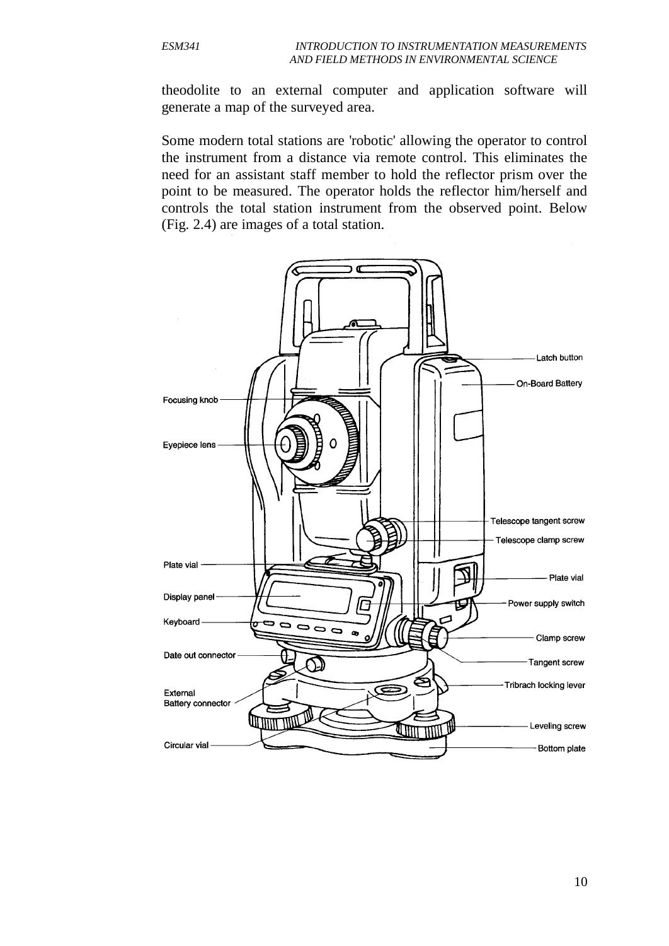theodolite to an external computer and application software will generate a map of the surveyed area.

Some modern total stations are 'robotic' allowing the operator to control the instrument from a distance via remote control. This eliminates the need for an assistant staff member to hold the reflector prism over the point to be measured. The operator holds the reflector him/herself and controls the total station instrument from the observed point. Below (Fig. 2.4) are images of a total station.

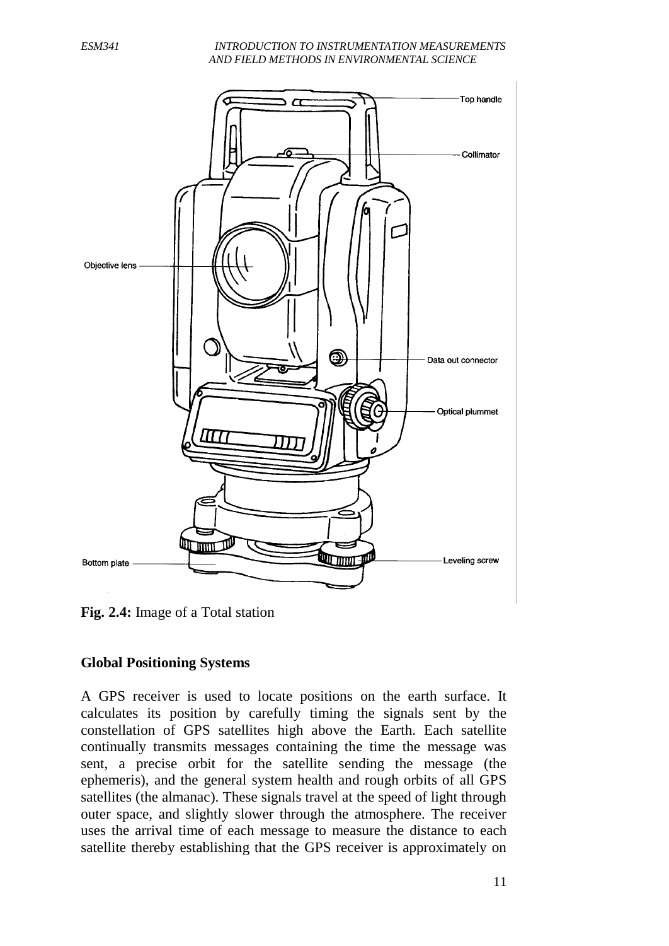#### *ESM341 INTRODUCTION TO INSTRUMENTATION MEASUREMENTS AND FIELD METHODS IN ENVIRONMENTAL SCIENCE*



**Fig. 2.4:** Image of a Total station

## **Global Positioning Systems**

A GPS receiver is used to locate positions on the earth surface. It calculates its position by carefully timing the signals sent by the constellation of GPS satellites high above the Earth. Each satellite continually transmits messages containing the time the message was sent, a precise orbit for the satellite sending the message (the ephemeris), and the general system health and rough orbits of all GPS satellites (the almanac). These signals travel at the speed of light through outer space, and slightly slower through the atmosphere. The receiver uses the arrival time of each message to measure the distance to each satellite thereby establishing that the GPS receiver is approximately on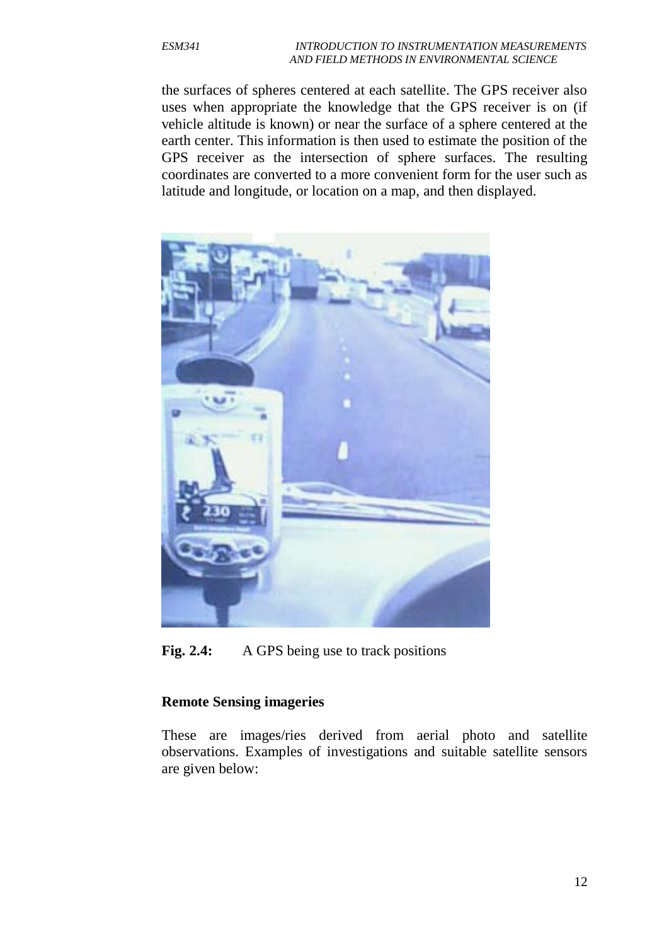the surfaces of spheres centered at each satellite. The GPS receiver also uses when appropriate the knowledge that the GPS receiver is on (if vehicle altitude is known) or near the surface of a sphere centered at the earth center. This information is then used to estimate the position of the GPS receiver as the intersection of sphere surfaces. The resulting coordinates are converted to a more convenient form for the user such as latitude and longitude, or location on a map, and then displayed.



**Fig. 2.4:** A GPS being use to track positions

## **Remote Sensing imageries**

These are images/ries derived from aerial photo and satellite observations. Examples of investigations and suitable satellite sensors are given below: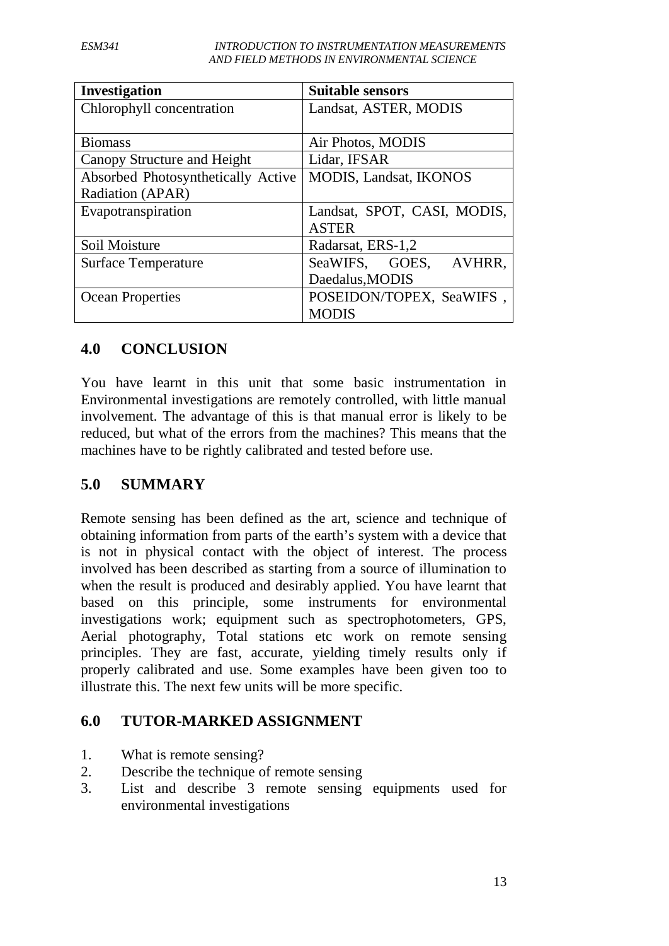*ESM341 INTRODUCTION TO INSTRUMENTATION MEASUREMENTS AND FIELD METHODS IN ENVIRONMENTAL SCIENCE*

| Investigation                      | <b>Suitable sensors</b>       |
|------------------------------------|-------------------------------|
| Chlorophyll concentration          | Landsat, ASTER, MODIS         |
|                                    |                               |
| <b>Biomass</b>                     | Air Photos, MODIS             |
| Canopy Structure and Height        | Lidar, IFSAR                  |
| Absorbed Photosynthetically Active | <b>MODIS, Landsat, IKONOS</b> |
| Radiation (APAR)                   |                               |
| Evapotranspiration                 | Landsat, SPOT, CASI, MODIS,   |
|                                    | <b>ASTER</b>                  |
| Soil Moisture                      | Radarsat, ERS-1,2             |
| <b>Surface Temperature</b>         | SeaWIFS, GOES,<br>AVHRR.      |
|                                    | Daedalus, MODIS               |
| <b>Ocean Properties</b>            | POSEIDON/TOPEX, SeaWIFS,      |
|                                    | <b>MODIS</b>                  |

## **4.0 CONCLUSION**

You have learnt in this unit that some basic instrumentation in Environmental investigations are remotely controlled, with little manual involvement. The advantage of this is that manual error is likely to be reduced, but what of the errors from the machines? This means that the machines have to be rightly calibrated and tested before use.

## **5.0 SUMMARY**

Remote sensing has been defined as the art, science and technique of obtaining information from parts of the earth's system with a device that is not in physical contact with the object of interest. The process involved has been described as starting from a source of illumination to when the result is produced and desirably applied. You have learnt that based on this principle, some instruments for environmental investigations work; equipment such as spectrophotometers, GPS, Aerial photography, Total stations etc work on remote sensing principles. They are fast, accurate, yielding timely results only if properly calibrated and use. Some examples have been given too to illustrate this. The next few units will be more specific.

## **6.0 TUTOR-MARKED ASSIGNMENT**

- 1. What is remote sensing?
- 2. Describe the technique of remote sensing
- 3. List and describe 3 remote sensing equipments used for environmental investigations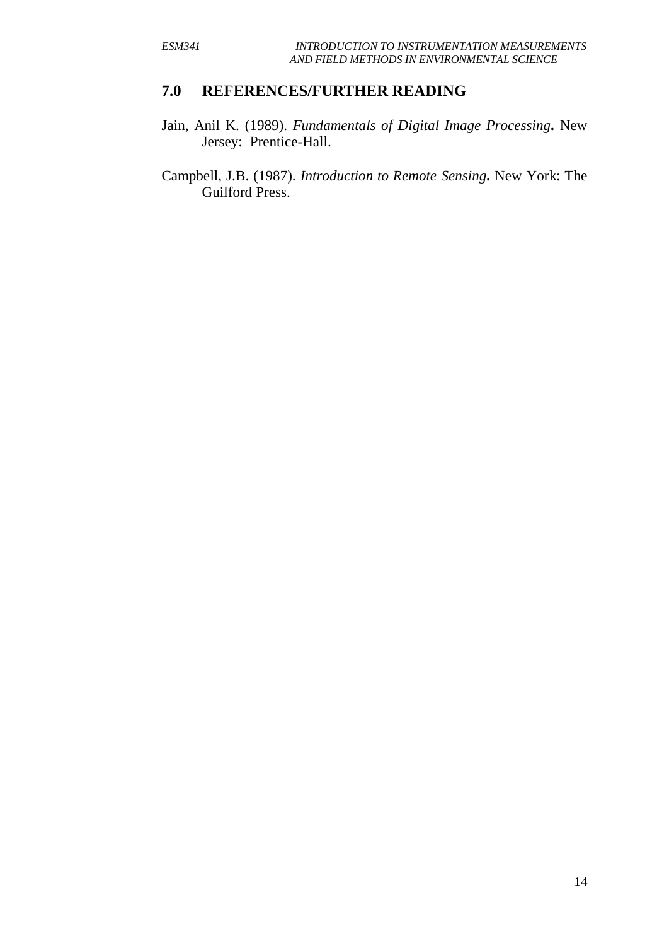## **7.0 REFERENCES/FURTHER READING**

- Jain, Anil K. (1989). *Fundamentals of Digital Image Processing***.** New Jersey: Prentice-Hall.
- Campbell, J.B. (1987). *Introduction to Remote Sensing***.** New York: The Guilford Press.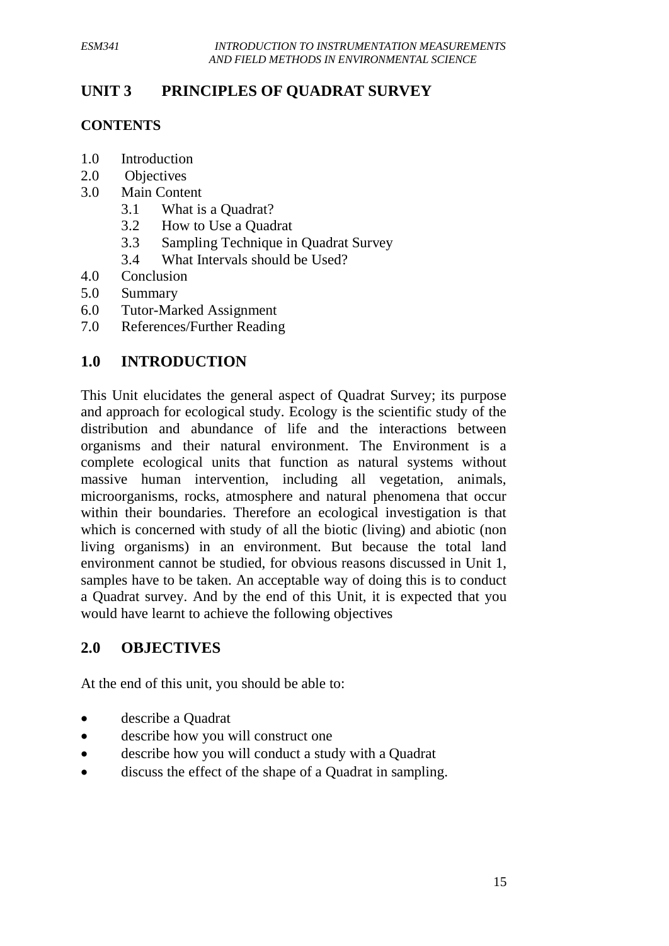# **UNIT 3 PRINCIPLES OF QUADRAT SURVEY**

## **CONTENTS**

- 1.0 Introduction
- 2.0 Objectives
- 3.0 Main Content
	- 3.1 What is a Quadrat?
	- 3.2 How to Use a Quadrat
	- 3.3 Sampling Technique in Quadrat Survey
	- 3.4 What Intervals should be Used?
- 4.0 Conclusion
- 5.0 Summary
- 6.0 Tutor-Marked Assignment
- 7.0 References/Further Reading

# **1.0 INTRODUCTION**

This Unit elucidates the general aspect of Quadrat Survey; its purpose and approach for ecological study. Ecology is the scientific study of the distribution and abundance of life and the interactions between organisms and their natural environment. The Environment is a complete ecological units that function as natural systems without massive human intervention, including all vegetation, animals, microorganisms, rocks, atmosphere and natural phenomena that occur within their boundaries. Therefore an ecological investigation is that which is concerned with study of all the biotic (living) and abiotic (non living organisms) in an environment. But because the total land environment cannot be studied, for obvious reasons discussed in Unit 1, samples have to be taken. An acceptable way of doing this is to conduct a Quadrat survey. And by the end of this Unit, it is expected that you would have learnt to achieve the following objectives

## **2.0 OBJECTIVES**

At the end of this unit, you should be able to:

- describe a Quadrat
- describe how you will construct one
- describe how you will conduct a study with a Quadrat
- discuss the effect of the shape of a Quadrat in sampling.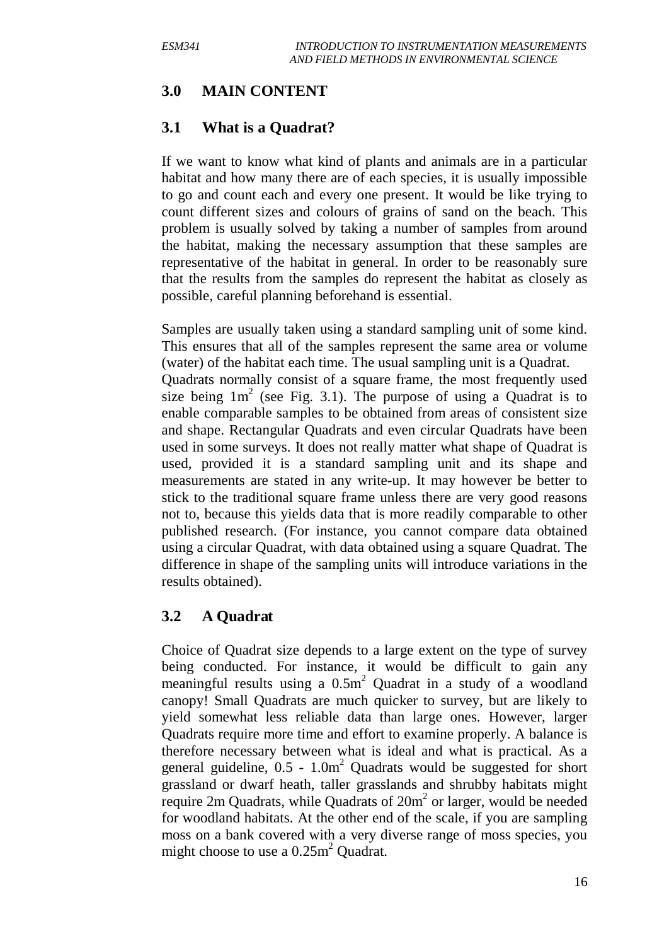# **3.0 MAIN CONTENT**

## **3.1 What is a Quadrat?**

If we want to know what kind of plants and animals are in a particular habitat and how many there are of each species, it is usually impossible to go and count each and every one present. It would be like trying to count different sizes and colours of grains of sand on the beach. This problem is usually solved by taking a number of samples from around the habitat, making the necessary assumption that these samples are representative of the habitat in general. In order to be reasonably sure that the results from the samples do represent the habitat as closely as possible, careful planning beforehand is essential.

Samples are usually taken using a standard sampling unit of some kind. This ensures that all of the samples represent the same area or volume (water) of the habitat each time. The usual sampling unit is a Quadrat. Quadrats normally consist of a square frame, the most frequently used size being  $1m^2$  (see Fig. 3.1). The purpose of using a Quadrat is to enable comparable samples to be obtained from areas of consistent size and shape. Rectangular Quadrats and even circular Quadrats have been used in some surveys. It does not really matter what shape of Quadrat is used, provided it is a standard sampling unit and its shape and measurements are stated in any write-up. It may however be better to stick to the traditional square frame unless there are very good reasons not to, because this yields data that is more readily comparable to other published research. (For instance, you cannot compare data obtained using a circular Quadrat, with data obtained using a square Quadrat. The difference in shape of the sampling units will introduce variations in the results obtained).

# **3.2 A Quadrat**

Choice of Quadrat size depends to a large extent on the type of survey being conducted. For instance, it would be difficult to gain any meaningful results using a  $0.5m<sup>2</sup>$  Quadrat in a study of a woodland canopy! Small Quadrats are much quicker to survey, but are likely to yield somewhat less reliable data than large ones. However, larger Quadrats require more time and effort to examine properly. A balance is therefore necessary between what is ideal and what is practical. As a general guideline,  $0.5 - 1.0m^2$  Quadrats would be suggested for short grassland or dwarf heath, taller grasslands and shrubby habitats might require 2m Quadrats, while Quadrats of  $20m<sup>2</sup>$  or larger, would be needed for woodland habitats. At the other end of the scale, if you are sampling moss on a bank covered with a very diverse range of moss species, you might choose to use a 0.25m<sup>2</sup> Quadrat.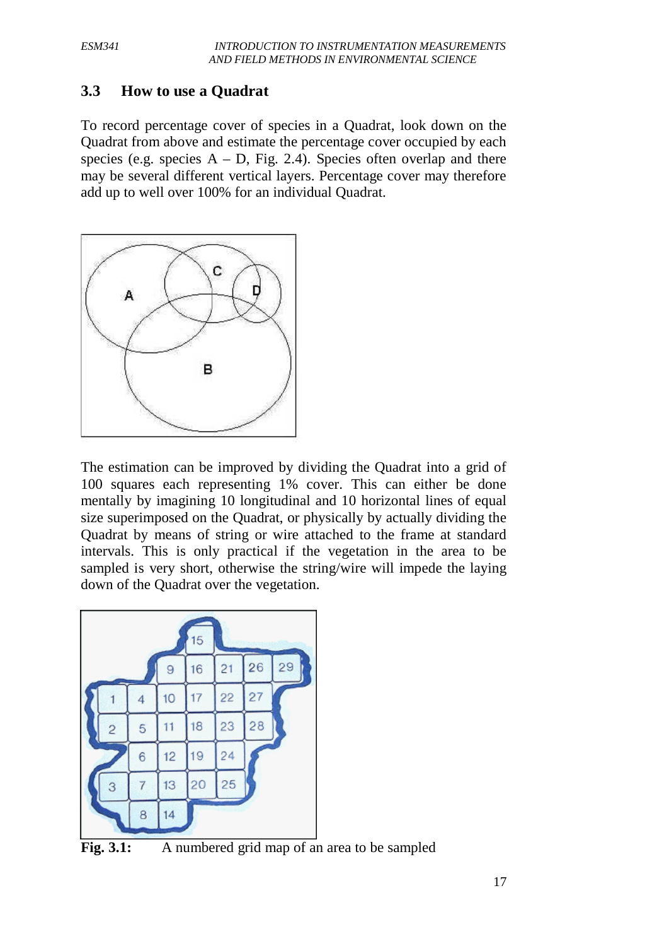## **3.3 How to use a Quadrat**

To record percentage cover of species in a Quadrat, look down on the Quadrat from above and estimate the percentage cover occupied by each species (e.g. species  $A - D$ , Fig. 2.4). Species often overlap and there may be several different vertical layers. Percentage cover may therefore add up to well over 100% for an individual Quadrat.



The estimation can be improved by dividing the Quadrat into a grid of 100 squares each representing 1% cover. This can either be done mentally by imagining 10 longitudinal and 10 horizontal lines of equal size superimposed on the Quadrat, or physically by actually dividing the Quadrat by means of string or wire attached to the frame at standard intervals. This is only practical if the vegetation in the area to be sampled is very short, otherwise the string/wire will impede the laying down of the Quadrat over the vegetation.



Fig. 3.1: A numbered grid map of an area to be sampled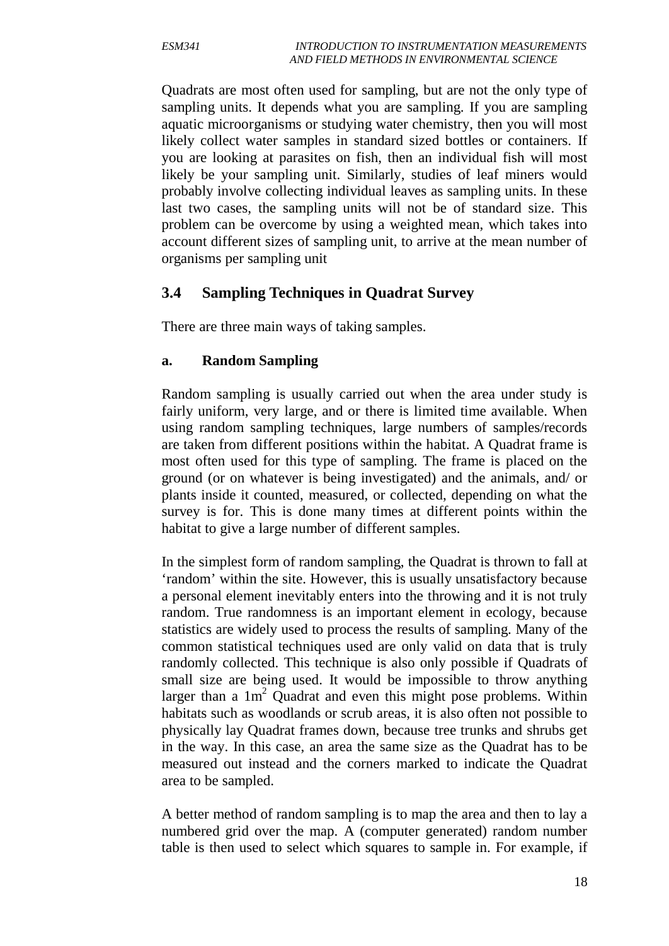Quadrats are most often used for sampling, but are not the only type of sampling units. It depends what you are sampling. If you are sampling aquatic microorganisms or studying water chemistry, then you will most likely collect water samples in standard sized bottles or containers. If you are looking at parasites on fish, then an individual fish will most likely be your sampling unit. Similarly, studies of leaf miners would probably involve collecting individual leaves as sampling units. In these last two cases, the sampling units will not be of standard size. This problem can be overcome by using a weighted mean, which takes into account different sizes of sampling unit, to arrive at the mean number of organisms per sampling unit

## **3.4 Sampling Techniques in Quadrat Survey**

There are three main ways of taking samples.

## **a. Random Sampling**

Random sampling is usually carried out when the area under study is fairly uniform, very large, and or there is limited time available. When using random sampling techniques, large numbers of samples/records are taken from different positions within the habitat. A Quadrat frame is most often used for this type of sampling. The frame is placed on the ground (or on whatever is being investigated) and the animals, and/ or plants inside it counted, measured, or collected, depending on what the survey is for. This is done many times at different points within the habitat to give a large number of different samples.

In the simplest form of random sampling, the Quadrat is thrown to fall at 'random' within the site. However, this is usually unsatisfactory because a personal element inevitably enters into the throwing and it is not truly random. True randomness is an important element in ecology, because statistics are widely used to process the results of sampling. Many of the common statistical techniques used are only valid on data that is truly randomly collected. This technique is also only possible if Quadrats of small size are being used. It would be impossible to throw anything larger than a  $1m^2$  Quadrat and even this might pose problems. Within habitats such as woodlands or scrub areas, it is also often not possible to physically lay Quadrat frames down, because tree trunks and shrubs get in the way. In this case, an area the same size as the Quadrat has to be measured out instead and the corners marked to indicate the Quadrat area to be sampled.

A better method of random sampling is to map the area and then to lay a numbered grid over the map. A (computer generated) random number table is then used to select which squares to sample in. For example, if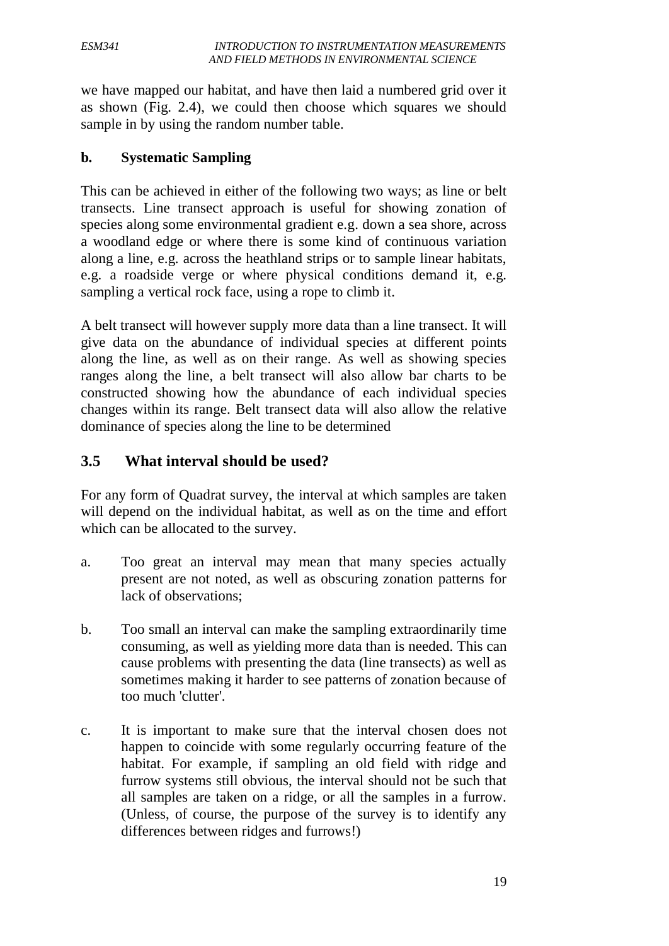we have mapped our habitat, and have then laid a numbered grid over it as shown (Fig. 2.4), we could then choose which squares we should sample in by using the random number table.

## **b. Systematic Sampling**

This can be achieved in either of the following two ways; as line or belt transects. Line transect approach is useful for showing zonation of species along some environmental gradient e.g. down a sea shore, across a woodland edge or where there is some kind of continuous variation along a line, e.g. across the heathland strips or to sample linear habitats, e.g. a roadside verge or where physical conditions demand it, e.g. sampling a vertical rock face, using a rope to climb it.

A belt transect will however supply more data than a line transect. It will give data on the abundance of individual species at different points along the line, as well as on their range. As well as showing species ranges along the line, a belt transect will also allow bar charts to be constructed showing how the abundance of each individual species changes within its range. Belt transect data will also allow the relative dominance of species along the line to be determined

# **3.5 What interval should be used?**

For any form of Quadrat survey, the interval at which samples are taken will depend on the individual habitat, as well as on the time and effort which can be allocated to the survey.

- a. Too great an interval may mean that many species actually present are not noted, as well as obscuring zonation patterns for lack of observations;
- b. Too small an interval can make the sampling extraordinarily time consuming, as well as yielding more data than is needed. This can cause problems with presenting the data (line transects) as well as sometimes making it harder to see patterns of zonation because of too much 'clutter'.
- c. It is important to make sure that the interval chosen does not happen to coincide with some regularly occurring feature of the habitat. For example, if sampling an old field with ridge and furrow systems still obvious, the interval should not be such that all samples are taken on a ridge, or all the samples in a furrow. (Unless, of course, the purpose of the survey is to identify any differences between ridges and furrows!)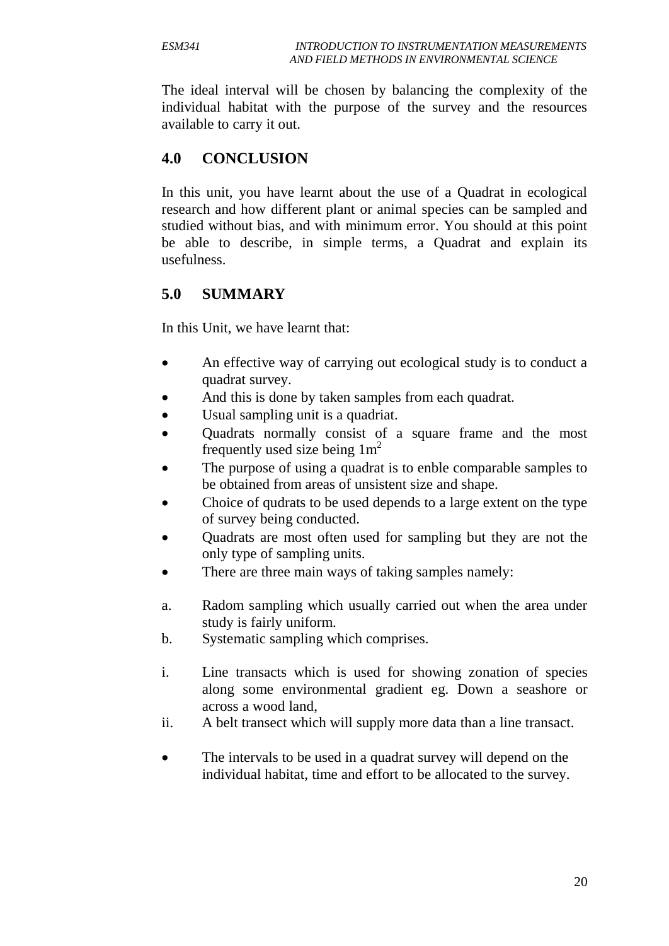The ideal interval will be chosen by balancing the complexity of the individual habitat with the purpose of the survey and the resources available to carry it out.

# **4.0 CONCLUSION**

In this unit, you have learnt about the use of a Quadrat in ecological research and how different plant or animal species can be sampled and studied without bias, and with minimum error. You should at this point be able to describe, in simple terms, a Quadrat and explain its usefulness.

# **5.0 SUMMARY**

In this Unit, we have learnt that:

- An effective way of carrying out ecological study is to conduct a quadrat survey.
- And this is done by taken samples from each quadrat.
- Usual sampling unit is a quadriat.
- Quadrats normally consist of a square frame and the most frequently used size being  $1m<sup>2</sup>$
- The purpose of using a quadrat is to enble comparable samples to be obtained from areas of unsistent size and shape.
- Choice of qudrats to be used depends to a large extent on the type of survey being conducted.
- Quadrats are most often used for sampling but they are not the only type of sampling units.
- There are three main ways of taking samples namely:
- a. Radom sampling which usually carried out when the area under study is fairly uniform.
- b. Systematic sampling which comprises.
- i. Line transacts which is used for showing zonation of species along some environmental gradient eg. Down a seashore or across a wood land,
- ii. A belt transect which will supply more data than a line transact.
- The intervals to be used in a quadrat survey will depend on the individual habitat, time and effort to be allocated to the survey.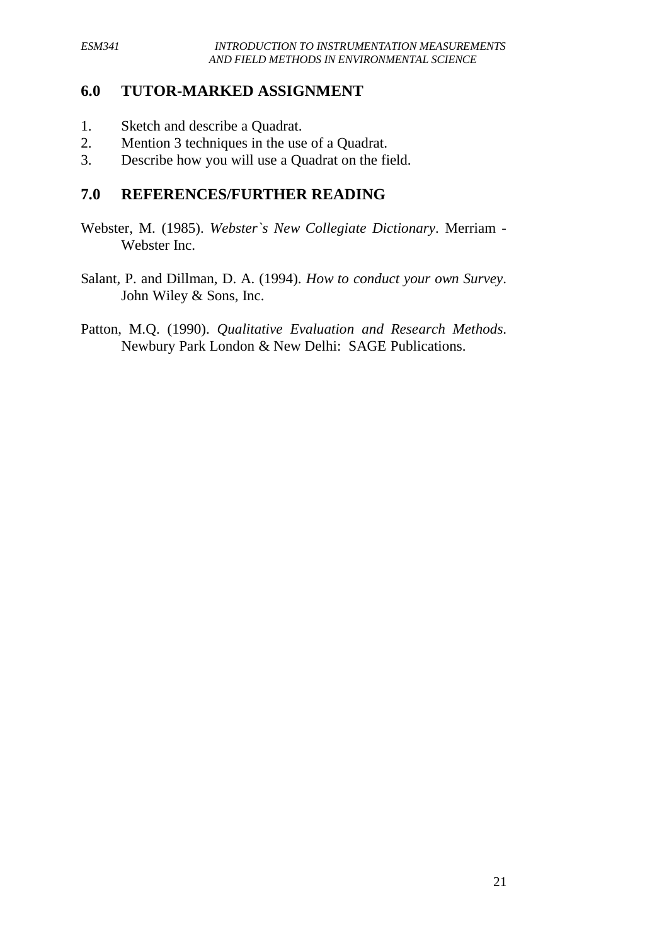## **6.0 TUTOR-MARKED ASSIGNMENT**

- 1. Sketch and describe a Quadrat.
- 2. Mention 3 techniques in the use of a Quadrat.
- 3. Describe how you will use a Quadrat on the field.

## **7.0 REFERENCES/FURTHER READING**

- Webster, M. (1985). *Webster`s New Collegiate Dictionary*. Merriam Webster Inc.
- Salant, P. and Dillman, D. A. (1994). *How to conduct your own Survey*. John Wiley & Sons, Inc.
- Patton, M.Q. (1990). *Qualitative Evaluation and Research Methods*. Newbury Park London & New Delhi: SAGE Publications.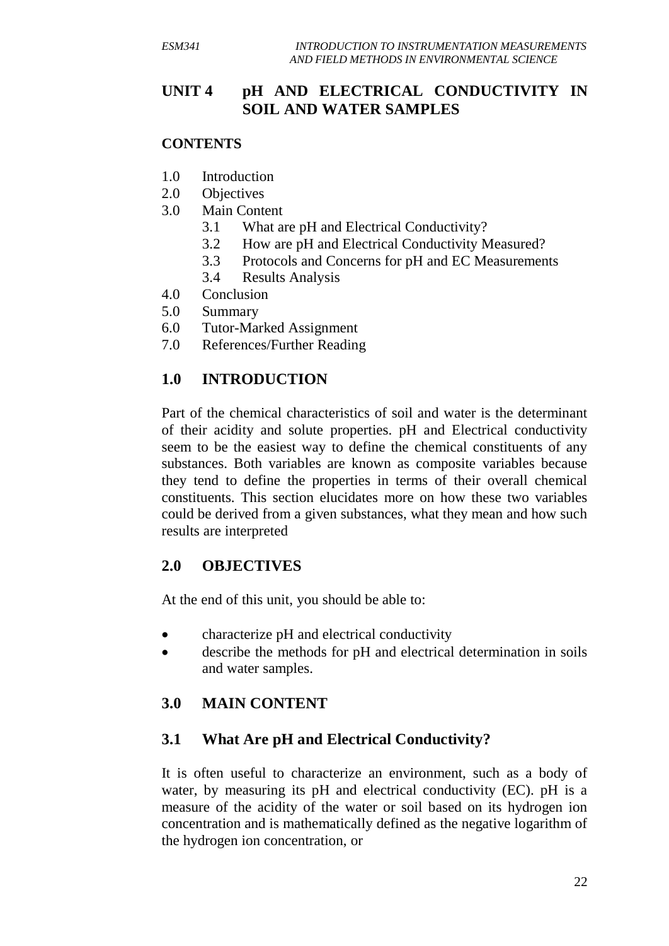# **UNIT 4 pH AND ELECTRICAL CONDUCTIVITY IN SOIL AND WATER SAMPLES**

## **CONTENTS**

- 1.0 Introduction
- 2.0 Objectives
- 3.0 Main Content
	- 3.1 What are pH and Electrical Conductivity?
	- 3.2 How are pH and Electrical Conductivity Measured?
	- 3.3 Protocols and Concerns for pH and EC Measurements
	- 3.4 Results Analysis
- 4.0 Conclusion
- 5.0 Summary
- 6.0 Tutor-Marked Assignment
- 7.0 References/Further Reading

# **1.0 INTRODUCTION**

Part of the chemical characteristics of soil and water is the determinant of their acidity and solute properties. pH and Electrical conductivity seem to be the easiest way to define the chemical constituents of any substances. Both variables are known as composite variables because they tend to define the properties in terms of their overall chemical constituents. This section elucidates more on how these two variables could be derived from a given substances, what they mean and how such results are interpreted

## **2.0 OBJECTIVES**

At the end of this unit, you should be able to:

- characterize pH and electrical conductivity
- describe the methods for pH and electrical determination in soils and water samples.

## **3.0 MAIN CONTENT**

# **3.1 What Are pH and Electrical Conductivity?**

It is often useful to characterize an environment, such as a body of water, by measuring its pH and electrical conductivity (EC). pH is a measure of the acidity of the water or soil based on its hydrogen ion concentration and is mathematically defined as the negative logarithm of the hydrogen ion concentration, or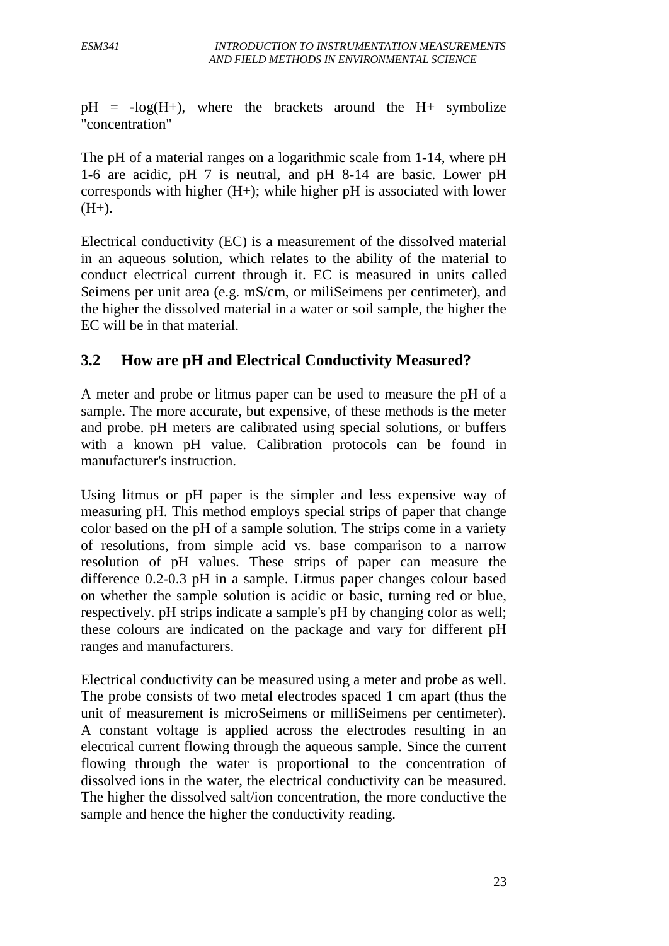$pH = -log(H+)$ , where the brackets around the H+ symbolize "concentration"

The pH of a material ranges on a logarithmic scale from 1-14, where pH 1-6 are acidic, pH 7 is neutral, and pH 8-14 are basic. Lower pH corresponds with higher  $(H+)$ ; while higher pH is associated with lower  $(H+)$ .

Electrical conductivity (EC) is a measurement of the dissolved material in an aqueous solution, which relates to the ability of the material to conduct electrical current through it. EC is measured in units called Seimens per unit area (e.g. mS/cm, or miliSeimens per centimeter), and the higher the dissolved material in a water or soil sample, the higher the EC will be in that material.

# **3.2 How are pH and Electrical Conductivity Measured?**

A meter and probe or litmus paper can be used to measure the pH of a sample. The more accurate, but expensive, of these methods is the meter and probe. pH meters are calibrated using special solutions, or buffers with a known pH value. Calibration protocols can be found in manufacturer's instruction.

Using litmus or pH paper is the simpler and less expensive way of measuring pH. This method employs special strips of paper that change color based on the pH of a sample solution. The strips come in a variety of resolutions, from simple acid vs. base comparison to a narrow resolution of pH values. These strips of paper can measure the difference 0.2-0.3 pH in a sample. Litmus paper changes colour based on whether the sample solution is acidic or basic, turning red or blue, respectively. pH strips indicate a sample's pH by changing color as well; these colours are indicated on the package and vary for different pH ranges and manufacturers.

Electrical conductivity can be measured using a meter and probe as well. The probe consists of two metal electrodes spaced 1 cm apart (thus the unit of measurement is microSeimens or milliSeimens per centimeter). A constant voltage is applied across the electrodes resulting in an electrical current flowing through the aqueous sample. Since the current flowing through the water is proportional to the concentration of dissolved ions in the water, the electrical conductivity can be measured. The higher the dissolved salt/ion concentration, the more conductive the sample and hence the higher the conductivity reading.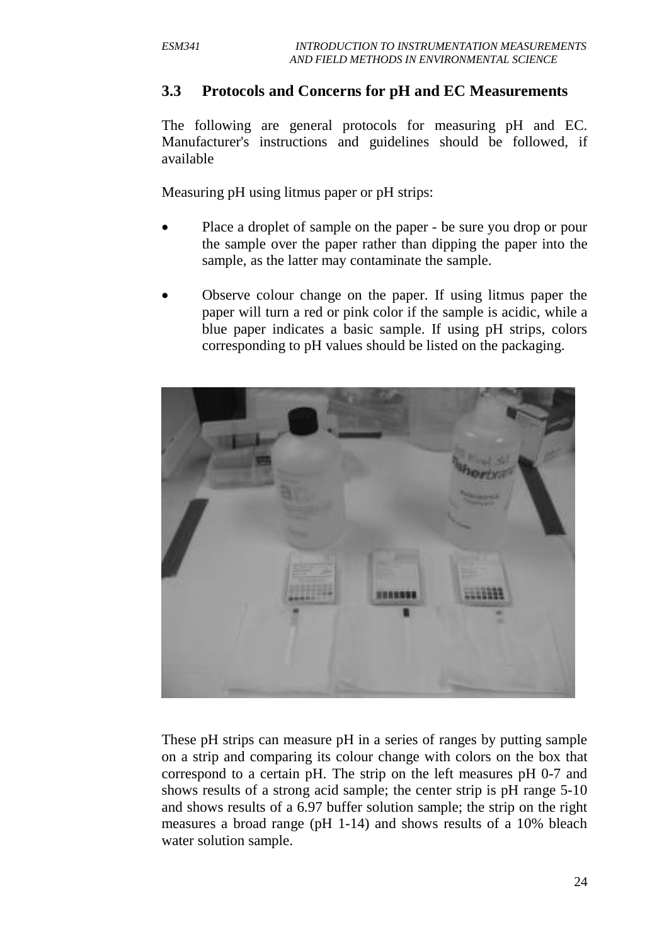#### **3.3 Protocols and Concerns for pH and EC Measurements**

The following are general protocols for measuring pH and EC. Manufacturer's instructions and guidelines should be followed, if available

Measuring pH using litmus paper or pH strips:

- Place a droplet of sample on the paper be sure you drop or pour the sample over the paper rather than dipping the paper into the sample, as the latter may contaminate the sample.
- Observe colour change on the paper. If using litmus paper the paper will turn a red or pink color if the sample is acidic, while a blue paper indicates a basic sample. If using pH strips, colors corresponding to pH values should be listed on the packaging.



These pH strips can measure pH in a series of ranges by putting sample on a strip and comparing its colour change with colors on the box that correspond to a certain pH. The strip on the left measures pH 0-7 and shows results of a strong acid sample; the center strip is pH range 5-10 and shows results of a 6.97 buffer solution sample; the strip on the right measures a broad range (pH 1-14) and shows results of a 10% bleach water solution sample.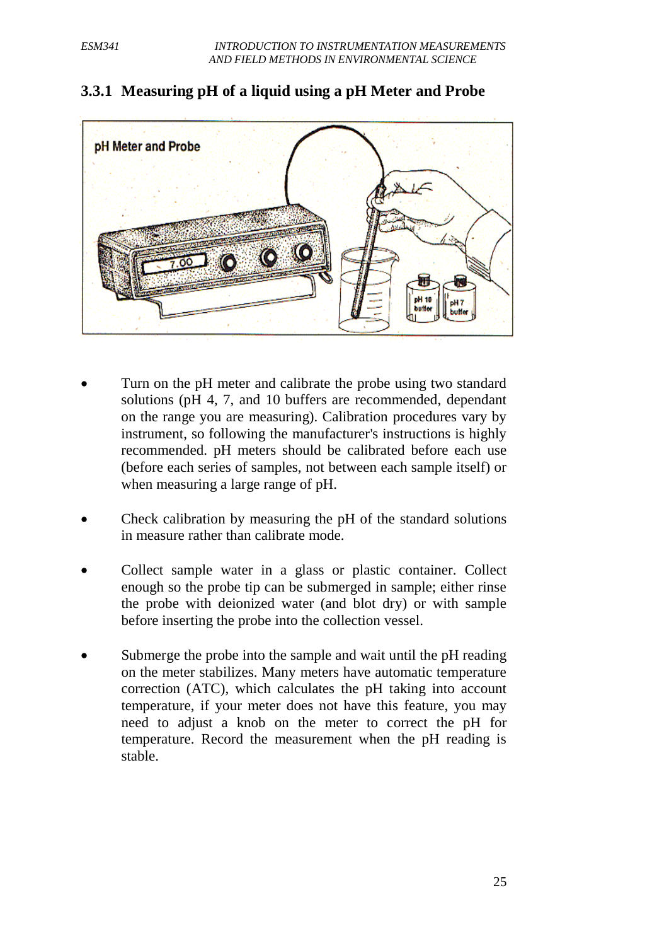

#### **3.3.1 Measuring pH of a liquid using a pH Meter and Probe**

- Turn on the pH meter and calibrate the probe using two standard solutions (pH 4, 7, and 10 buffers are recommended, dependant on the range you are measuring). Calibration procedures vary by instrument, so following the manufacturer's instructions is highly recommended. pH meters should be calibrated before each use (before each series of samples, not between each sample itself) or when measuring a large range of pH.
- Check calibration by measuring the pH of the standard solutions in measure rather than calibrate mode.
- Collect sample water in a glass or plastic container. Collect enough so the probe tip can be submerged in sample; either rinse the probe with deionized water (and blot dry) or with sample before inserting the probe into the collection vessel.
- Submerge the probe into the sample and wait until the pH reading on the meter stabilizes. Many meters have automatic temperature correction (ATC), which calculates the pH taking into account temperature, if your meter does not have this feature, you may need to adjust a knob on the meter to correct the pH for temperature. Record the measurement when the pH reading is stable.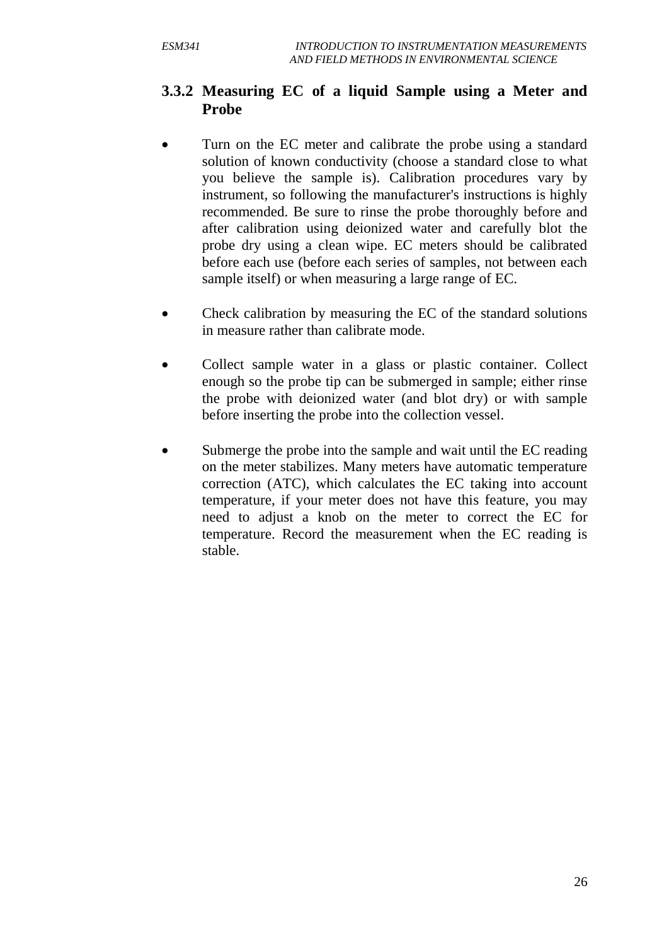# **3.3.2 Measuring EC of a liquid Sample using a Meter and Probe**

- Turn on the EC meter and calibrate the probe using a standard solution of known conductivity (choose a standard close to what you believe the sample is). Calibration procedures vary by instrument, so following the manufacturer's instructions is highly recommended. Be sure to rinse the probe thoroughly before and after calibration using deionized water and carefully blot the probe dry using a clean wipe. EC meters should be calibrated before each use (before each series of samples, not between each sample itself) or when measuring a large range of EC.
- Check calibration by measuring the EC of the standard solutions in measure rather than calibrate mode.
- Collect sample water in a glass or plastic container. Collect enough so the probe tip can be submerged in sample; either rinse the probe with deionized water (and blot dry) or with sample before inserting the probe into the collection vessel.
- Submerge the probe into the sample and wait until the EC reading on the meter stabilizes. Many meters have automatic temperature correction (ATC), which calculates the EC taking into account temperature, if your meter does not have this feature, you may need to adjust a knob on the meter to correct the EC for temperature. Record the measurement when the EC reading is stable.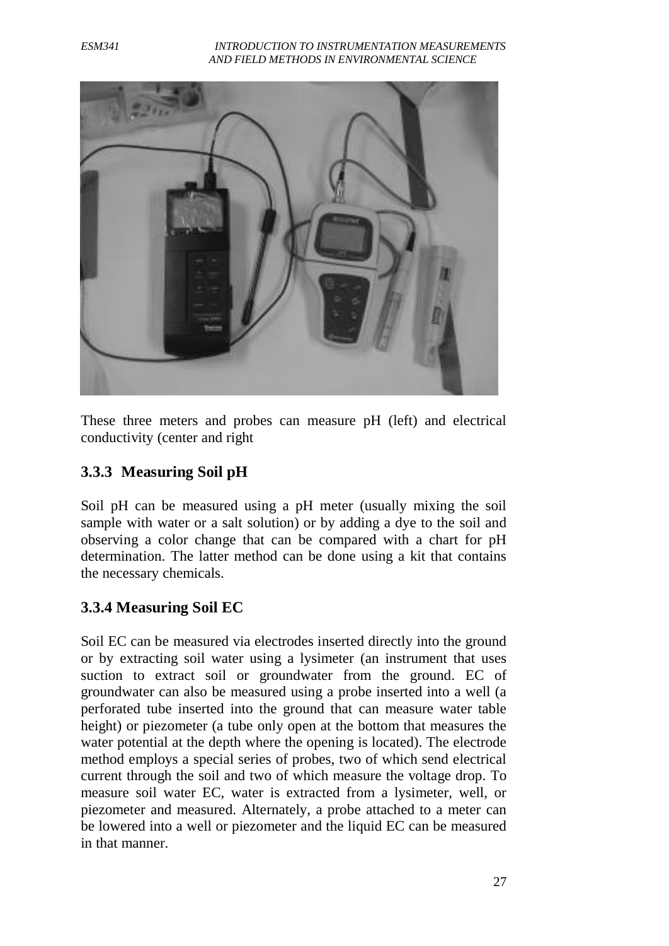*ESM341 INTRODUCTION TO INSTRUMENTATION MEASUREMENTS AND FIELD METHODS IN ENVIRONMENTAL SCIENCE*



These three meters and probes can measure pH (left) and electrical conductivity (center and right

#### **3.3.3 Measuring Soil pH**

Soil pH can be measured using a pH meter (usually mixing the soil sample with water or a salt solution) or by adding a dye to the soil and observing a color change that can be compared with a chart for pH determination. The latter method can be done using a kit that contains the necessary chemicals.

#### **3.3.4 Measuring Soil EC**

Soil EC can be measured via electrodes inserted directly into the ground or by extracting soil water using a lysimeter (an instrument that uses suction to extract soil or groundwater from the ground. EC of groundwater can also be measured using a probe inserted into a well (a perforated tube inserted into the ground that can measure water table height) or piezometer (a tube only open at the bottom that measures the water potential at the depth where the opening is located). The electrode method employs a special series of probes, two of which send electrical current through the soil and two of which measure the voltage drop. To measure soil water EC, water is extracted from a lysimeter, well, or piezometer and measured. Alternately, a probe attached to a meter can be lowered into a well or piezometer and the liquid EC can be measured in that manner.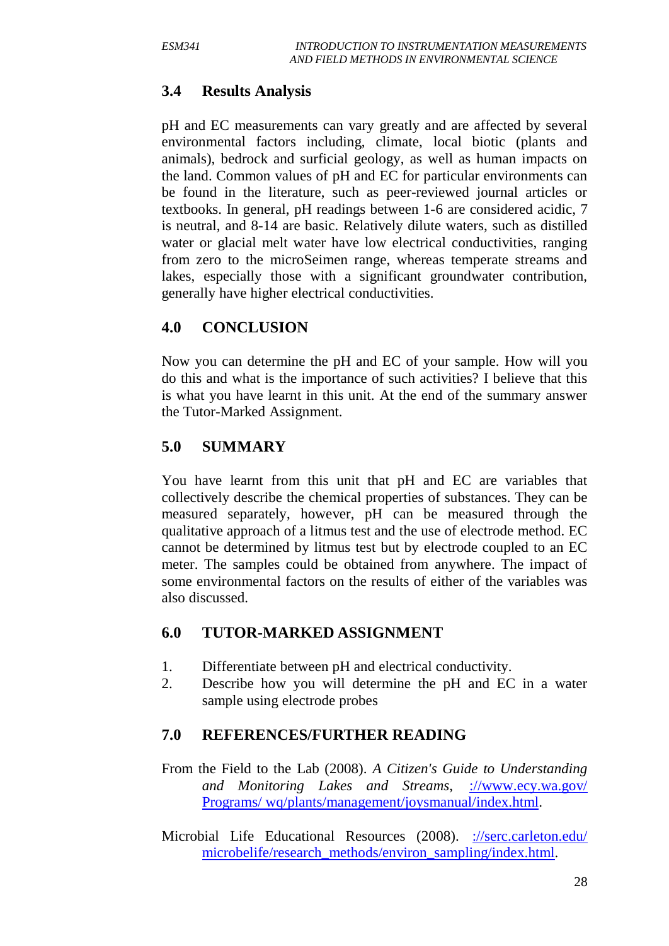# **3.4 Results Analysis**

pH and EC measurements can vary greatly and are affected by several environmental factors including, climate, local biotic (plants and animals), bedrock and surficial geology, as well as human impacts on the land. Common values of pH and EC for particular environments can be found in the literature, such as peer-reviewed journal articles or textbooks. In general, pH readings between 1-6 are considered acidic, 7 is neutral, and 8-14 are basic. Relatively dilute waters, such as distilled water or glacial melt water have low electrical conductivities, ranging from zero to the microSeimen range, whereas temperate streams and lakes, especially those with a significant groundwater contribution, generally have higher electrical conductivities.

# **4.0 CONCLUSION**

Now you can determine the pH and EC of your sample. How will you do this and what is the importance of such activities? I believe that this is what you have learnt in this unit. At the end of the summary answer the Tutor-Marked Assignment.

# **5.0 SUMMARY**

You have learnt from this unit that pH and EC are variables that collectively describe the chemical properties of substances. They can be measured separately, however, pH can be measured through the qualitative approach of a litmus test and the use of electrode method. EC cannot be determined by litmus test but by electrode coupled to an EC meter. The samples could be obtained from anywhere. The impact of some environmental factors on the results of either of the variables was also discussed.

#### **6.0 TUTOR-MARKED ASSIGNMENT**

- 1. Differentiate between pH and electrical conductivity.
- 2. Describe how you will determine the pH and EC in a water sample using electrode probes

#### **7.0 REFERENCES/FURTHER READING**

- From the Field to the Lab (2008). *A Citizen's Guide to Understanding and Monitoring Lakes and Streams*, [://www.ecy.wa.gov/](http://www.ecy.wa.gov/%20Programs/%20wq/plants/management/joysmanual/index.html)  [Programs/ wq/plants/management/joysmanual/index.html.](http://www.ecy.wa.gov/%20Programs/%20wq/plants/management/joysmanual/index.html)
- Microbial Life Educational Resources (2008). [://serc.carleton.edu/](http://serc.carleton.edu/%20microbelife/research_methods/environ_sampling/index.html)  [microbelife/research\\_methods/environ\\_sampling/index.html.](http://serc.carleton.edu/%20microbelife/research_methods/environ_sampling/index.html)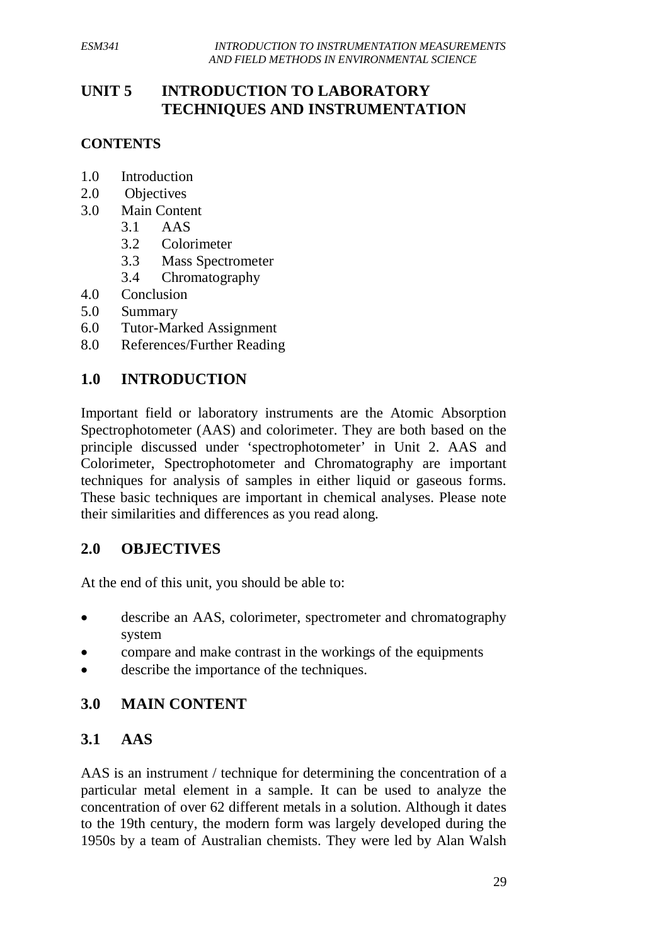# **UNIT 5 INTRODUCTION TO LABORATORY TECHNIQUES AND INSTRUMENTATION**

#### **CONTENTS**

- 1.0 Introduction
- 2.0 Objectives
- 3.0 Main Content
	- 3.1 AAS
	- 3.2 Colorimeter
	- 3.3 Mass Spectrometer
	- 3.4 Chromatography
- 4.0 Conclusion
- 5.0 Summary
- 6.0 Tutor-Marked Assignment
- 8.0 References/Further Reading

# **1.0 INTRODUCTION**

Important field or laboratory instruments are the Atomic Absorption Spectrophotometer (AAS) and colorimeter. They are both based on the principle discussed under 'spectrophotometer' in Unit 2. AAS and Colorimeter, Spectrophotometer and Chromatography are important techniques for analysis of samples in either liquid or gaseous forms. These basic techniques are important in chemical analyses. Please note their similarities and differences as you read along.

#### **2.0 OBJECTIVES**

At the end of this unit, you should be able to:

- describe an AAS, colorimeter, spectrometer and chromatography system
- compare and make contrast in the workings of the equipments
- describe the importance of the techniques.

# **3.0 MAIN CONTENT**

# **3.1 AAS**

AAS is an instrument / technique for determining the concentration of a particular metal element in a sample. It can be used to analyze the concentration of over 62 different metals in a solution. Although it dates to the 19th century, the modern form was largely developed during the 1950s by a team of Australian chemists. They were led by Alan Walsh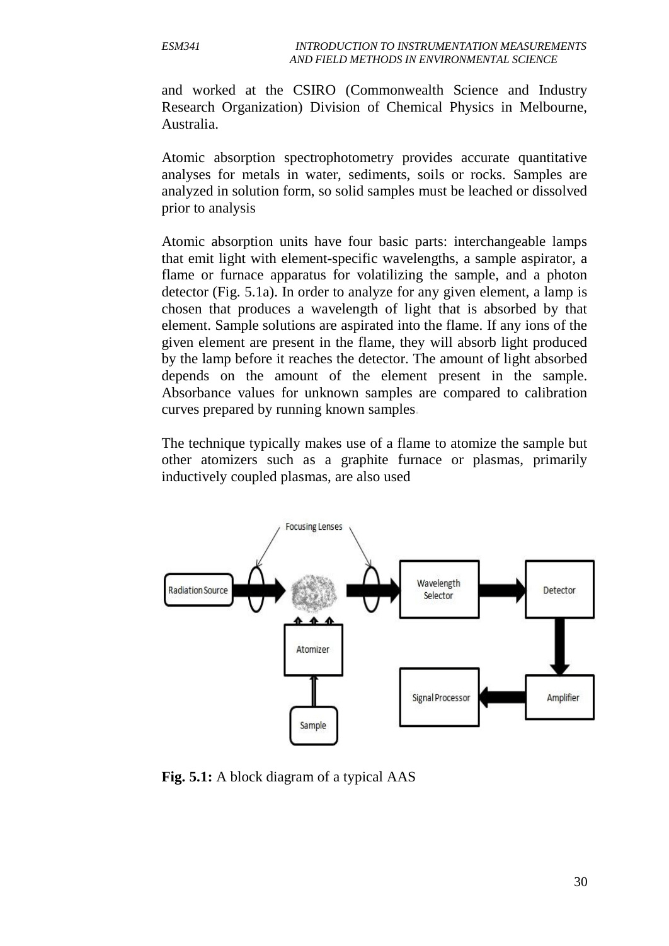and worked at the CSIRO (Commonwealth Science and Industry Research Organization) Division of Chemical Physics in Melbourne, Australia.

Atomic absorption spectrophotometry provides accurate quantitative analyses for metals in water, sediments, soils or rocks. Samples are analyzed in solution form, so solid samples must be leached or dissolved prior to analysis

Atomic absorption units have four basic parts: interchangeable lamps that emit light with element-specific wavelengths, a sample aspirator, a flame or furnace apparatus for volatilizing the sample, and a photon detector (Fig. 5.1a). In order to analyze for any given element, a lamp is chosen that produces a wavelength of light that is absorbed by that element. Sample solutions are aspirated into the flame. If any ions of the given element are present in the flame, they will absorb light produced by the lamp before it reaches the detector. The amount of light absorbed depends on the amount of the element present in the sample. Absorbance values for unknown samples are compared to calibration curves prepared by running known samples**.**

The technique typically makes use of a flame to atomize the sample but other atomizers such as a graphite furnace or plasmas, primarily inductively coupled plasmas, are also used



**Fig. 5.1:** A block diagram of a typical AAS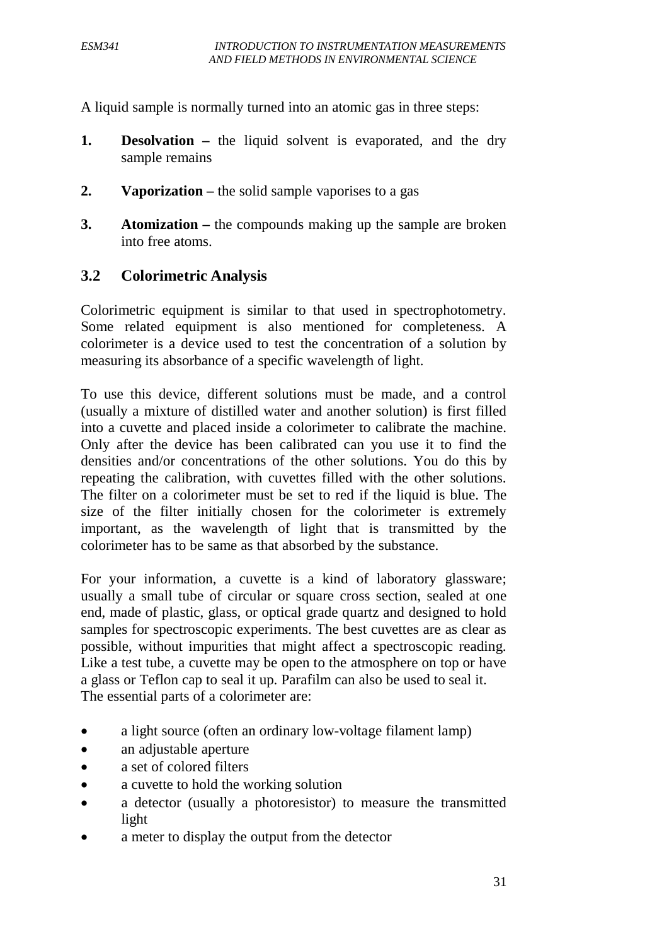A liquid sample is normally turned into an atomic gas in three steps:

- **1. Desolvation –** the liquid solvent is evaporated, and the dry sample remains
- **2. Vaporization –** the solid sample vaporises to a gas
- **3. Atomization –** the compounds making up the sample are broken into free atoms.

#### **3.2 Colorimetric Analysis**

Colorimetric equipment is similar to that used in spectrophotometry. Some related equipment is also mentioned for completeness. A colorimeter is a device used to test the concentration of a solution by measuring its absorbance of a specific wavelength of light.

To use this device, different solutions must be made, and a control (usually a mixture of distilled water and another solution) is first filled into a cuvette and placed inside a colorimeter to calibrate the machine. Only after the device has been calibrated can you use it to find the densities and/or concentrations of the other solutions. You do this by repeating the calibration, with cuvettes filled with the other solutions. The filter on a colorimeter must be set to red if the liquid is blue. The size of the filter initially chosen for the colorimeter is extremely important, as the wavelength of light that is transmitted by the colorimeter has to be same as that absorbed by the substance.

For your information, a cuvette is a kind of laboratory glassware; usually a small tube of circular or square cross section, sealed at one end, made of plastic, glass, or optical grade quartz and designed to hold samples for spectroscopic experiments. The best cuvettes are as clear as possible, without impurities that might affect a spectroscopic reading. Like a test tube, a cuvette may be open to the atmosphere on top or have a glass or Teflon cap to seal it up. Parafilm can also be used to seal it. The essential parts of a colorimeter are:

- a light source (often an ordinary low-voltage filament lamp)
- an adjustable [aperture](http://en.wikipedia.org/wiki/Aperture)
- a set of colored filters
- a cuvette to hold the working solution
- a detector (usually a photoresistor) to measure the transmitted light
- a meter to display the output from the detector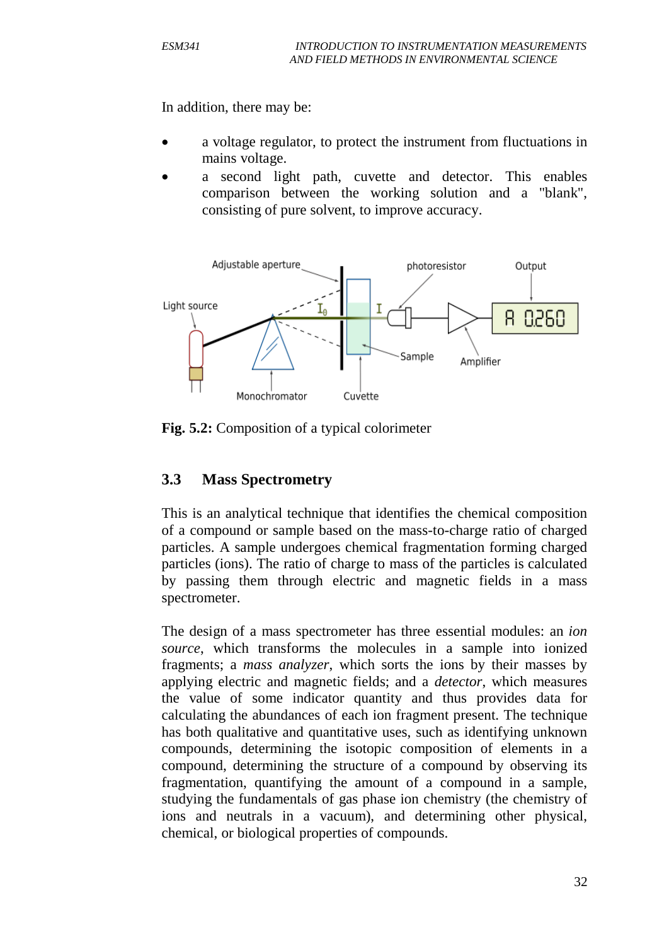In addition, there may be:

- a voltage regulator, to protect the instrument from fluctuations in mains voltage.
- a second light path, cuvette and detector. This enables comparison between the working solution and a "blank", consisting of pure solvent, to improve accuracy.



**Fig. 5.2:** Composition of a typical colorimeter

#### **3.3 Mass Spectrometry**

This is an analytical technique that identifies the chemical composition of a compound or sample based on the mass-to-charge ratio of charged particles. A sample undergoes chemical fragmentation forming charged particles (ions). The ratio of charge to mass of the particles is calculated by passing them through electric and magnetic fields in a mass spectrometer.

The design of a mass spectrometer has three essential modules: an *ion source*, which transforms the molecules in a sample into ionized fragments; a *mass analyzer*, which sorts the ions by their masses by applying electric and magnetic fields; and a *detector*, which measures the value of some indicator quantity and thus provides data for calculating the abundances of each ion fragment present. The technique has both qualitative and quantitative uses, such as identifying unknown compounds, determining the isotopic composition of elements in a compound, determining the structure of a compound by observing its fragmentation, quantifying the amount of a compound in a sample, studying the fundamentals of gas phase ion chemistry (the chemistry of ions and neutrals in a vacuum), and determining other physical, chemical, or biological properties of compounds.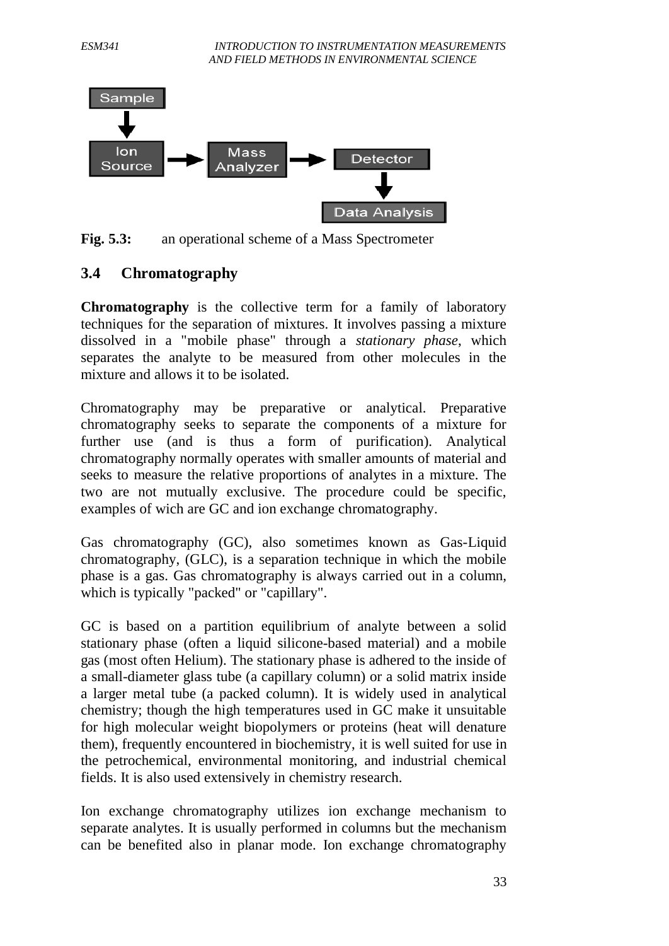

**Fig. 5.3:** an operational scheme of a Mass Spectrometer

#### **3.4 Chromatography**

**Chromatography** is the collective term for a family of laboratory techniques for the separation of mixtures. It involves passing a mixture dissolved in a "mobile phase" through a *stationary phase*, which separates the analyte to be measured from other molecules in the mixture and allows it to be isolated.

Data Analysis

Chromatography may be preparative or analytical. Preparative chromatography seeks to separate the components of a mixture for further use (and is thus a form of purification). Analytical chromatography normally operates with smaller amounts of material and seeks to measure the relative proportions of analytes in a mixture. The two are not mutually exclusive. The procedure could be specific, examples of wich are GC and ion exchange chromatography.

Gas chromatography (GC), also sometimes known as Gas-Liquid chromatography, (GLC), is a separation technique in which the mobile phase is a gas. Gas chromatography is always carried out in a column, which is typically "packed" or "capillary".

GC is based on a partition equilibrium of analyte between a solid stationary phase (often a liquid silicone-based material) and a mobile gas (most often Helium). The stationary phase is adhered to the inside of a small-diameter glass tube (a capillary column) or a solid matrix inside a larger metal tube (a packed column). It is widely used in analytical chemistry; though the high temperatures used in GC make it unsuitable for high molecular weight biopolymers or proteins (heat will denature them), frequently encountered in biochemistry, it is well suited for use in the petrochemical, environmental monitoring, and industrial chemical fields. It is also used extensively in chemistry research.

Ion exchange chromatography utilizes ion exchange mechanism to separate analytes. It is usually performed in columns but the mechanism can be benefited also in planar mode. Ion exchange chromatography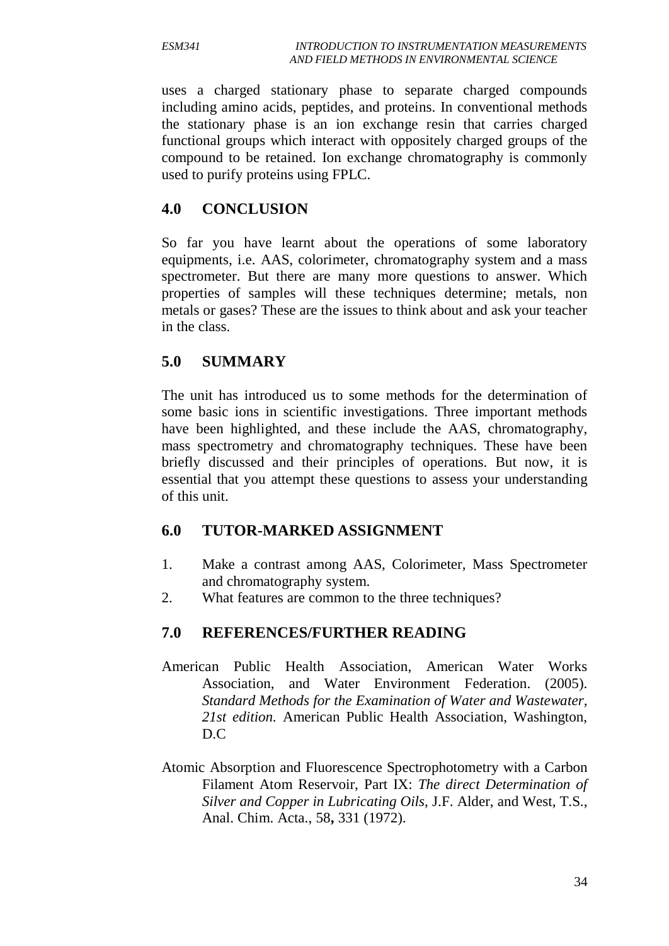uses a charged stationary phase to separate charged compounds including amino acids, peptides, and proteins. In conventional methods the stationary phase is an [ion exchange resin](http://en.wikipedia.org/wiki/Ion_exchange_resin) that carries charged functional groups which interact with oppositely charged groups of the compound to be retained. Ion exchange chromatography is commonly used to purify proteins using FPLC.

#### **4.0 CONCLUSION**

So far you have learnt about the operations of some laboratory equipments, i.e. AAS, colorimeter, chromatography system and a mass spectrometer. But there are many more questions to answer. Which properties of samples will these techniques determine; metals, non metals or gases? These are the issues to think about and ask your teacher in the class.

# **5.0 SUMMARY**

The unit has introduced us to some methods for the determination of some basic ions in scientific investigations. Three important methods have been highlighted, and these include the AAS, chromatography, mass spectrometry and chromatography techniques. These have been briefly discussed and their principles of operations. But now, it is essential that you attempt these questions to assess your understanding of this unit.

#### **6.0 TUTOR-MARKED ASSIGNMENT**

- 1. Make a contrast among AAS, Colorimeter, Mass Spectrometer and chromatography system.
- 2. What features are common to the three techniques?

# **7.0 REFERENCES/FURTHER READING**

- American Public Health Association, American Water Works Association, and Water Environment Federation. (2005). *Standard Methods for the Examination of Water and Wastewater, 21st edition.* American Public Health Association, Washington, D.C
- Atomic Absorption and Fluorescence Spectrophotometry with a Carbon Filament Atom Reservoir, Part IX: *The direct Determination of Silver and Copper in Lubricating Oils*, J.F. Alder, and West, T.S., Anal. Chim. Acta., 58**,** 331 (1972).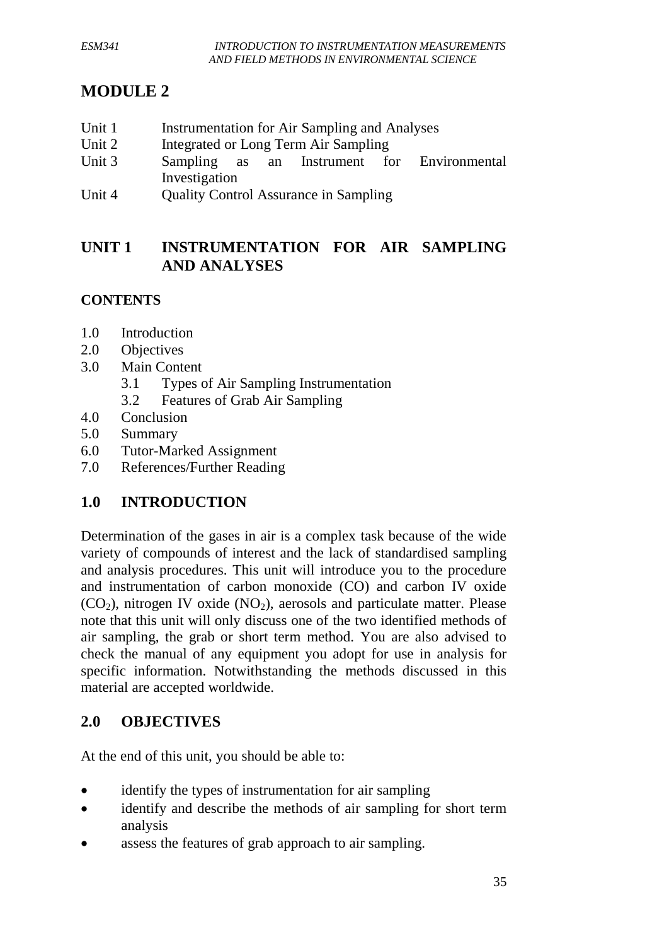# **MODULE 2**

- Unit 1 Instrumentation for Air Sampling and Analyses
- Unit 2 Integrated or Long Term Air Sampling
- Unit 3 Sampling as an Instrument for Environmental Investigation
- Unit 4 Ouality Control Assurance in Sampling

# **UNIT 1 INSTRUMENTATION FOR AIR SAMPLING AND ANALYSES**

# **CONTENTS**

- 1.0 Introduction
- 2.0 Objectives
- 3.0 Main Content
	- 3.1 Types of Air Sampling Instrumentation
	- 3.2 Features of Grab Air Sampling
- 4.0 Conclusion
- 5.0 Summary
- 6.0 Tutor-Marked Assignment
- 7.0 References/Further Reading

# **1.0 INTRODUCTION**

Determination of the gases in air is a complex task because of the wide variety of compounds of interest and the lack of standardised sampling and analysis procedures. This unit will introduce you to the procedure and instrumentation of carbon monoxide (CO) and carbon IV oxide  $(CO<sub>2</sub>)$ , nitrogen IV oxide  $(NO<sub>2</sub>)$ , aerosols and particulate matter. Please note that this unit will only discuss one of the two identified methods of air sampling, the grab or short term method. You are also advised to check the manual of any equipment you adopt for use in analysis for specific information. Notwithstanding the methods discussed in this material are accepted worldwide.

# **2.0 OBJECTIVES**

At the end of this unit, you should be able to:

- identify the types of instrumentation for air sampling
- identify and describe the methods of air sampling for short term analysis
- assess the features of grab approach to air sampling.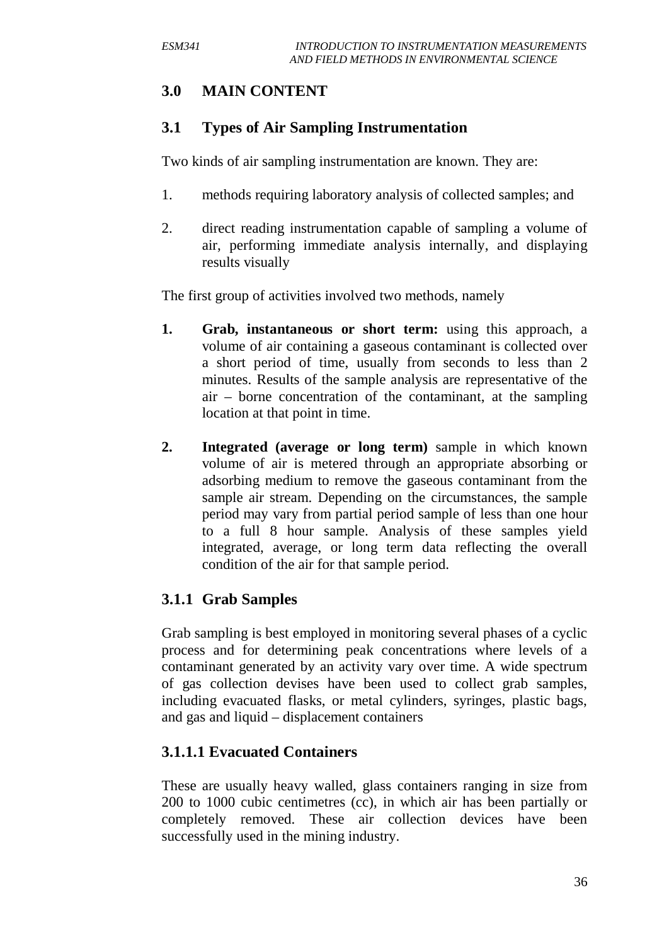# **3.0 MAIN CONTENT**

#### **3.1 Types of Air Sampling Instrumentation**

Two kinds of air sampling instrumentation are known. They are:

- 1. methods requiring laboratory analysis of collected samples; and
- 2. direct reading instrumentation capable of sampling a volume of air, performing immediate analysis internally, and displaying results visually

The first group of activities involved two methods, namely

- **1. Grab, instantaneous or short term:** using this approach, a volume of air containing a gaseous contaminant is collected over a short period of time, usually from seconds to less than 2 minutes. Results of the sample analysis are representative of the air – borne concentration of the contaminant, at the sampling location at that point in time.
- **2. Integrated (average or long term)** sample in which known volume of air is metered through an appropriate absorbing or adsorbing medium to remove the gaseous contaminant from the sample air stream. Depending on the circumstances, the sample period may vary from partial period sample of less than one hour to a full 8 hour sample. Analysis of these samples yield integrated, average, or long term data reflecting the overall condition of the air for that sample period.

# **3.1.1 Grab Samples**

Grab sampling is best employed in monitoring several phases of a cyclic process and for determining peak concentrations where levels of a contaminant generated by an activity vary over time. A wide spectrum of gas collection devises have been used to collect grab samples, including evacuated flasks, or metal cylinders, syringes, plastic bags, and gas and liquid – displacement containers

#### **3.1.1.1 Evacuated Containers**

These are usually heavy walled, glass containers ranging in size from 200 to 1000 cubic centimetres (cc), in which air has been partially or completely removed. These air collection devices have been successfully used in the mining industry.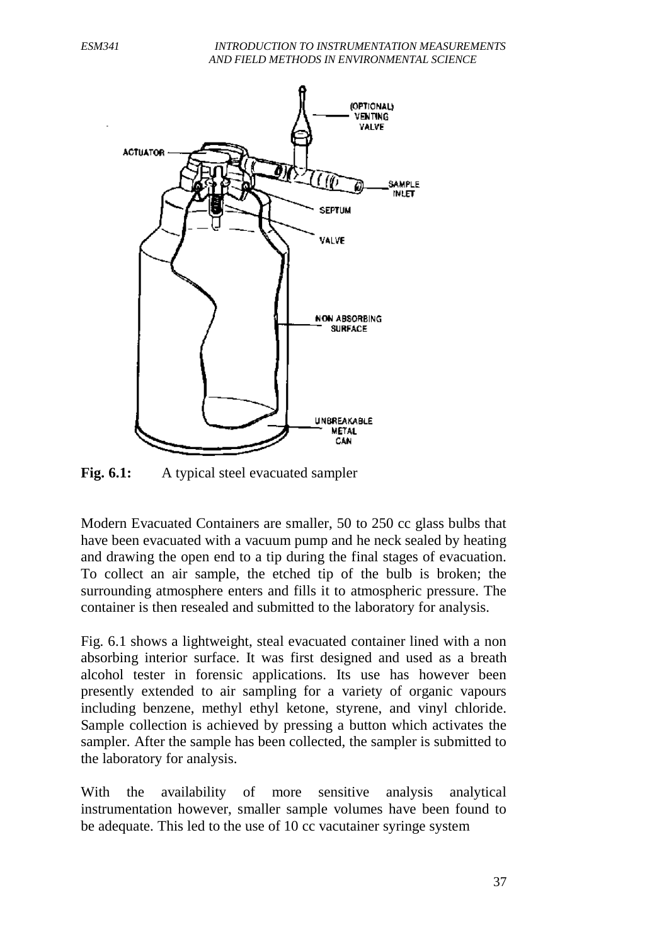

Fig. 6.1: A typical steel evacuated sampler

Modern Evacuated Containers are smaller, 50 to 250 cc glass bulbs that have been evacuated with a vacuum pump and he neck sealed by heating and drawing the open end to a tip during the final stages of evacuation. To collect an air sample, the etched tip of the bulb is broken; the surrounding atmosphere enters and fills it to atmospheric pressure. The container is then resealed and submitted to the laboratory for analysis.

Fig. 6.1 shows a lightweight, steal evacuated container lined with a non absorbing interior surface. It was first designed and used as a breath alcohol tester in forensic applications. Its use has however been presently extended to air sampling for a variety of organic vapours including benzene, methyl ethyl ketone, styrene, and vinyl chloride. Sample collection is achieved by pressing a button which activates the sampler. After the sample has been collected, the sampler is submitted to the laboratory for analysis.

With the availability of more sensitive analysis analytical instrumentation however, smaller sample volumes have been found to be adequate. This led to the use of 10 cc vacutainer syringe system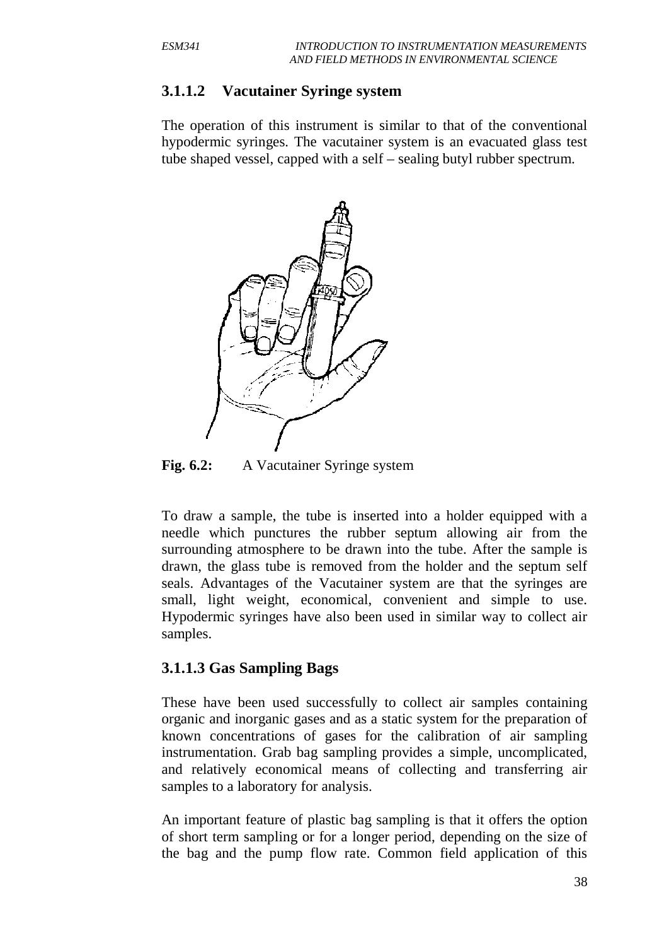#### **3.1.1.2 Vacutainer Syringe system**

The operation of this instrument is similar to that of the conventional hypodermic syringes. The vacutainer system is an evacuated glass test tube shaped vessel, capped with a self – sealing butyl rubber spectrum.



**Fig. 6.2:** A Vacutainer Syringe system

To draw a sample, the tube is inserted into a holder equipped with a needle which punctures the rubber septum allowing air from the surrounding atmosphere to be drawn into the tube. After the sample is drawn, the glass tube is removed from the holder and the septum self seals. Advantages of the Vacutainer system are that the syringes are small, light weight, economical, convenient and simple to use. Hypodermic syringes have also been used in similar way to collect air samples.

#### **3.1.1.3 Gas Sampling Bags**

These have been used successfully to collect air samples containing organic and inorganic gases and as a static system for the preparation of known concentrations of gases for the calibration of air sampling instrumentation. Grab bag sampling provides a simple, uncomplicated, and relatively economical means of collecting and transferring air samples to a laboratory for analysis.

An important feature of plastic bag sampling is that it offers the option of short term sampling or for a longer period, depending on the size of the bag and the pump flow rate. Common field application of this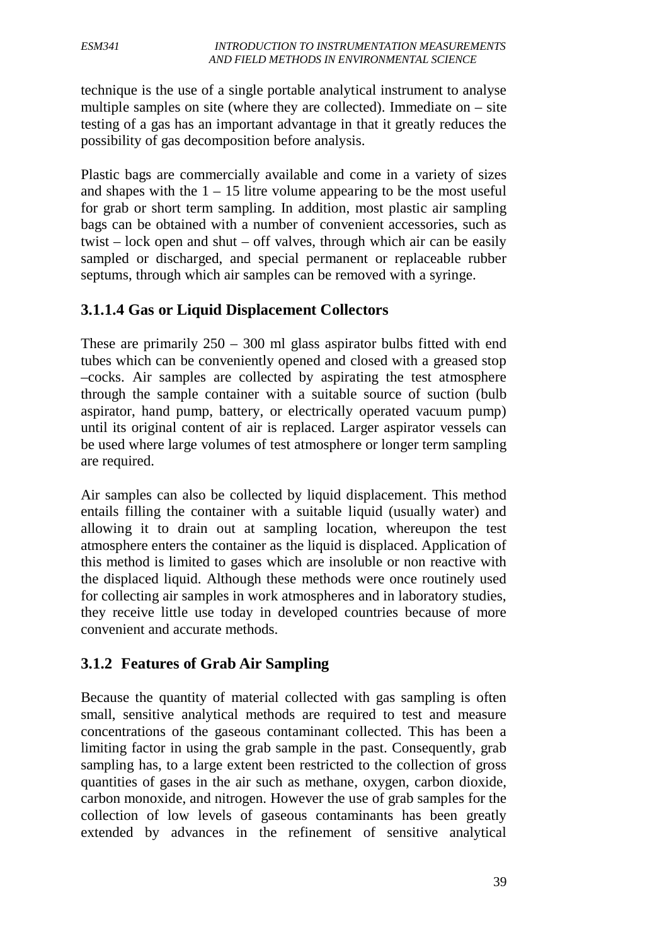technique is the use of a single portable analytical instrument to analyse multiple samples on site (where they are collected). Immediate on  $-$  site testing of a gas has an important advantage in that it greatly reduces the possibility of gas decomposition before analysis.

Plastic bags are commercially available and come in a variety of sizes and shapes with the  $1 - 15$  litre volume appearing to be the most useful for grab or short term sampling. In addition, most plastic air sampling bags can be obtained with a number of convenient accessories, such as twist – lock open and shut – off valves, through which air can be easily sampled or discharged, and special permanent or replaceable rubber septums, through which air samples can be removed with a syringe.

# **3.1.1.4 Gas or Liquid Displacement Collectors**

These are primarily  $250 - 300$  ml glass aspirator bulbs fitted with end tubes which can be conveniently opened and closed with a greased stop –cocks. Air samples are collected by aspirating the test atmosphere through the sample container with a suitable source of suction (bulb aspirator, hand pump, battery, or electrically operated vacuum pump) until its original content of air is replaced. Larger aspirator vessels can be used where large volumes of test atmosphere or longer term sampling are required.

Air samples can also be collected by liquid displacement. This method entails filling the container with a suitable liquid (usually water) and allowing it to drain out at sampling location, whereupon the test atmosphere enters the container as the liquid is displaced. Application of this method is limited to gases which are insoluble or non reactive with the displaced liquid. Although these methods were once routinely used for collecting air samples in work atmospheres and in laboratory studies, they receive little use today in developed countries because of more convenient and accurate methods.

#### **3.1.2 Features of Grab Air Sampling**

Because the quantity of material collected with gas sampling is often small, sensitive analytical methods are required to test and measure concentrations of the gaseous contaminant collected. This has been a limiting factor in using the grab sample in the past. Consequently, grab sampling has, to a large extent been restricted to the collection of gross quantities of gases in the air such as methane, oxygen, carbon dioxide, carbon monoxide, and nitrogen. However the use of grab samples for the collection of low levels of gaseous contaminants has been greatly extended by advances in the refinement of sensitive analytical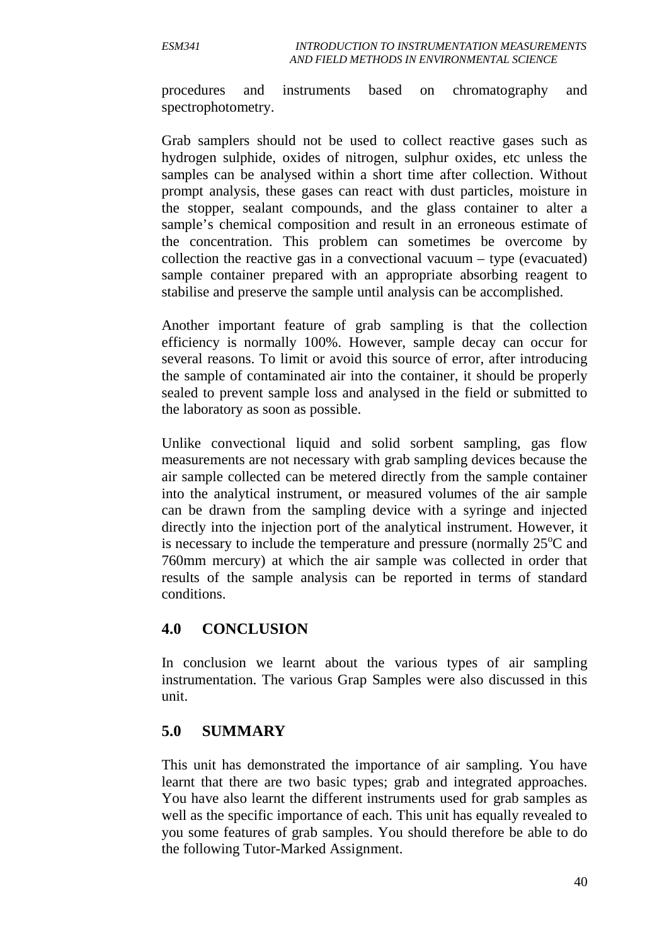procedures and instruments based on chromatography and spectrophotometry.

Grab samplers should not be used to collect reactive gases such as hydrogen sulphide, oxides of nitrogen, sulphur oxides, etc unless the samples can be analysed within a short time after collection. Without prompt analysis, these gases can react with dust particles, moisture in the stopper, sealant compounds, and the glass container to alter a sample's chemical composition and result in an erroneous estimate of the concentration. This problem can sometimes be overcome by collection the reactive gas in a convectional vacuum – type (evacuated) sample container prepared with an appropriate absorbing reagent to stabilise and preserve the sample until analysis can be accomplished.

Another important feature of grab sampling is that the collection efficiency is normally 100%. However, sample decay can occur for several reasons. To limit or avoid this source of error, after introducing the sample of contaminated air into the container, it should be properly sealed to prevent sample loss and analysed in the field or submitted to the laboratory as soon as possible.

Unlike convectional liquid and solid sorbent sampling, gas flow measurements are not necessary with grab sampling devices because the air sample collected can be metered directly from the sample container into the analytical instrument, or measured volumes of the air sample can be drawn from the sampling device with a syringe and injected directly into the injection port of the analytical instrument. However, it is necessary to include the temperature and pressure (normally  $25^{\circ}$ C and 760mm mercury) at which the air sample was collected in order that results of the sample analysis can be reported in terms of standard conditions.

#### **4.0 CONCLUSION**

In conclusion we learnt about the various types of air sampling instrumentation. The various Grap Samples were also discussed in this unit.

#### **5.0 SUMMARY**

This unit has demonstrated the importance of air sampling. You have learnt that there are two basic types; grab and integrated approaches. You have also learnt the different instruments used for grab samples as well as the specific importance of each. This unit has equally revealed to you some features of grab samples. You should therefore be able to do the following Tutor-Marked Assignment.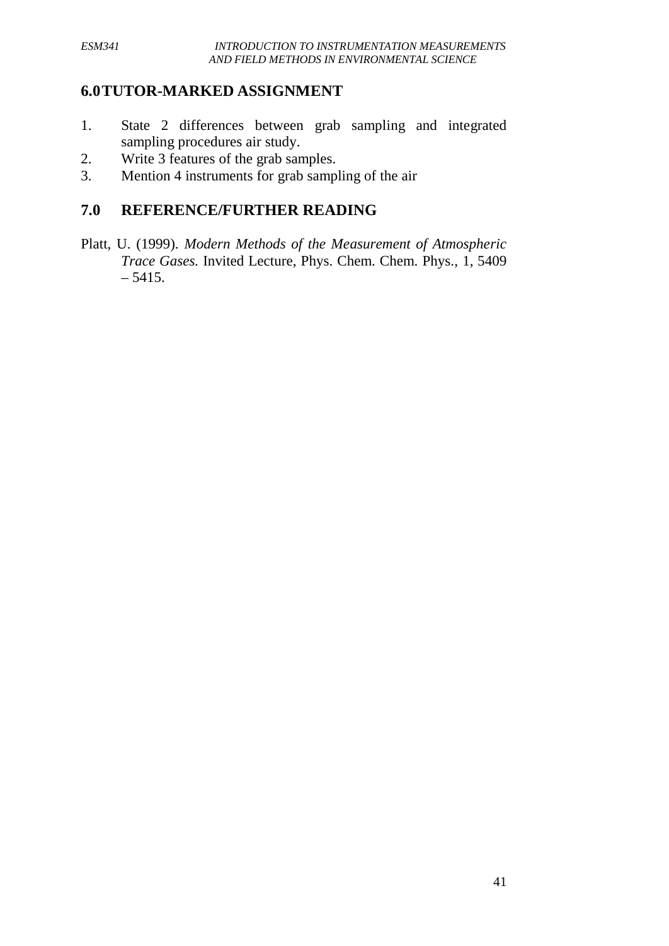#### **6.0TUTOR-MARKED ASSIGNMENT**

- 1. State 2 differences between grab sampling and integrated sampling procedures air study.
- 2. Write 3 features of the grab samples.
- 3. Mention 4 instruments for grab sampling of the air

#### **7.0 REFERENCE/FURTHER READING**

Platt, U. (1999). *Modern Methods of the Measurement of Atmospheric Trace Gases.* Invited Lecture, Phys. Chem. Chem. Phys., 1, 5409  $-5415.$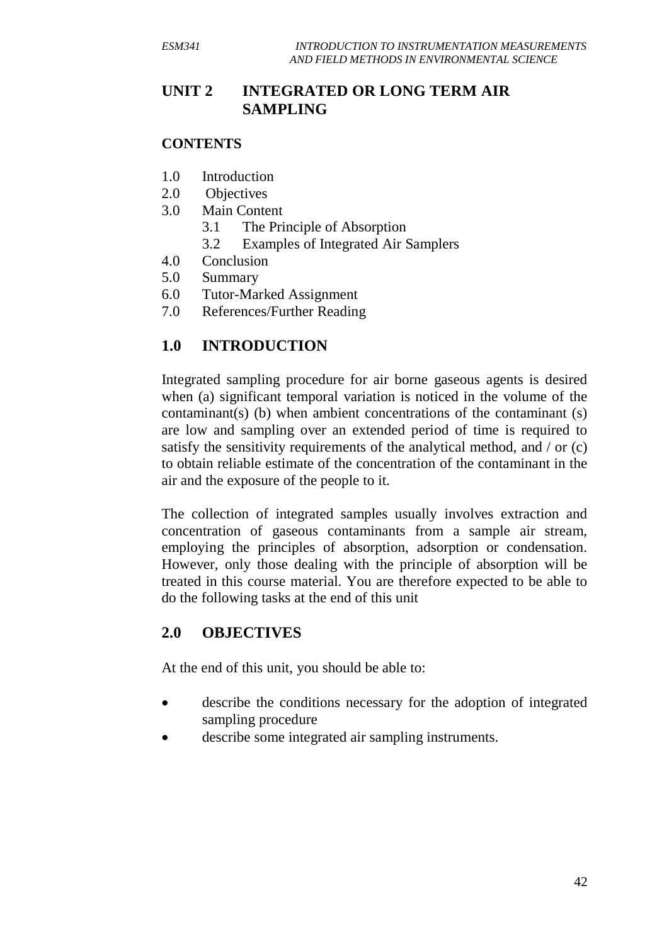# **UNIT 2 INTEGRATED OR LONG TERM AIR SAMPLING**

#### **CONTENTS**

- 1.0 Introduction
- 2.0 Objectives
- 3.0 Main Content
	- 3.1 The Principle of Absorption
	- 3.2 Examples of Integrated Air Samplers
- 4.0 Conclusion
- 5.0 Summary
- 6.0 Tutor-Marked Assignment
- 7.0 References/Further Reading

# **1.0 INTRODUCTION**

Integrated sampling procedure for air borne gaseous agents is desired when (a) significant temporal variation is noticed in the volume of the contaminant(s) (b) when ambient concentrations of the contaminant (s) are low and sampling over an extended period of time is required to satisfy the sensitivity requirements of the analytical method, and / or (c) to obtain reliable estimate of the concentration of the contaminant in the air and the exposure of the people to it.

The collection of integrated samples usually involves extraction and concentration of gaseous contaminants from a sample air stream, employing the principles of absorption, adsorption or condensation. However, only those dealing with the principle of absorption will be treated in this course material. You are therefore expected to be able to do the following tasks at the end of this unit

#### **2.0 OBJECTIVES**

At the end of this unit, you should be able to:

- describe the conditions necessary for the adoption of integrated sampling procedure
- describe some integrated air sampling instruments.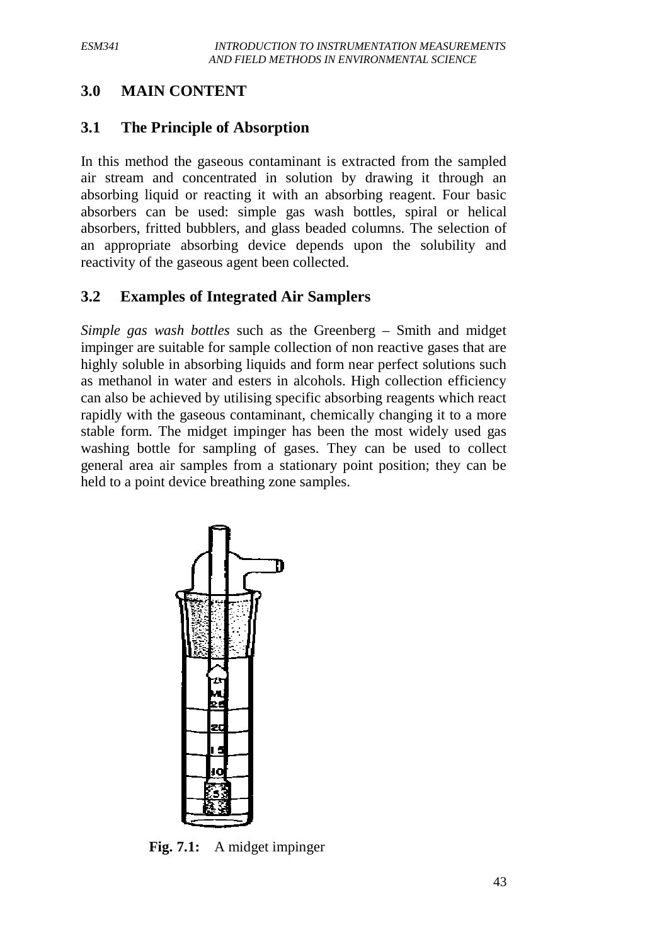# **3.0 MAIN CONTENT**

#### **3.1 The Principle of Absorption**

In this method the gaseous contaminant is extracted from the sampled air stream and concentrated in solution by drawing it through an absorbing liquid or reacting it with an absorbing reagent. Four basic absorbers can be used: simple gas wash bottles, spiral or helical absorbers, fritted bubblers, and glass beaded columns. The selection of an appropriate absorbing device depends upon the solubility and reactivity of the gaseous agent been collected.

#### **3.2 Examples of Integrated Air Samplers**

*Simple gas wash bottles* such as the Greenberg – Smith and midget impinger are suitable for sample collection of non reactive gases that are highly soluble in absorbing liquids and form near perfect solutions such as methanol in water and esters in alcohols. High collection efficiency can also be achieved by utilising specific absorbing reagents which react rapidly with the gaseous contaminant, chemically changing it to a more stable form. The midget impinger has been the most widely used gas washing bottle for sampling of gases. They can be used to collect general area air samples from a stationary point position; they can be held to a point device breathing zone samples.



**Fig. 7.1:** A midget impinger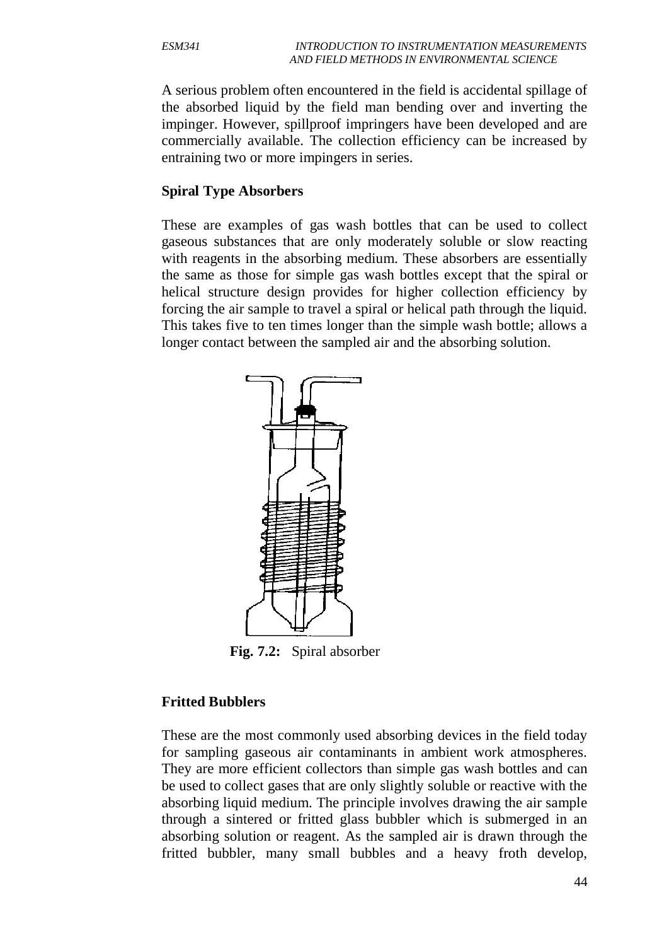A serious problem often encountered in the field is accidental spillage of the absorbed liquid by the field man bending over and inverting the impinger. However, spillproof impringers have been developed and are commercially available. The collection efficiency can be increased by entraining two or more impingers in series.

#### **Spiral Type Absorbers**

These are examples of gas wash bottles that can be used to collect gaseous substances that are only moderately soluble or slow reacting with reagents in the absorbing medium. These absorbers are essentially the same as those for simple gas wash bottles except that the spiral or helical structure design provides for higher collection efficiency by forcing the air sample to travel a spiral or helical path through the liquid. This takes five to ten times longer than the simple wash bottle; allows a longer contact between the sampled air and the absorbing solution.



**Fig. 7.2:** Spiral absorber

#### **Fritted Bubblers**

These are the most commonly used absorbing devices in the field today for sampling gaseous air contaminants in ambient work atmospheres. They are more efficient collectors than simple gas wash bottles and can be used to collect gases that are only slightly soluble or reactive with the absorbing liquid medium. The principle involves drawing the air sample through a sintered or fritted glass bubbler which is submerged in an absorbing solution or reagent. As the sampled air is drawn through the fritted bubbler, many small bubbles and a heavy froth develop,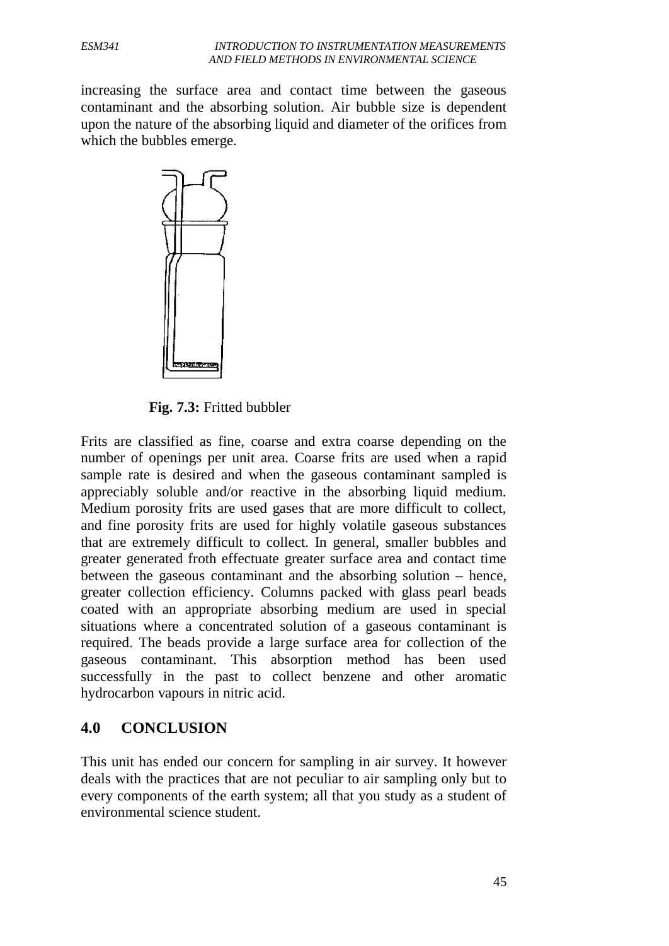increasing the surface area and contact time between the gaseous contaminant and the absorbing solution. Air bubble size is dependent upon the nature of the absorbing liquid and diameter of the orifices from which the bubbles emerge.



**Fig. 7.3:** Fritted bubbler

Frits are classified as fine, coarse and extra coarse depending on the number of openings per unit area. Coarse frits are used when a rapid sample rate is desired and when the gaseous contaminant sampled is appreciably soluble and/or reactive in the absorbing liquid medium. Medium porosity frits are used gases that are more difficult to collect, and fine porosity frits are used for highly volatile gaseous substances that are extremely difficult to collect. In general, smaller bubbles and greater generated froth effectuate greater surface area and contact time between the gaseous contaminant and the absorbing solution – hence, greater collection efficiency. Columns packed with glass pearl beads coated with an appropriate absorbing medium are used in special situations where a concentrated solution of a gaseous contaminant is required. The beads provide a large surface area for collection of the gaseous contaminant. This absorption method has been used successfully in the past to collect benzene and other aromatic hydrocarbon vapours in nitric acid.

#### **4.0 CONCLUSION**

This unit has ended our concern for sampling in air survey. It however deals with the practices that are not peculiar to air sampling only but to every components of the earth system; all that you study as a student of environmental science student.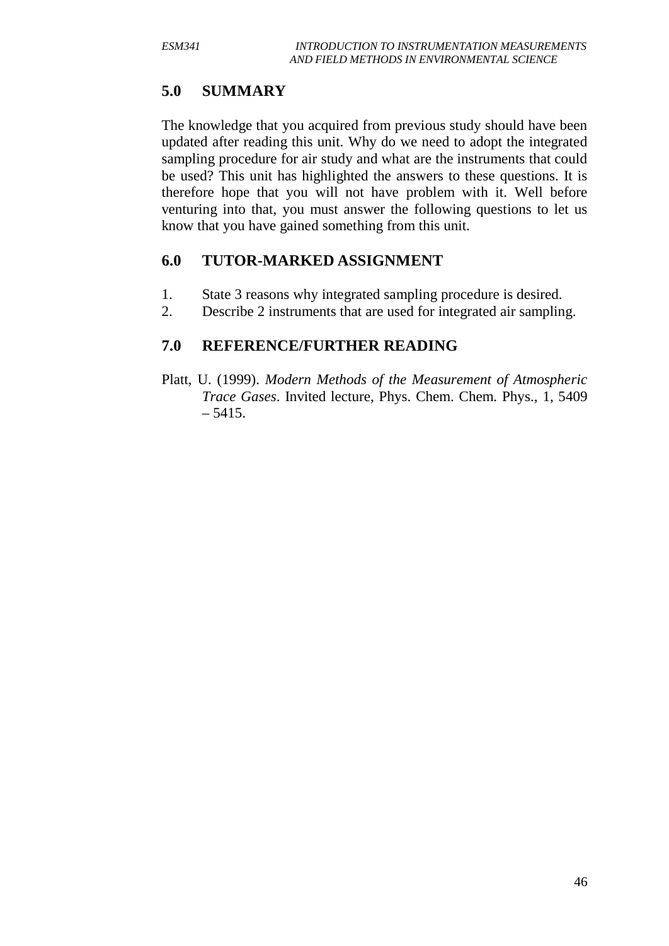# **5.0 SUMMARY**

The knowledge that you acquired from previous study should have been updated after reading this unit. Why do we need to adopt the integrated sampling procedure for air study and what are the instruments that could be used? This unit has highlighted the answers to these questions. It is therefore hope that you will not have problem with it. Well before venturing into that, you must answer the following questions to let us know that you have gained something from this unit.

#### **6.0 TUTOR-MARKED ASSIGNMENT**

- 1. State 3 reasons why integrated sampling procedure is desired.
- 2. Describe 2 instruments that are used for integrated air sampling.

# **7.0 REFERENCE/FURTHER READING**

Platt, U. (1999). *Modern Methods of the Measurement of Atmospheric Trace Gases*. Invited lecture, Phys. Chem. Chem. Phys., 1, 5409  $-5415.$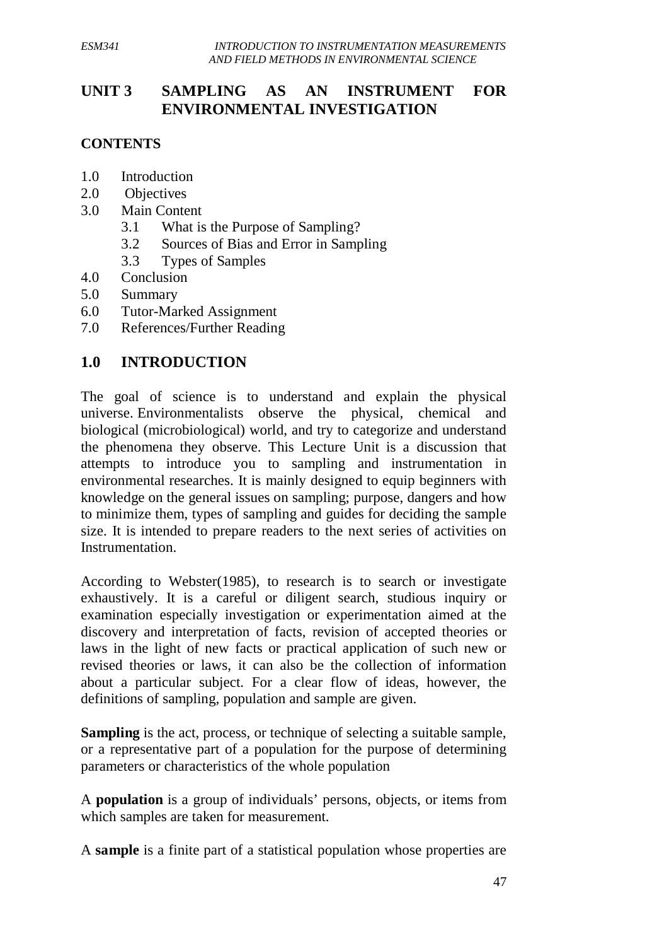# **UNIT 3 SAMPLING AS AN INSTRUMENT FOR ENVIRONMENTAL INVESTIGATION**

#### **CONTENTS**

- 1.0 Introduction
- 2.0 Objectives
- 3.0 Main Content
	- 3.1 What is the Purpose of Sampling?
	- 3.2 Sources of Bias and Error in Sampling
	- 3.3 Types of Samples
- 4.0 Conclusion
- 5.0 Summary
- 6.0 Tutor-Marked Assignment
- 7.0 References/Further Reading

# **1.0 INTRODUCTION**

The goal of science is to understand and explain the physical universe. Environmentalists observe the physical, chemical and biological (microbiological) world, and try to categorize and understand the phenomena they observe. This Lecture Unit is a discussion that attempts to introduce you to sampling and instrumentation in environmental researches. It is mainly designed to equip beginners with knowledge on the general issues on sampling; purpose, dangers and how to minimize them, types of sampling and guides for deciding the sample size. It is intended to prepare readers to the next series of activities on Instrumentation.

According to Webster(1985), to research is to search or investigate exhaustively. It is a careful or diligent search, studious inquiry or examination especially investigation or experimentation aimed at the discovery and interpretation of facts, revision of accepted theories or laws in the light of new facts or practical application of such new or revised theories or laws, it can also be the collection of information about a particular subject. For a clear flow of ideas, however, the definitions of sampling, population and sample are given.

**Sampling** is the act, process, or technique of selecting a suitable sample, or a representative part of a population for the purpose of determining parameters or characteristics of the whole population

A **population** is a group of individuals' persons, objects, or items from which samples are taken for measurement.

A **sample** is a finite part of a statistical population whose properties are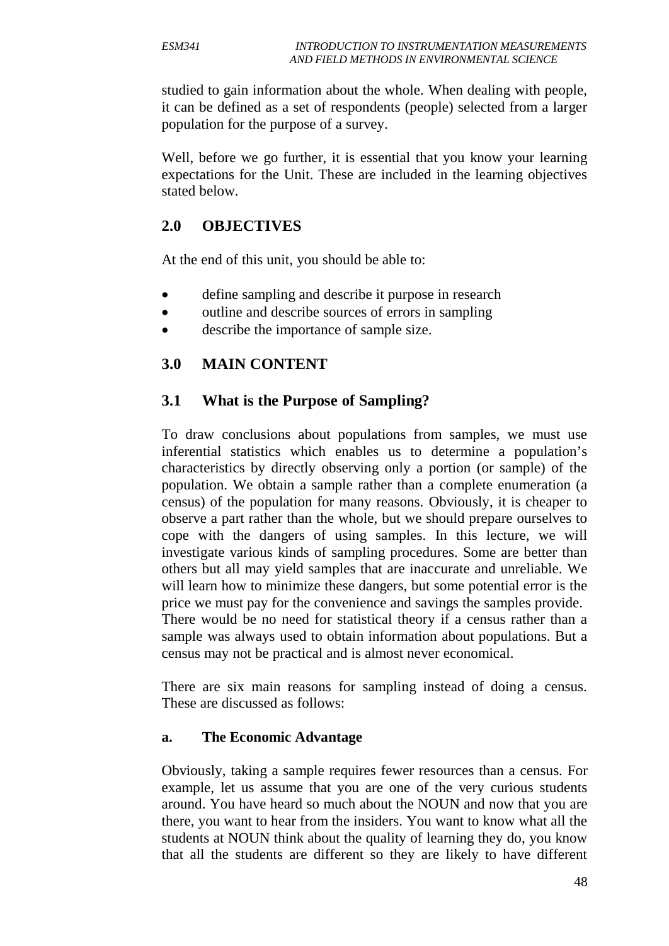studied to gain information about the whole. When dealing with people, it can be defined as a set of respondents (people) selected from a larger population for the purpose of a survey.

Well, before we go further, it is essential that you know your learning expectations for the Unit. These are included in the learning objectives stated below.

#### **2.0 OBJECTIVES**

At the end of this unit, you should be able to:

- define sampling and describe it purpose in research
- outline and describe sources of errors in sampling
- describe the importance of sample size.

# **3.0 MAIN CONTENT**

# **3.1 What is the Purpose of Sampling?**

To draw conclusions about populations from samples, we must use inferential statistics which enables us to determine a population's characteristics by directly observing only a portion (or sample) of the population. We obtain a sample rather than a complete enumeration (a census) of the population for many reasons. Obviously, it is cheaper to observe a part rather than the whole, but we should prepare ourselves to cope with the dangers of using samples. In this lecture, we will investigate various kinds of sampling procedures. Some are better than others but all may yield samples that are inaccurate and unreliable. We will learn how to minimize these dangers, but some potential error is the price we must pay for the convenience and savings the samples provide. There would be no need for statistical theory if a census rather than a sample was always used to obtain information about populations. But a census may not be practical and is almost never economical.

There are six main reasons for sampling instead of doing a census. These are discussed as follows:

#### **a. The Economic Advantage**

Obviously, taking a sample requires fewer resources than a census. For example, let us assume that you are one of the very curious students around. You have heard so much about the NOUN and now that you are there, you want to hear from the insiders. You want to know what all the students at NOUN think about the quality of learning they do, you know that all the students are different so they are likely to have different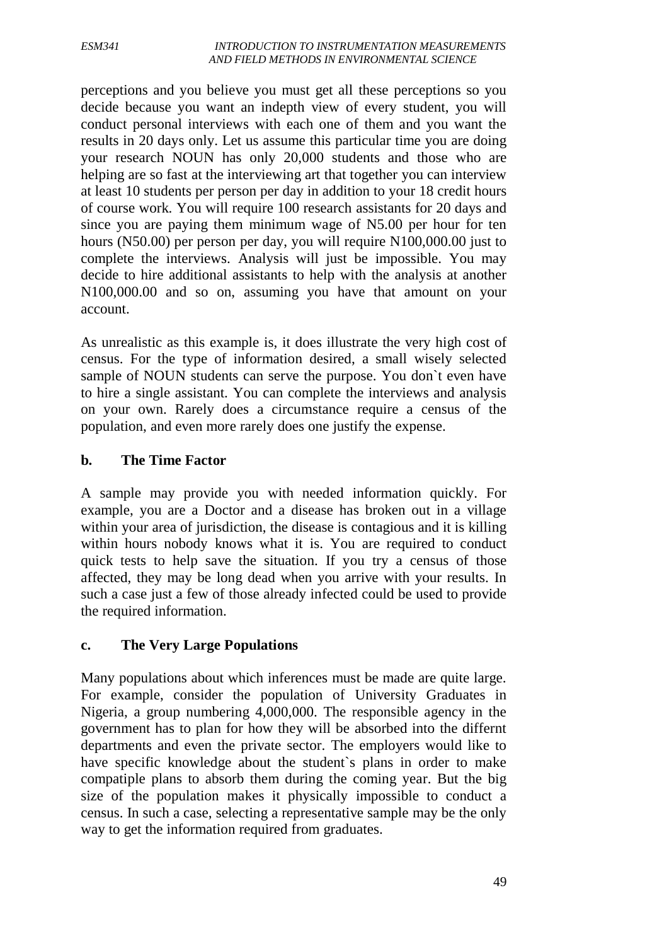#### *ESM341 INTRODUCTION TO INSTRUMENTATION MEASUREMENTS AND FIELD METHODS IN ENVIRONMENTAL SCIENCE*

perceptions and you believe you must get all these perceptions so you decide because you want an indepth view of every student, you will conduct personal interviews with each one of them and you want the results in 20 days only. Let us assume this particular time you are doing your research NOUN has only 20,000 students and those who are helping are so fast at the interviewing art that together you can interview at least 10 students per person per day in addition to your 18 credit hours of course work. You will require 100 research assistants for 20 days and since you are paying them minimum wage of N5.00 per hour for ten hours (N50.00) per person per day, you will require N100,000.00 just to complete the interviews. Analysis will just be impossible. You may decide to hire additional assistants to help with the analysis at another N100,000.00 and so on, assuming you have that amount on your account.

As unrealistic as this example is, it does illustrate the very high cost of census. For the type of information desired, a small wisely selected sample of NOUN students can serve the purpose. You don`t even have to hire a single assistant. You can complete the interviews and analysis on your own. Rarely does a circumstance require a census of the population, and even more rarely does one justify the expense.

#### **b. The Time Factor**

A sample may provide you with needed information quickly. For example, you are a Doctor and a disease has broken out in a village within your area of jurisdiction, the disease is contagious and it is killing within hours nobody knows what it is. You are required to conduct quick tests to help save the situation. If you try a census of those affected, they may be long dead when you arrive with your results. In such a case just a few of those already infected could be used to provide the required information.

#### **c. The Very Large Populations**

Many populations about which inferences must be made are quite large. For example, consider the population of University Graduates in Nigeria, a group numbering 4,000,000. The responsible agency in the government has to plan for how they will be absorbed into the differnt departments and even the private sector. The employers would like to have specific knowledge about the student`s plans in order to make compatiple plans to absorb them during the coming year. But the big size of the population makes it physically impossible to conduct a census. In such a case, selecting a representative sample may be the only way to get the information required from graduates.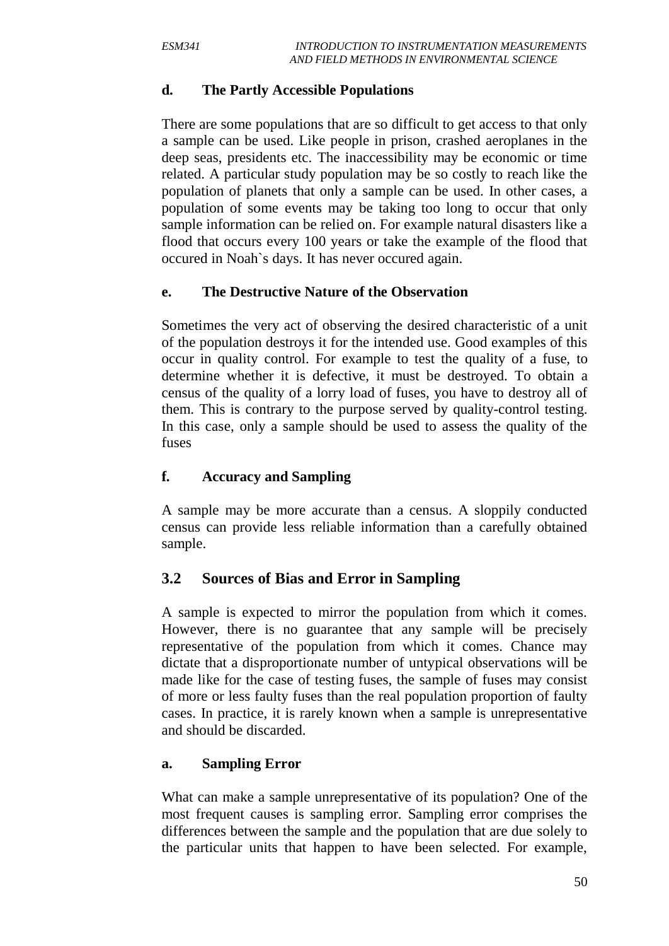#### **d. The Partly Accessible Populations**

There are some populations that are so difficult to get access to that only a sample can be used. Like people in prison, crashed aeroplanes in the deep seas, presidents etc. The inaccessibility may be economic or time related. A particular study population may be so costly to reach like the population of planets that only a sample can be used. In other cases, a population of some events may be taking too long to occur that only sample information can be relied on. For example natural disasters like a flood that occurs every 100 years or take the example of the flood that occured in Noah`s days. It has never occured again.

#### **e. The Destructive Nature of the Observation**

Sometimes the very act of observing the desired characteristic of a unit of the population destroys it for the intended use. Good examples of this occur in quality control. For example to test the quality of a fuse, to determine whether it is defective, it must be destroyed. To obtain a census of the quality of a lorry load of fuses, you have to destroy all of them. This is contrary to the purpose served by quality-control testing. In this case, only a sample should be used to assess the quality of the fuses

#### **f. Accuracy and Sampling**

A sample may be more accurate than a census. A sloppily conducted census can provide less reliable information than a carefully obtained sample.

#### **3.2 Sources of Bias and Error in Sampling**

A sample is expected to mirror the population from which it comes. However, there is no guarantee that any sample will be precisely representative of the population from which it comes. Chance may dictate that a disproportionate number of untypical observations will be made like for the case of testing fuses, the sample of fuses may consist of more or less faulty fuses than the real population proportion of faulty cases. In practice, it is rarely known when a sample is unrepresentative and should be discarded.

#### **a. Sampling Error**

What can make a sample unrepresentative of its population? One of the most frequent causes is sampling error. Sampling error comprises the differences between the sample and the population that are due solely to the particular units that happen to have been selected. For example,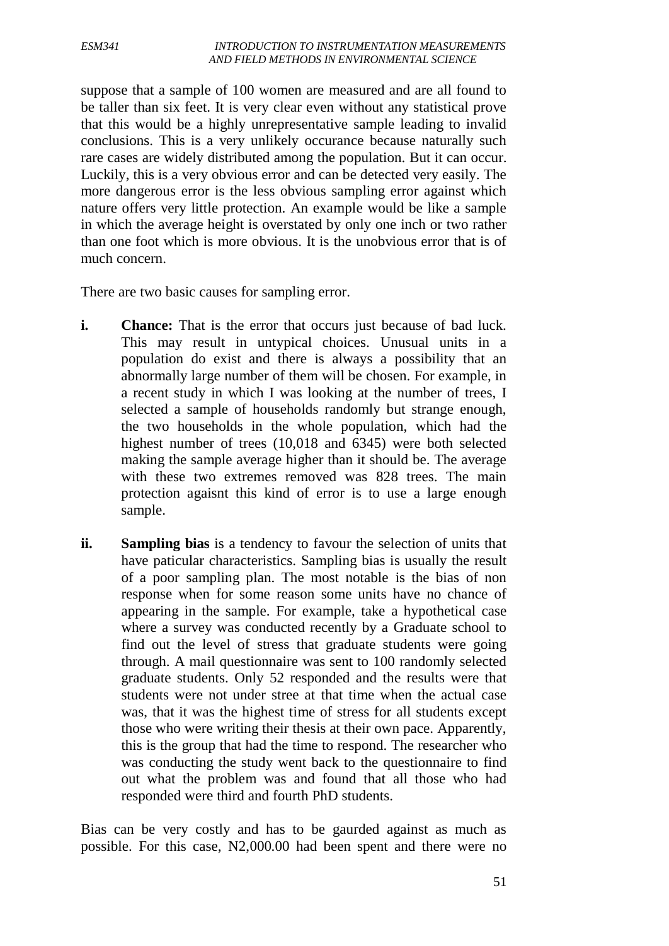#### *ESM341 INTRODUCTION TO INSTRUMENTATION MEASUREMENTS AND FIELD METHODS IN ENVIRONMENTAL SCIENCE*

suppose that a sample of 100 women are measured and are all found to be taller than six feet. It is very clear even without any statistical prove that this would be a highly unrepresentative sample leading to invalid conclusions. This is a very unlikely occurance because naturally such rare cases are widely distributed among the population. But it can occur. Luckily, this is a very obvious error and can be detected very easily. The more dangerous error is the less obvious sampling error against which nature offers very little protection. An example would be like a sample in which the average height is overstated by only one inch or two rather than one foot which is more obvious. It is the unobvious error that is of much concern.

There are two basic causes for sampling error.

- **i.** Chance: That is the error that occurs just because of bad luck. This may result in untypical choices. Unusual units in a population do exist and there is always a possibility that an abnormally large number of them will be chosen. For example, in a recent study in which I was looking at the number of trees, I selected a sample of households randomly but strange enough, the two households in the whole population, which had the highest number of trees (10,018 and 6345) were both selected making the sample average higher than it should be. The average with these two extremes removed was 828 trees. The main protection agaisnt this kind of error is to use a large enough sample.
- **ii. Sampling bias** is a tendency to favour the selection of units that have paticular characteristics. Sampling bias is usually the result of a poor sampling plan. The most notable is the bias of non response when for some reason some units have no chance of appearing in the sample. For example, take a hypothetical case where a survey was conducted recently by a Graduate school to find out the level of stress that graduate students were going through. A mail questionnaire was sent to 100 randomly selected graduate students. Only 52 responded and the results were that students were not under stree at that time when the actual case was, that it was the highest time of stress for all students except those who were writing their thesis at their own pace. Apparently, this is the group that had the time to respond. The researcher who was conducting the study went back to the questionnaire to find out what the problem was and found that all those who had responded were third and fourth PhD students.

Bias can be very costly and has to be gaurded against as much as possible. For this case, N2,000.00 had been spent and there were no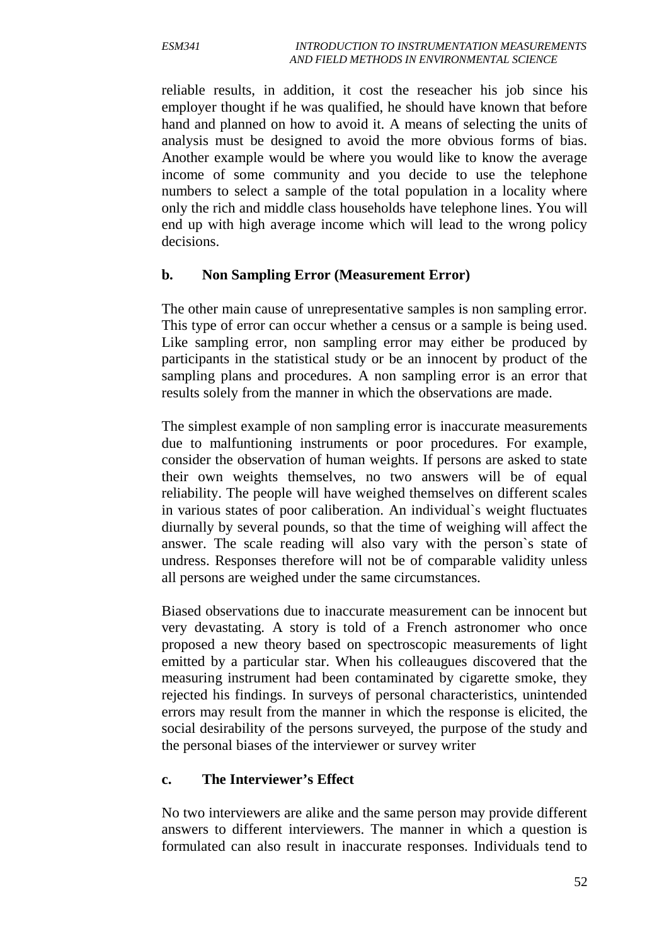reliable results, in addition, it cost the reseacher his job since his employer thought if he was qualified, he should have known that before hand and planned on how to avoid it. A means of selecting the units of analysis must be designed to avoid the more obvious forms of bias. Another example would be where you would like to know the average income of some community and you decide to use the telephone numbers to select a sample of the total population in a locality where only the rich and middle class households have telephone lines. You will end up with high average income which will lead to the wrong policy decisions.

#### **b. Non Sampling Error (Measurement Error)**

The other main cause of unrepresentative samples is non sampling error. This type of error can occur whether a census or a sample is being used. Like sampling error, non sampling error may either be produced by participants in the statistical study or be an innocent by product of the sampling plans and procedures. A non sampling error is an error that results solely from the manner in which the observations are made.

The simplest example of non sampling error is inaccurate measurements due to malfuntioning instruments or poor procedures. For example, consider the observation of human weights. If persons are asked to state their own weights themselves, no two answers will be of equal reliability. The people will have weighed themselves on different scales in various states of poor caliberation. An individual`s weight fluctuates diurnally by several pounds, so that the time of weighing will affect the answer. The scale reading will also vary with the person`s state of undress. Responses therefore will not be of comparable validity unless all persons are weighed under the same circumstances.

Biased observations due to inaccurate measurement can be innocent but very devastating. A story is told of a French astronomer who once proposed a new theory based on spectroscopic measurements of light emitted by a particular star. When his colleaugues discovered that the measuring instrument had been contaminated by cigarette smoke, they rejected his findings. In surveys of personal characteristics, unintended errors may result from the manner in which the response is elicited, the social desirability of the persons surveyed, the purpose of the study and the personal biases of the interviewer or survey writer

#### **c. The Interviewer's Effect**

No two interviewers are alike and the same person may provide different answers to different interviewers. The manner in which a question is formulated can also result in inaccurate responses. Individuals tend to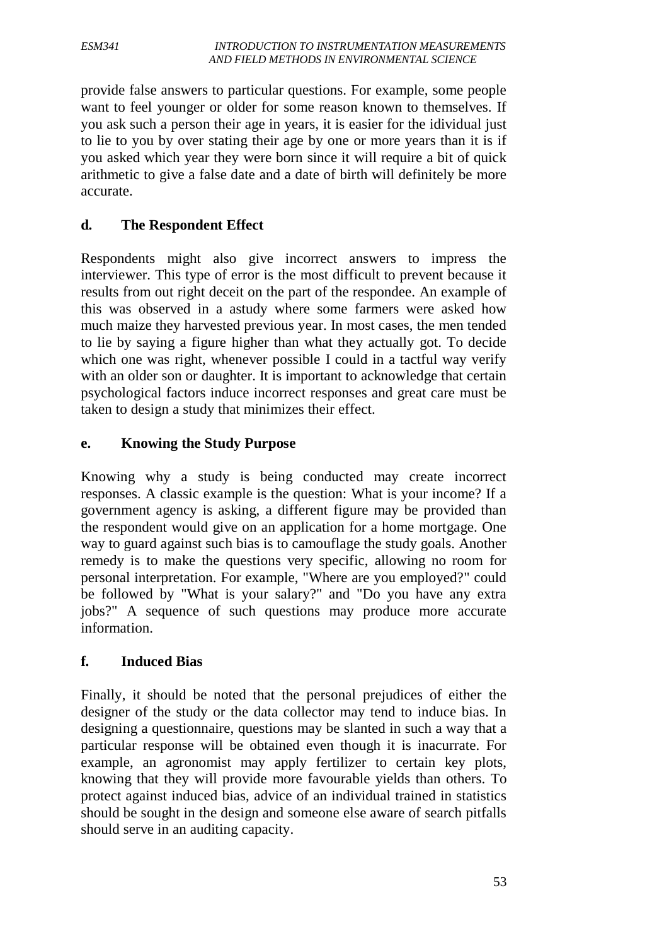provide false answers to particular questions. For example, some people want to feel younger or older for some reason known to themselves. If you ask such a person their age in years, it is easier for the idividual just to lie to you by over stating their age by one or more years than it is if you asked which year they were born since it will require a bit of quick arithmetic to give a false date and a date of birth will definitely be more accurate.

# **d. The Respondent Effect**

Respondents might also give incorrect answers to impress the interviewer. This type of error is the most difficult to prevent because it results from out right deceit on the part of the respondee. An example of this was observed in a astudy where some farmers were asked how much maize they harvested previous year. In most cases, the men tended to lie by saying a figure higher than what they actually got. To decide which one was right, whenever possible I could in a tactful way verify with an older son or daughter. It is important to acknowledge that certain psychological factors induce incorrect responses and great care must be taken to design a study that minimizes their effect.

#### **e. Knowing the Study Purpose**

Knowing why a study is being conducted may create incorrect responses. A classic example is the question: What is your income? If a government agency is asking, a different figure may be provided than the respondent would give on an application for a home mortgage. One way to guard against such bias is to camouflage the study goals. Another remedy is to make the questions very specific, allowing no room for personal interpretation. For example, "Where are you employed?" could be followed by "What is your salary?" and "Do you have any extra jobs?" A sequence of such questions may produce more accurate information.

#### **f. Induced Bias**

Finally, it should be noted that the personal prejudices of either the designer of the study or the data collector may tend to induce bias. In designing a questionnaire, questions may be slanted in such a way that a particular response will be obtained even though it is inacurrate. For example, an agronomist may apply fertilizer to certain key plots, knowing that they will provide more favourable yields than others. To protect against induced bias, advice of an individual trained in statistics should be sought in the design and someone else aware of search pitfalls should serve in an auditing capacity.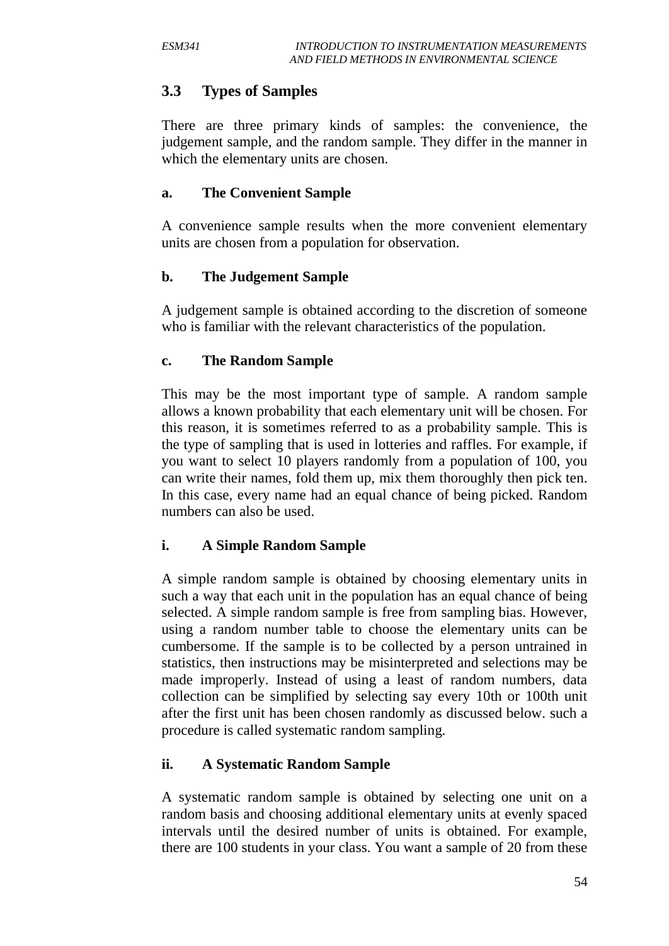# **3.3 Types of Samples**

There are three primary kinds of samples: the convenience, the judgement sample, and the random sample. They differ in the manner in which the elementary units are chosen.

#### **a. The Convenient Sample**

A convenience sample results when the more convenient elementary units are chosen from a population for observation.

#### **b. The Judgement Sample**

A judgement sample is obtained according to the discretion of someone who is familiar with the relevant characteristics of the population.

#### **c. The Random Sample**

This may be the most important type of sample. A random sample allows a known probability that each elementary unit will be chosen. For this reason, it is sometimes referred to as a probability sample. This is the type of sampling that is used in lotteries and raffles. For example, if you want to select 10 players randomly from a population of 100, you can write their names, fold them up, mix them thoroughly then pick ten. In this case, every name had an equal chance of being picked. Random numbers can also be used.

#### **i. A Simple Random Sample**

A simple random sample is obtained by choosing elementary units in such a way that each unit in the population has an equal chance of being selected. A simple random sample is free from sampling bias. However, using a random number table to choose the elementary units can be cumbersome. If the sample is to be collected by a person untrained in statistics, then instructions may be misinterpreted and selections may be made improperly. Instead of using a least of random numbers, data collection can be simplified by selecting say every 10th or 100th unit after the first unit has been chosen randomly as discussed below. such a procedure is called systematic random sampling.

#### **ii. A Systematic Random Sample**

A systematic random sample is obtained by selecting one unit on a random basis and choosing additional elementary units at evenly spaced intervals until the desired number of units is obtained. For example, there are 100 students in your class. You want a sample of 20 from these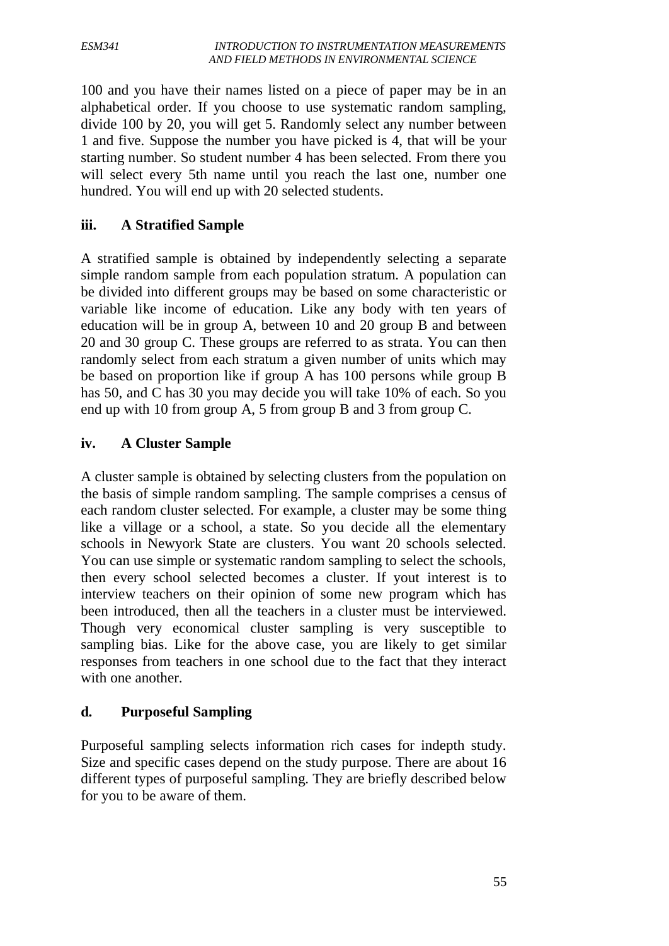100 and you have their names listed on a piece of paper may be in an alphabetical order. If you choose to use systematic random sampling, divide 100 by 20, you will get 5. Randomly select any number between 1 and five. Suppose the number you have picked is 4, that will be your starting number. So student number 4 has been selected. From there you will select every 5th name until you reach the last one, number one hundred. You will end up with 20 selected students.

#### **iii. A Stratified Sample**

A stratified sample is obtained by independently selecting a separate simple random sample from each population stratum. A population can be divided into different groups may be based on some characteristic or variable like income of education. Like any body with ten years of education will be in group A, between 10 and 20 group B and between 20 and 30 group C. These groups are referred to as strata. You can then randomly select from each stratum a given number of units which may be based on proportion like if group A has 100 persons while group B has 50, and C has 30 you may decide you will take 10% of each. So you end up with 10 from group A, 5 from group B and 3 from group C.

#### **iv. A Cluster Sample**

A cluster sample is obtained by selecting clusters from the population on the basis of simple random sampling. The sample comprises a census of each random cluster selected. For example, a cluster may be some thing like a village or a school, a state. So you decide all the elementary schools in Newyork State are clusters. You want 20 schools selected. You can use simple or systematic random sampling to select the schools, then every school selected becomes a cluster. If yout interest is to interview teachers on their opinion of some new program which has been introduced, then all the teachers in a cluster must be interviewed. Though very economical cluster sampling is very susceptible to sampling bias. Like for the above case, you are likely to get similar responses from teachers in one school due to the fact that they interact with one another.

#### **d. Purposeful Sampling**

Purposeful sampling selects information rich cases for indepth study. Size and specific cases depend on the study purpose. There are about 16 different types of purposeful sampling. They are briefly described below for you to be aware of them.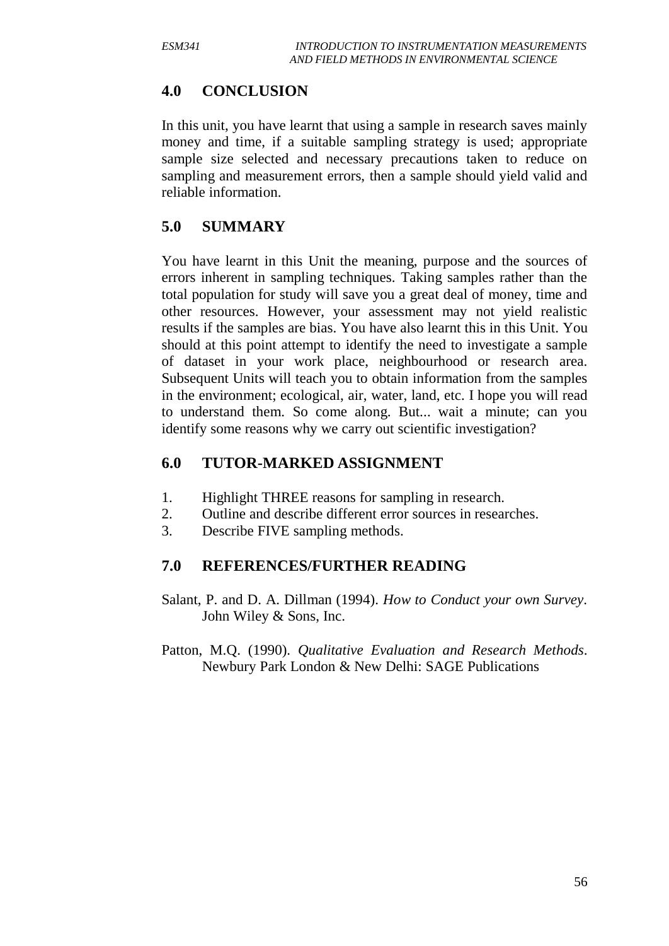#### **4.0 CONCLUSION**

In this unit, you have learnt that using a sample in research saves mainly money and time, if a suitable sampling strategy is used; appropriate sample size selected and necessary precautions taken to reduce on sampling and measurement errors, then a sample should yield valid and reliable information.

# **5.0 SUMMARY**

You have learnt in this Unit the meaning, purpose and the sources of errors inherent in sampling techniques. Taking samples rather than the total population for study will save you a great deal of money, time and other resources. However, your assessment may not yield realistic results if the samples are bias. You have also learnt this in this Unit. You should at this point attempt to identify the need to investigate a sample of dataset in your work place, neighbourhood or research area. Subsequent Units will teach you to obtain information from the samples in the environment; ecological, air, water, land, etc. I hope you will read to understand them. So come along. But... wait a minute; can you identify some reasons why we carry out scientific investigation?

# **6.0 TUTOR-MARKED ASSIGNMENT**

- 1. Highlight THREE reasons for sampling in research.
- 2. Outline and describe different error sources in researches.
- 3. Describe FIVE sampling methods.

#### **7.0 REFERENCES/FURTHER READING**

- Salant, P. and D. A. Dillman (1994). *How to Conduct your own Survey*. John Wiley & Sons, Inc.
- Patton, M.Q. (1990). *Qualitative Evaluation and Research Methods*. Newbury Park London & New Delhi: SAGE Publications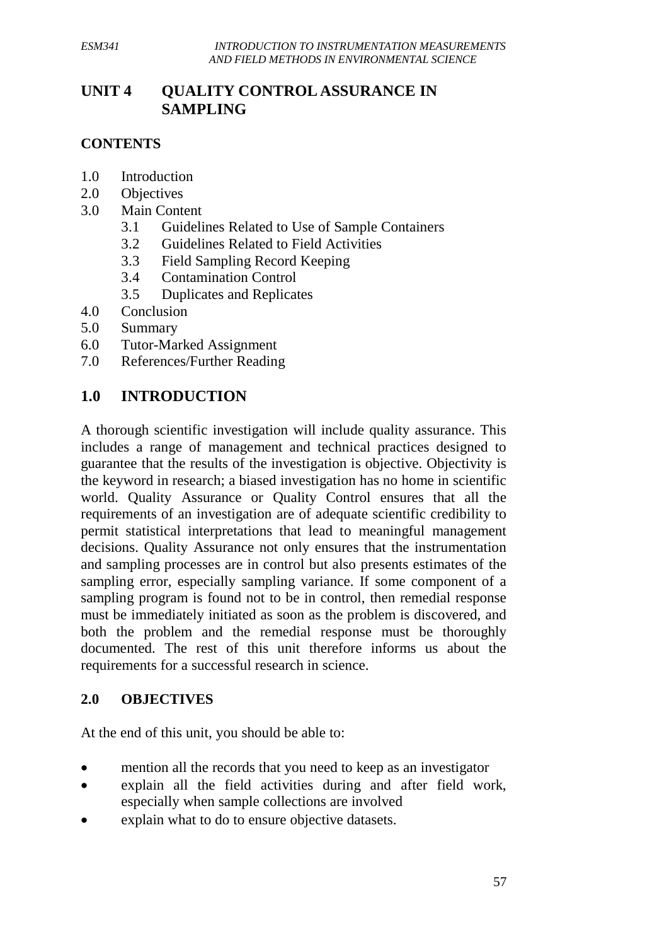# **UNIT 4 QUALITY CONTROL ASSURANCE IN SAMPLING**

#### **CONTENTS**

- 1.0 Introduction
- 2.0 Objectives
- 3.0 Main Content
	- 3.1 Guidelines Related to Use of Sample Containers
	- 3.2 Guidelines Related to Field Activities
	- 3.3 Field Sampling Record Keeping
	- 3.4 Contamination Control
	- 3.5 Duplicates and Replicates
- 4.0 Conclusion
- 5.0 Summary
- 6.0 Tutor-Marked Assignment
- 7.0 References/Further Reading

# **1.0 INTRODUCTION**

A thorough scientific investigation will include quality assurance. This includes a range of management and technical practices designed to guarantee that the results of the investigation is objective. Objectivity is the keyword in research; a biased investigation has no home in scientific world. Quality Assurance or Quality Control ensures that all the requirements of an investigation are of adequate scientific credibility to permit statistical interpretations that lead to meaningful management decisions. Quality Assurance not only ensures that the instrumentation and sampling processes are in control but also presents estimates of the sampling error, especially sampling variance. If some component of a sampling program is found not to be in control, then remedial response must be immediately initiated as soon as the problem is discovered, and both the problem and the remedial response must be thoroughly documented. The rest of this unit therefore informs us about the requirements for a successful research in science.

#### **2.0 OBJECTIVES**

At the end of this unit, you should be able to:

- mention all the records that you need to keep as an investigator
- explain all the field activities during and after field work, especially when sample collections are involved
- explain what to do to ensure objective datasets.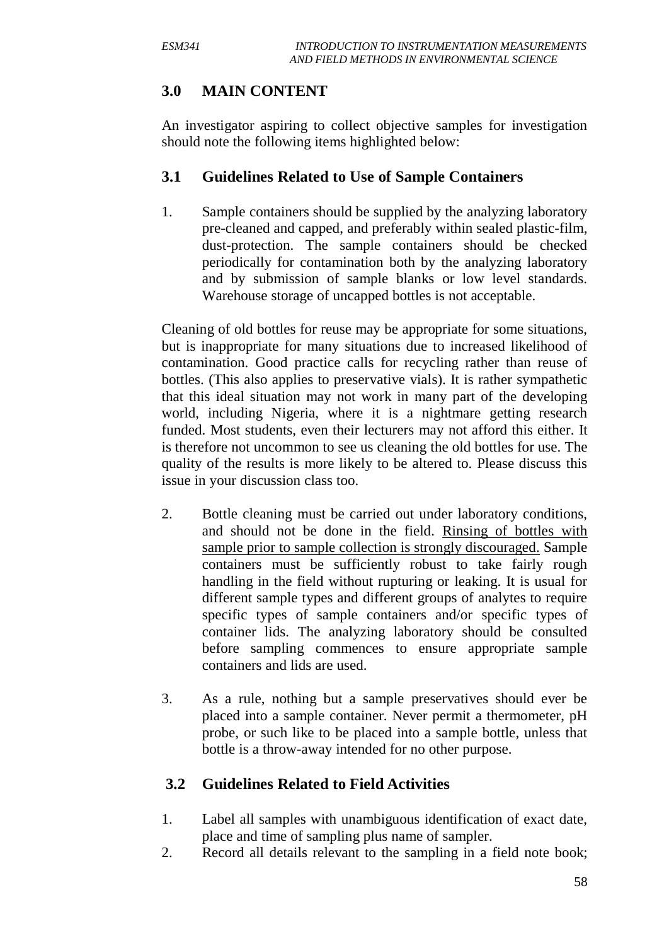# **3.0 MAIN CONTENT**

An investigator aspiring to collect objective samples for investigation should note the following items highlighted below:

#### **3.1 Guidelines Related to Use of Sample Containers**

1. Sample containers should be supplied by the analyzing laboratory pre-cleaned and capped, and preferably within sealed plastic-film, dust-protection. The sample containers should be checked periodically for contamination both by the analyzing laboratory and by submission of sample blanks or low level standards. Warehouse storage of uncapped bottles is not acceptable.

Cleaning of old bottles for reuse may be appropriate for some situations, but is inappropriate for many situations due to increased likelihood of contamination. Good practice calls for recycling rather than reuse of bottles. (This also applies to preservative vials). It is rather sympathetic that this ideal situation may not work in many part of the developing world, including Nigeria, where it is a nightmare getting research funded. Most students, even their lecturers may not afford this either. It is therefore not uncommon to see us cleaning the old bottles for use. The quality of the results is more likely to be altered to. Please discuss this issue in your discussion class too.

- 2. Bottle cleaning must be carried out under laboratory conditions, and should not be done in the field. Rinsing of bottles with sample prior to sample collection is strongly discouraged. Sample containers must be sufficiently robust to take fairly rough handling in the field without rupturing or leaking. It is usual for different sample types and different groups of analytes to require specific types of sample containers and/or specific types of container lids. The analyzing laboratory should be consulted before sampling commences to ensure appropriate sample containers and lids are used.
- 3. As a rule, nothing but a sample preservatives should ever be placed into a sample container. Never permit a thermometer, pH probe, or such like to be placed into a sample bottle, unless that bottle is a throw-away intended for no other purpose.

# **3.2 Guidelines Related to Field Activities**

- 1. Label all samples with unambiguous identification of exact date, place and time of sampling plus name of sampler.
- 2. Record all details relevant to the sampling in a field note book;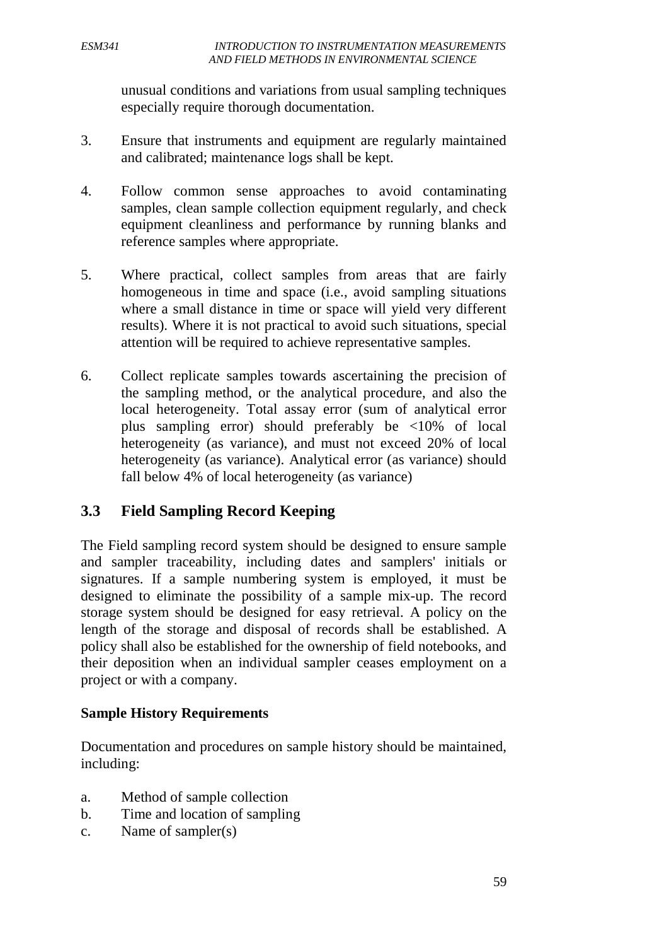unusual conditions and variations from usual sampling techniques especially require thorough documentation.

- 3. Ensure that instruments and equipment are regularly maintained and calibrated; maintenance logs shall be kept.
- 4. Follow common sense approaches to avoid contaminating samples, clean sample collection equipment regularly, and check equipment cleanliness and performance by running blanks and reference samples where appropriate.
- 5. Where practical, collect samples from areas that are fairly homogeneous in time and space *(i.e., avoid sampling situations*) where a small distance in time or space will yield very different results). Where it is not practical to avoid such situations, special attention will be required to achieve representative samples.
- 6. Collect replicate samples towards ascertaining the precision of the sampling method, or the analytical procedure, and also the local heterogeneity. Total assay error (sum of analytical error plus sampling error) should preferably be <10% of local heterogeneity (as variance), and must not exceed 20% of local heterogeneity (as variance). Analytical error (as variance) should fall below 4% of local heterogeneity (as variance)

## **3.3 Field Sampling Record Keeping**

The Field sampling record system should be designed to ensure sample and sampler traceability, including dates and samplers' initials or signatures. If a sample numbering system is employed, it must be designed to eliminate the possibility of a sample mix-up. The record storage system should be designed for easy retrieval. A policy on the length of the storage and disposal of records shall be established. A policy shall also be established for the ownership of field notebooks, and their deposition when an individual sampler ceases employment on a project or with a company.

#### **Sample History Requirements**

Documentation and procedures on sample history should be maintained, including:

- a. Method of sample collection
- b. Time and location of sampling
- c. Name of sampler(s)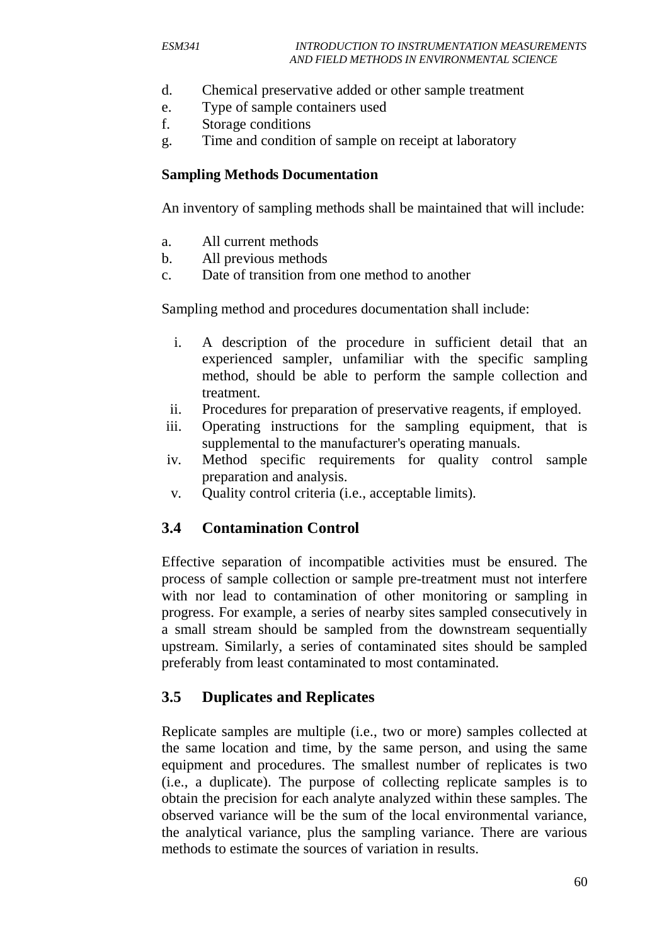- d. Chemical preservative added or other sample treatment
- e. Type of sample containers used
- f. Storage conditions
- g. Time and condition of sample on receipt at laboratory

#### **Sampling Methods Documentation**

An inventory of sampling methods shall be maintained that will include:

- a. All current methods
- b. All previous methods
- c. Date of transition from one method to another

Sampling method and procedures documentation shall include:

- i. A description of the procedure in sufficient detail that an experienced sampler, unfamiliar with the specific sampling method, should be able to perform the sample collection and treatment.
- ii. Procedures for preparation of preservative reagents, if employed.
- iii. Operating instructions for the sampling equipment, that is supplemental to the manufacturer's operating manuals.
- iv. Method specific requirements for quality control sample preparation and analysis.
- v. Quality control criteria (i.e., acceptable limits).

#### **3.4 Contamination Control**

Effective separation of incompatible activities must be ensured. The process of sample collection or sample pre-treatment must not interfere with nor lead to contamination of other monitoring or sampling in progress. For example, a series of nearby sites sampled consecutively in a small stream should be sampled from the downstream sequentially upstream. Similarly, a series of contaminated sites should be sampled preferably from least contaminated to most contaminated.

### **3.5 Duplicates and Replicates**

Replicate samples are multiple (i.e., two or more) samples collected at the same location and time, by the same person, and using the same equipment and procedures. The smallest number of replicates is two (i.e., a duplicate). The purpose of collecting replicate samples is to obtain the precision for each analyte analyzed within these samples. The observed variance will be the sum of the local environmental variance, the analytical variance, plus the sampling variance. There are various methods to estimate the sources of variation in results.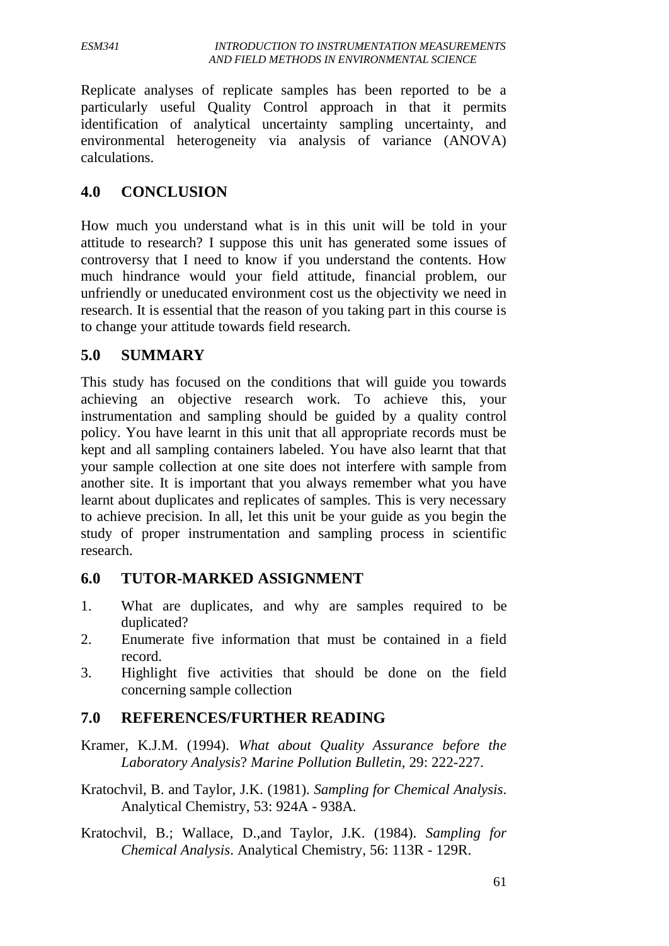Replicate analyses of replicate samples has been reported to be a particularly useful Quality Control approach in that it permits identification of analytical uncertainty sampling uncertainty, and environmental heterogeneity via analysis of variance (ANOVA) calculations.

## **4.0 CONCLUSION**

How much you understand what is in this unit will be told in your attitude to research? I suppose this unit has generated some issues of controversy that I need to know if you understand the contents. How much hindrance would your field attitude, financial problem, our unfriendly or uneducated environment cost us the objectivity we need in research. It is essential that the reason of you taking part in this course is to change your attitude towards field research.

## **5.0 SUMMARY**

This study has focused on the conditions that will guide you towards achieving an objective research work. To achieve this, your instrumentation and sampling should be guided by a quality control policy. You have learnt in this unit that all appropriate records must be kept and all sampling containers labeled. You have also learnt that that your sample collection at one site does not interfere with sample from another site. It is important that you always remember what you have learnt about duplicates and replicates of samples. This is very necessary to achieve precision. In all, let this unit be your guide as you begin the study of proper instrumentation and sampling process in scientific research.

## **6.0 TUTOR-MARKED ASSIGNMENT**

- 1. What are duplicates, and why are samples required to be duplicated?
- 2. Enumerate five information that must be contained in a field record.
- 3. Highlight five activities that should be done on the field concerning sample collection

## **7.0 REFERENCES/FURTHER READING**

- Kramer, K.J.M. (1994). *What about Quality Assurance before the Laboratory Analysis*? *Marine Pollution Bulletin,* 29: 222-227.
- Kratochvil, B. and Taylor, J.K. (1981). *Sampling for Chemical Analysis*. Analytical Chemistry, 53: 924A - 938A.
- Kratochvil, B.; Wallace, D.,and Taylor, J.K. (1984). *Sampling for Chemical Analysis*. Analytical Chemistry, 56: 113R - 129R.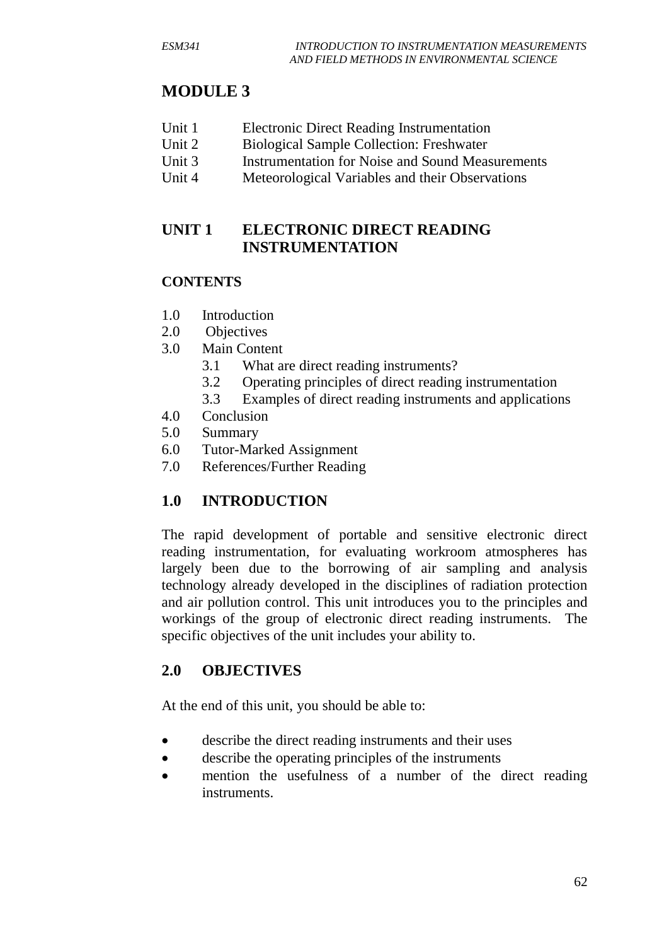# **MODULE 3**

- Unit 1 Electronic Direct Reading Instrumentation
- Unit 2 Biological Sample Collection: Freshwater
- Unit 3 Instrumentation for Noise and Sound Measurements
- Unit 4 Meteorological Variables and their Observations

## **UNIT 1 ELECTRONIC DIRECT READING INSTRUMENTATION**

## **CONTENTS**

- 1.0 Introduction
- 2.0 Objectives
- 3.0 Main Content
	- 3.1 What are direct reading instruments?
	- 3.2 Operating principles of direct reading instrumentation
	- 3.3 Examples of direct reading instruments and applications
- 4.0 Conclusion
- 5.0 Summary
- 6.0 Tutor-Marked Assignment
- 7.0 References/Further Reading

# **1.0 INTRODUCTION**

The rapid development of portable and sensitive electronic direct reading instrumentation, for evaluating workroom atmospheres has largely been due to the borrowing of air sampling and analysis technology already developed in the disciplines of radiation protection and air pollution control. This unit introduces you to the principles and workings of the group of electronic direct reading instruments. The specific objectives of the unit includes your ability to.

## **2.0 OBJECTIVES**

At the end of this unit, you should be able to:

- describe the direct reading instruments and their uses
- describe the operating principles of the instruments
- mention the usefulness of a number of the direct reading instruments.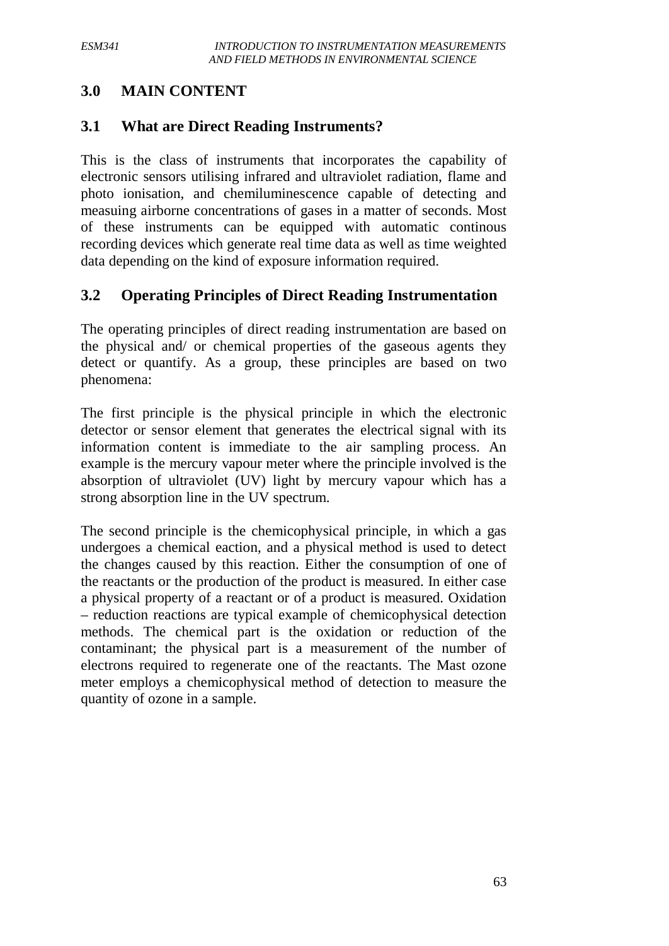### **3.0 MAIN CONTENT**

### **3.1 What are Direct Reading Instruments?**

This is the class of instruments that incorporates the capability of electronic sensors utilising infrared and ultraviolet radiation, flame and photo ionisation, and chemiluminescence capable of detecting and measuing airborne concentrations of gases in a matter of seconds. Most of these instruments can be equipped with automatic continous recording devices which generate real time data as well as time weighted data depending on the kind of exposure information required.

### **3.2 Operating Principles of Direct Reading Instrumentation**

The operating principles of direct reading instrumentation are based on the physical and/ or chemical properties of the gaseous agents they detect or quantify. As a group, these principles are based on two phenomena:

The first principle is the physical principle in which the electronic detector or sensor element that generates the electrical signal with its information content is immediate to the air sampling process. An example is the mercury vapour meter where the principle involved is the absorption of ultraviolet (UV) light by mercury vapour which has a strong absorption line in the UV spectrum.

The second principle is the chemicophysical principle, in which a gas undergoes a chemical eaction, and a physical method is used to detect the changes caused by this reaction. Either the consumption of one of the reactants or the production of the product is measured. In either case a physical property of a reactant or of a product is measured. Oxidation – reduction reactions are typical example of chemicophysical detection methods. The chemical part is the oxidation or reduction of the contaminant; the physical part is a measurement of the number of electrons required to regenerate one of the reactants. The Mast ozone meter employs a chemicophysical method of detection to measure the quantity of ozone in a sample.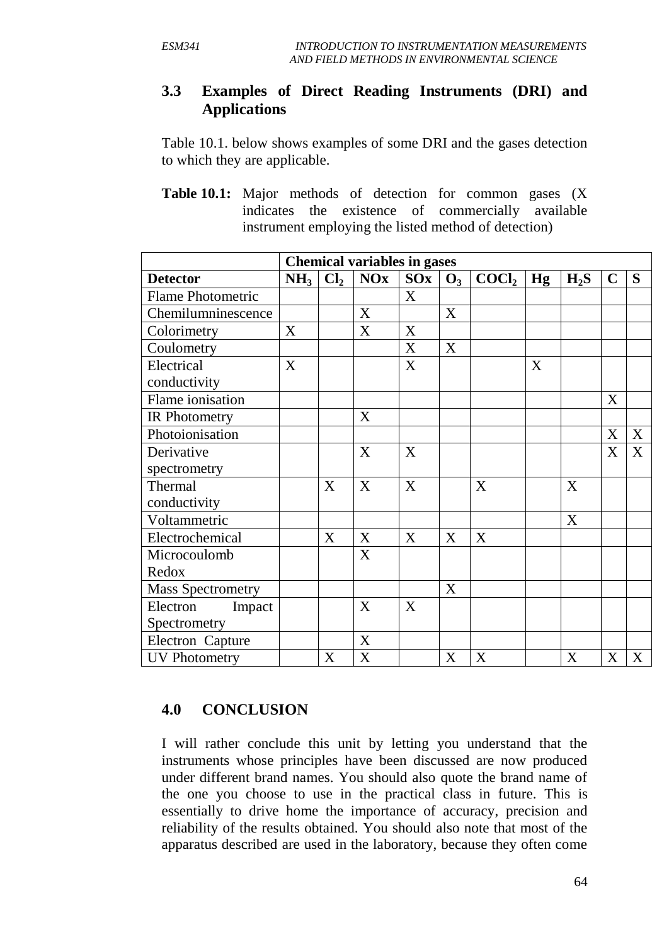### **3.3 Examples of Direct Reading Instruments (DRI) and Applications**

Table 10.1. below shows examples of some DRI and the gases detection to which they are applicable.

**Table 10.1:** Major methods of detection for common gases (X indicates the existence of commercially available instrument employing the listed method of detection)

|                          | <b>Chemical variables in gases</b> |                 |            |     |       |                   |    |        |             |   |
|--------------------------|------------------------------------|-----------------|------------|-----|-------|-------------------|----|--------|-------------|---|
| <b>Detector</b>          | NH <sub>3</sub>                    | Cl <sub>2</sub> | <b>NOx</b> | SOx | $O_3$ | COCl <sub>2</sub> | Hg | $H_2S$ | $\mathbf C$ | S |
| Flame Photometric        |                                    |                 |            | X   |       |                   |    |        |             |   |
| Chemilumninescence       |                                    |                 | X          |     | X     |                   |    |        |             |   |
| Colorimetry              | X                                  |                 | X          | X   |       |                   |    |        |             |   |
| Coulometry               |                                    |                 |            | X   | X     |                   |    |        |             |   |
| Electrical               | X                                  |                 |            | X   |       |                   | X  |        |             |   |
| conductivity             |                                    |                 |            |     |       |                   |    |        |             |   |
| Flame ionisation         |                                    |                 |            |     |       |                   |    |        | X           |   |
| IR Photometry            |                                    |                 | X          |     |       |                   |    |        |             |   |
| Photoionisation          |                                    |                 |            |     |       |                   |    |        | X           | X |
| Derivative               |                                    |                 | X          | X   |       |                   |    |        | X           | X |
| spectrometry             |                                    |                 |            |     |       |                   |    |        |             |   |
| Thermal                  |                                    | X               | X          | X   |       | X                 |    | X      |             |   |
| conductivity             |                                    |                 |            |     |       |                   |    |        |             |   |
| Voltammetric             |                                    |                 |            |     |       |                   |    | X      |             |   |
| Electrochemical          |                                    | X               | X          | X   | X     | X                 |    |        |             |   |
| Microcoulomb             |                                    |                 | X          |     |       |                   |    |        |             |   |
| Redox                    |                                    |                 |            |     |       |                   |    |        |             |   |
| <b>Mass Spectrometry</b> |                                    |                 |            |     | X     |                   |    |        |             |   |
| Electron<br>Impact       |                                    |                 | X          | X   |       |                   |    |        |             |   |
| Spectrometry             |                                    |                 |            |     |       |                   |    |        |             |   |
| Electron Capture         |                                    |                 | X          |     |       |                   |    |        |             |   |
| <b>UV Photometry</b>     |                                    | X               | X          |     | X     | X                 |    | X      | X           | X |

#### **4.0 CONCLUSION**

I will rather conclude this unit by letting you understand that the instruments whose principles have been discussed are now produced under different brand names. You should also quote the brand name of the one you choose to use in the practical class in future. This is essentially to drive home the importance of accuracy, precision and reliability of the results obtained. You should also note that most of the apparatus described are used in the laboratory, because they often come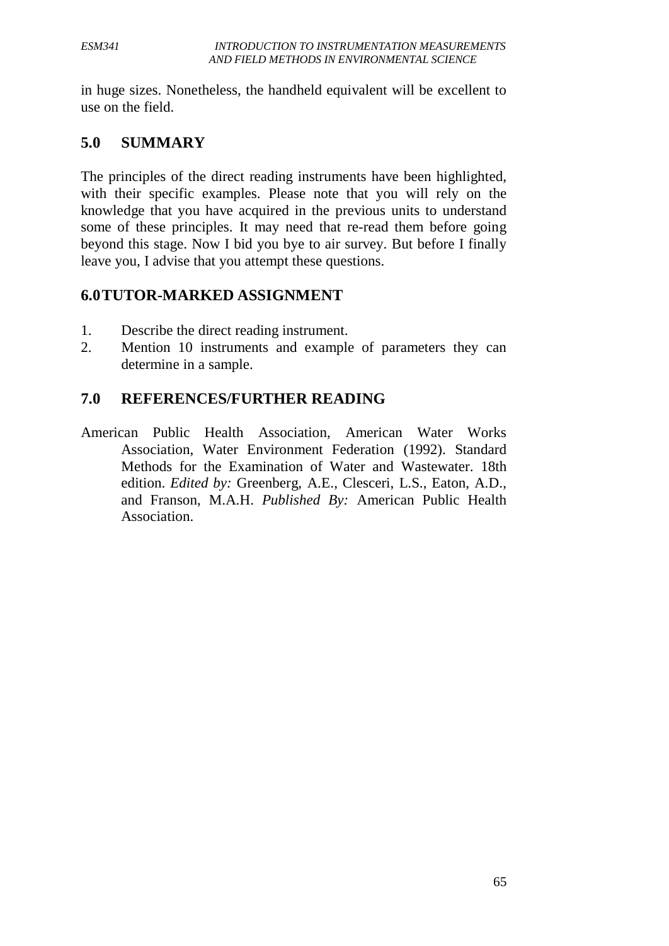in huge sizes. Nonetheless, the handheld equivalent will be excellent to use on the field.

### **5.0 SUMMARY**

The principles of the direct reading instruments have been highlighted, with their specific examples. Please note that you will rely on the knowledge that you have acquired in the previous units to understand some of these principles. It may need that re-read them before going beyond this stage. Now I bid you bye to air survey. But before I finally leave you, I advise that you attempt these questions.

#### **6.0TUTOR-MARKED ASSIGNMENT**

- 1. Describe the direct reading instrument.
- 2. Mention 10 instruments and example of parameters they can determine in a sample.

### **7.0 REFERENCES/FURTHER READING**

American Public Health Association, American Water Works Association, Water Environment Federation (1992). Standard Methods for the Examination of Water and Wastewater. 18th edition. *Edited by:* Greenberg, A.E., Clesceri, L.S., Eaton, A.D., and Franson, M.A.H. *Published By:* American Public Health Association.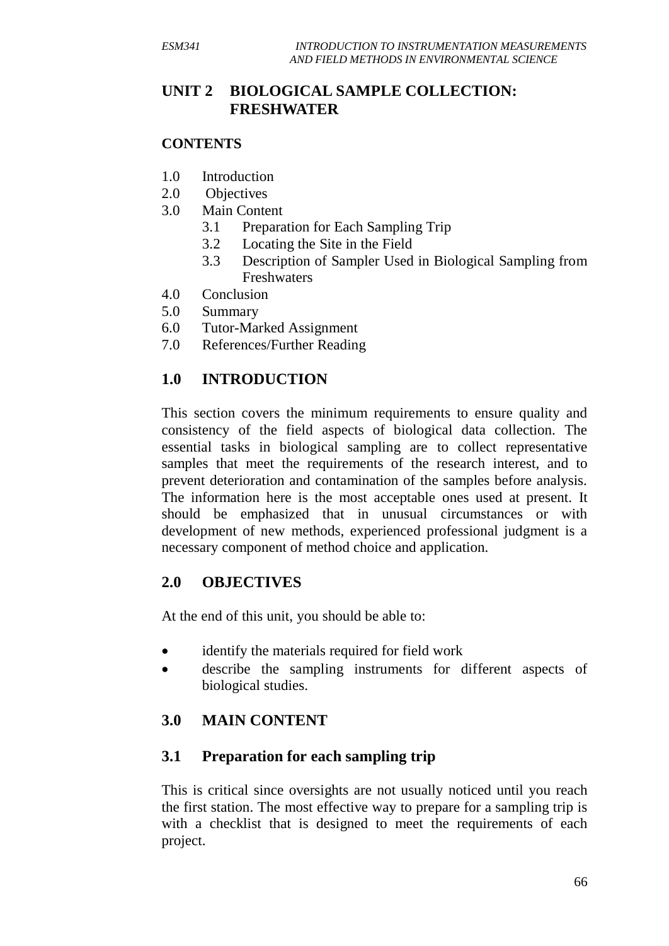## **UNIT 2 BIOLOGICAL SAMPLE COLLECTION: FRESHWATER**

#### **CONTENTS**

- 1.0 Introduction
- 2.0 Objectives
- 3.0 Main Content
	- 3.1 Preparation for Each Sampling Trip
	- 3.2 Locating the Site in the Field
	- 3.3 Description of Sampler Used in Biological Sampling from Freshwaters
- 4.0 Conclusion
- 5.0 Summary
- 6.0 Tutor-Marked Assignment
- 7.0 References/Further Reading

## **1.0 INTRODUCTION**

This section covers the minimum requirements to ensure quality and consistency of the field aspects of biological data collection. The essential tasks in biological sampling are to collect representative samples that meet the requirements of the research interest, and to prevent deterioration and contamination of the samples before analysis. The information here is the most acceptable ones used at present. It should be emphasized that in unusual circumstances or with development of new methods, experienced professional judgment is a necessary component of method choice and application.

### **2.0 OBJECTIVES**

At the end of this unit, you should be able to:

- identify the materials required for field work
- describe the sampling instruments for different aspects of biological studies.

## **3.0 MAIN CONTENT**

#### **3.1 Preparation for each sampling trip**

This is critical since oversights are not usually noticed until you reach the first station. The most effective way to prepare for a sampling trip is with a checklist that is designed to meet the requirements of each project.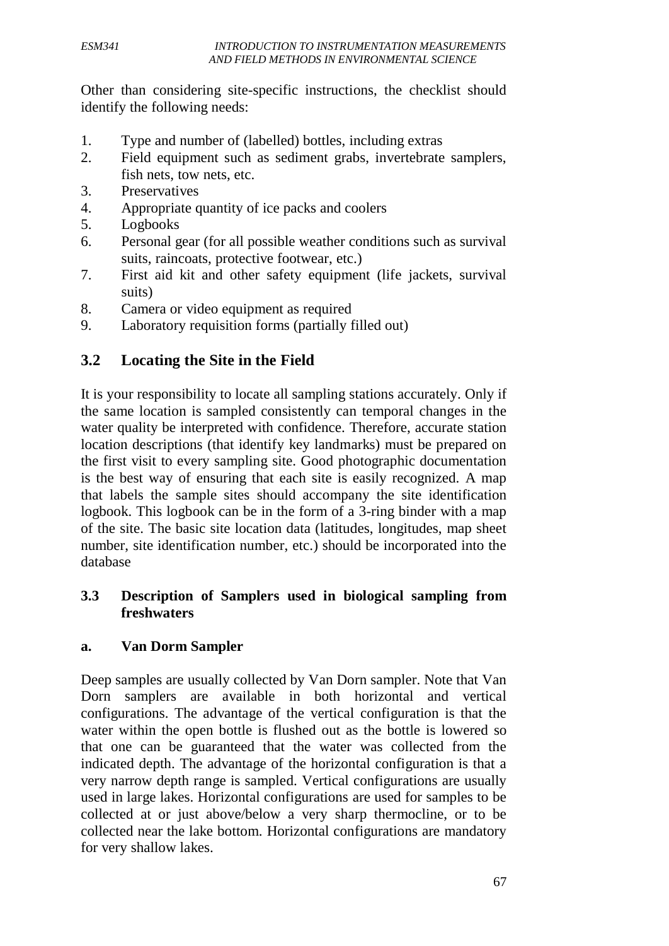Other than considering site-specific instructions, the checklist should identify the following needs:

- 1. Type and number of (labelled) bottles, including extras
- 2. Field equipment such as sediment grabs, invertebrate samplers, fish nets, tow nets, etc.
- 3. Preservatives
- 4. Appropriate quantity of ice packs and coolers
- 5. Logbooks
- 6. Personal gear (for all possible weather conditions such as survival suits, raincoats, protective footwear, etc.)
- 7. First aid kit and other safety equipment (life jackets, survival suits)
- 8. Camera or video equipment as required
- 9. Laboratory requisition forms (partially filled out)

## **3.2 Locating the Site in the Field**

It is your responsibility to locate all sampling stations accurately. Only if the same location is sampled consistently can temporal changes in the water quality be interpreted with confidence. Therefore, accurate station location descriptions (that identify key landmarks) must be prepared on the first visit to every sampling site. Good photographic documentation is the best way of ensuring that each site is easily recognized. A map that labels the sample sites should accompany the site identification logbook. This logbook can be in the form of a 3-ring binder with a map of the site. The basic site location data (latitudes, longitudes, map sheet number, site identification number, etc.) should be incorporated into the database

### **3.3 Description of Samplers used in biological sampling from freshwaters**

#### **a. Van Dorm Sampler**

Deep samples are usually collected by Van Dorn sampler. Note that Van Dorn samplers are available in both horizontal and vertical configurations. The advantage of the vertical configuration is that the water within the open bottle is flushed out as the bottle is lowered so that one can be guaranteed that the water was collected from the indicated depth. The advantage of the horizontal configuration is that a very narrow depth range is sampled. Vertical configurations are usually used in large lakes. Horizontal configurations are used for samples to be collected at or just above/below a very sharp thermocline, or to be collected near the lake bottom. Horizontal configurations are mandatory for very shallow lakes.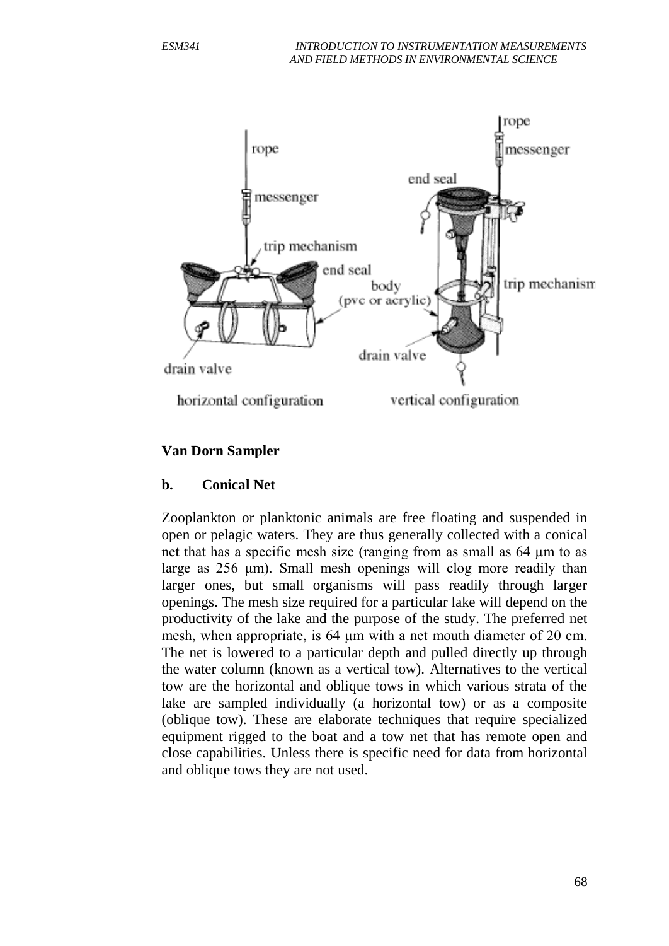

#### **Van Dorn Sampler**

#### **b. Conical Net**

Zooplankton or planktonic animals are free floating and suspended in open or pelagic waters. They are thus generally collected with a conical net that has a specific mesh size (ranging from as small as 64 μm to as large as 256 μm). Small mesh openings will clog more readily than larger ones, but small organisms will pass readily through larger openings. The mesh size required for a particular lake will depend on the productivity of the lake and the purpose of the study. The preferred net mesh, when appropriate, is 64 μm with a net mouth diameter of 20 cm. The net is lowered to a particular depth and pulled directly up through the water column (known as a vertical tow). Alternatives to the vertical tow are the horizontal and oblique tows in which various strata of the lake are sampled individually (a horizontal tow) or as a composite (oblique tow). These are elaborate techniques that require specialized equipment rigged to the boat and a tow net that has remote open and close capabilities. Unless there is specific need for data from horizontal and oblique tows they are not used.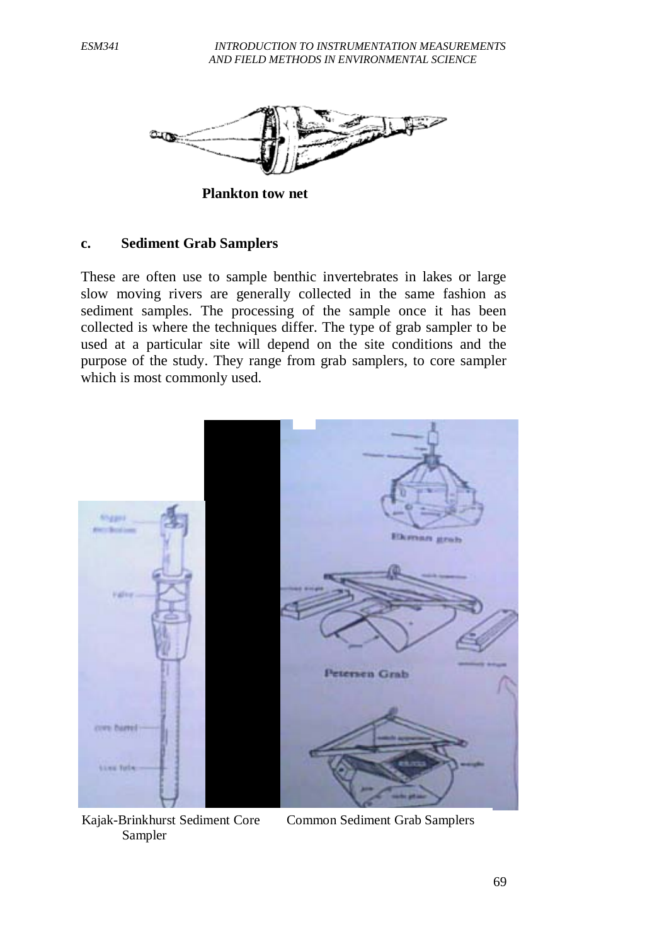

**Plankton tow net**

#### **c. Sediment Grab Samplers**

These are often use to sample benthic invertebrates in lakes or large slow moving rivers are generally collected in the same fashion as sediment samples. The processing of the sample once it has been collected is where the techniques differ. The type of grab sampler to be used at a particular site will depend on the site conditions and the purpose of the study. They range from grab samplers, to core sampler which is most commonly used.

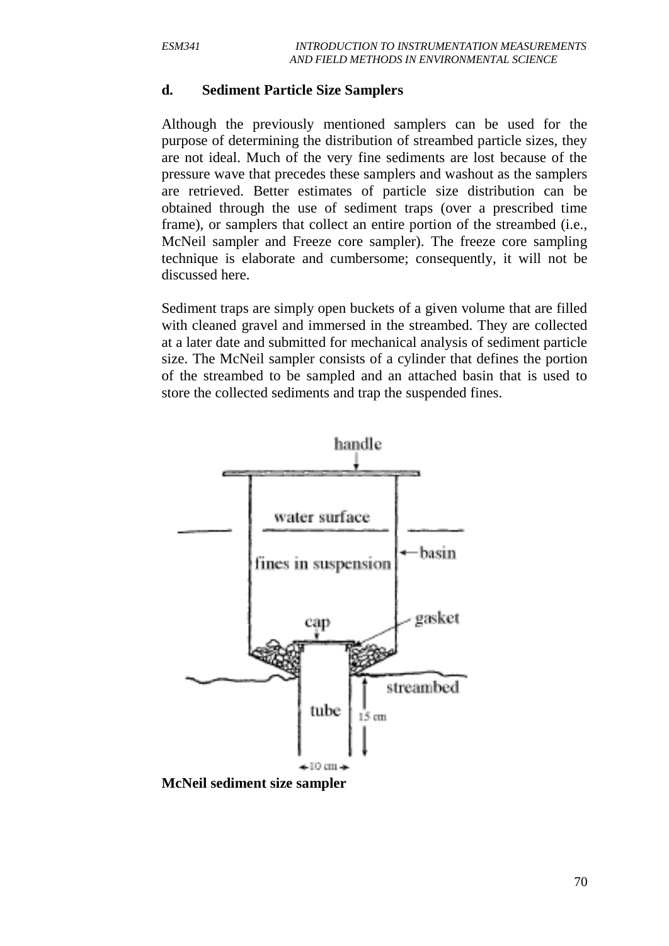#### **d. Sediment Particle Size Samplers**

Although the previously mentioned samplers can be used for the purpose of determining the distribution of streambed particle sizes, they are not ideal. Much of the very fine sediments are lost because of the pressure wave that precedes these samplers and washout as the samplers are retrieved. Better estimates of particle size distribution can be obtained through the use of sediment traps (over a prescribed time frame), or samplers that collect an entire portion of the streambed (i.e., McNeil sampler and Freeze core sampler). The freeze core sampling technique is elaborate and cumbersome; consequently, it will not be discussed here.

Sediment traps are simply open buckets of a given volume that are filled with cleaned gravel and immersed in the streambed. They are collected at a later date and submitted for mechanical analysis of sediment particle size. The McNeil sampler consists of a cylinder that defines the portion of the streambed to be sampled and an attached basin that is used to store the collected sediments and trap the suspended fines.



**McNeil sediment size sampler**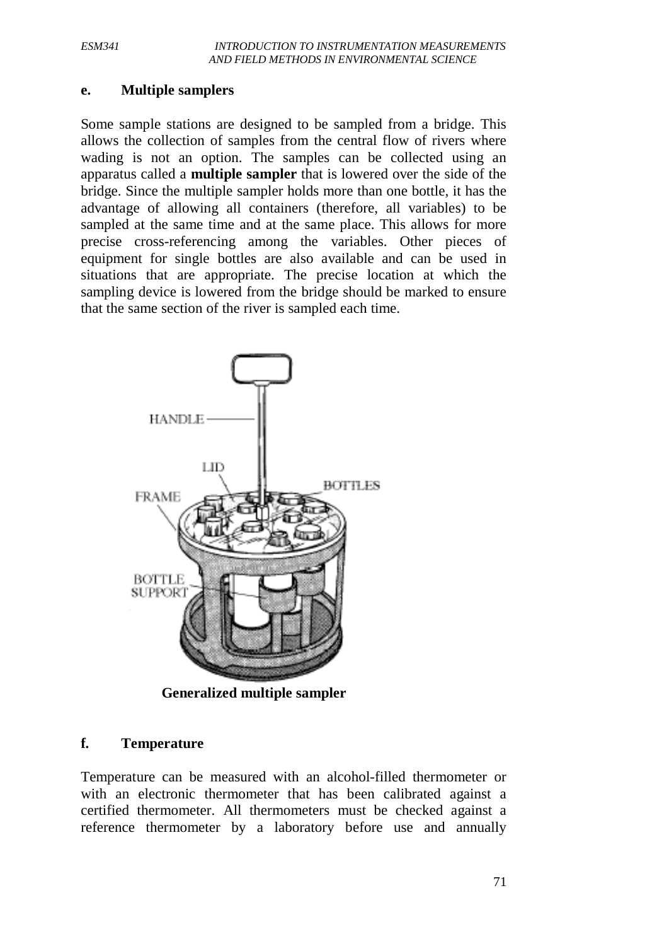#### **e. Multiple samplers**

Some sample stations are designed to be sampled from a bridge. This allows the collection of samples from the central flow of rivers where wading is not an option. The samples can be collected using an apparatus called a **multiple sampler** that is lowered over the side of the bridge. Since the multiple sampler holds more than one bottle, it has the advantage of allowing all containers (therefore, all variables) to be sampled at the same time and at the same place. This allows for more precise cross-referencing among the variables. Other pieces of equipment for single bottles are also available and can be used in situations that are appropriate. The precise location at which the sampling device is lowered from the bridge should be marked to ensure that the same section of the river is sampled each time.



## **f. Temperature**

Temperature can be measured with an alcohol-filled thermometer or with an electronic thermometer that has been calibrated against a certified thermometer. All thermometers must be checked against a reference thermometer by a laboratory before use and annually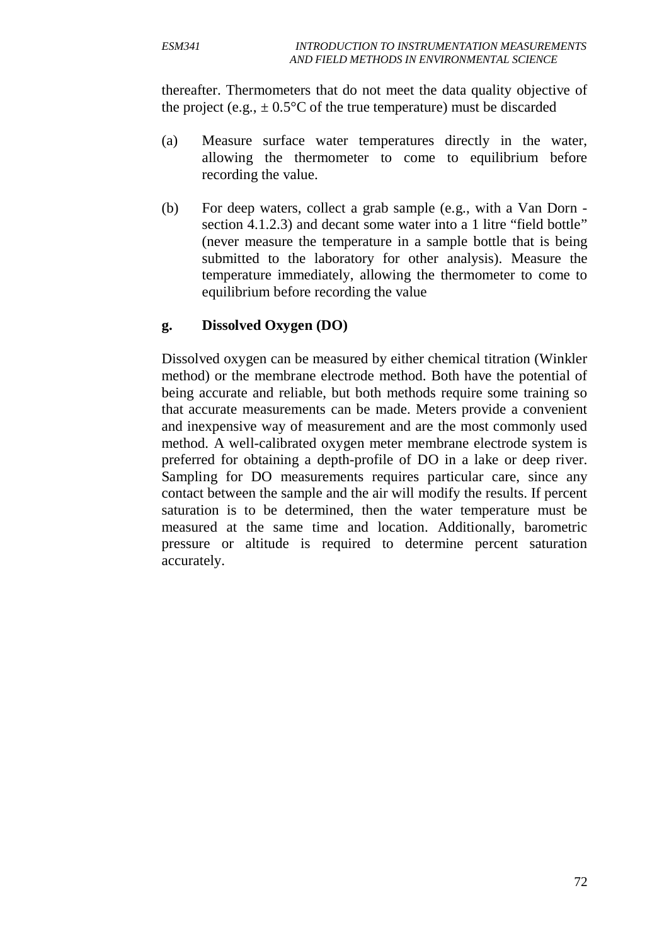thereafter. Thermometers that do not meet the data quality objective of the project (e.g.,  $\pm 0.5^{\circ}$ C of the true temperature) must be discarded

- (a) Measure surface water temperatures directly in the water, allowing the thermometer to come to equilibrium before recording the value.
- (b) For deep waters, collect a grab sample (e.g., with a Van Dorn section 4.1.2.3) and decant some water into a 1 litre "field bottle" (never measure the temperature in a sample bottle that is being submitted to the laboratory for other analysis). Measure the temperature immediately, allowing the thermometer to come to equilibrium before recording the value

#### **g. Dissolved Oxygen (DO)**

Dissolved oxygen can be measured by either chemical titration (Winkler method) or the membrane electrode method. Both have the potential of being accurate and reliable, but both methods require some training so that accurate measurements can be made. Meters provide a convenient and inexpensive way of measurement and are the most commonly used method. A well-calibrated oxygen meter membrane electrode system is preferred for obtaining a depth-profile of DO in a lake or deep river. Sampling for DO measurements requires particular care, since any contact between the sample and the air will modify the results. If percent saturation is to be determined, then the water temperature must be measured at the same time and location. Additionally, barometric pressure or altitude is required to determine percent saturation accurately.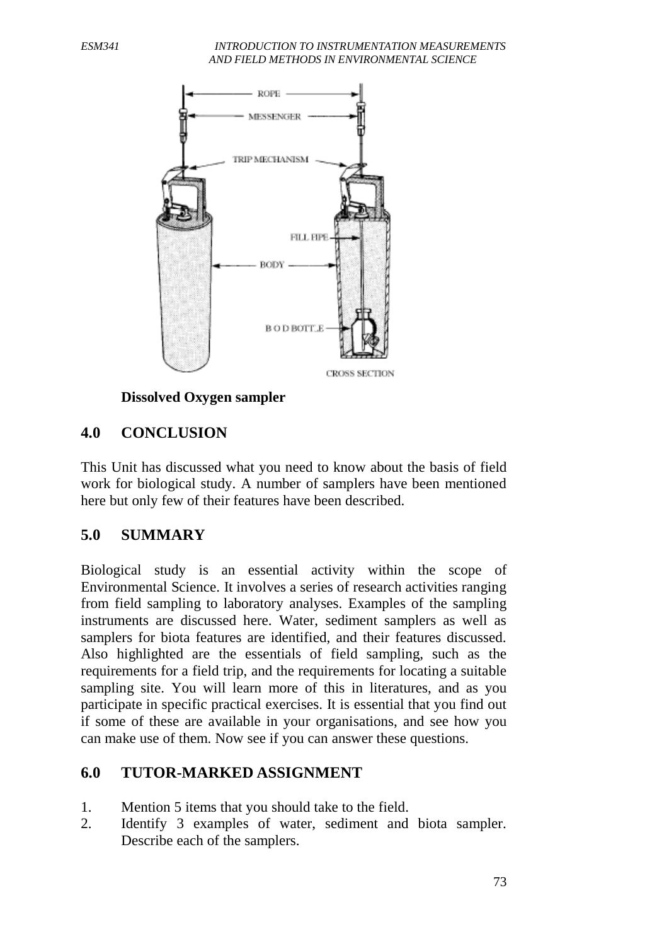#### *ESM341 INTRODUCTION TO INSTRUMENTATION MEASUREMENTS AND FIELD METHODS IN ENVIRONMENTAL SCIENCE*



#### **Dissolved Oxygen sampler**

### **4.0 CONCLUSION**

This Unit has discussed what you need to know about the basis of field work for biological study. A number of samplers have been mentioned here but only few of their features have been described.

### **5.0 SUMMARY**

Biological study is an essential activity within the scope of Environmental Science. It involves a series of research activities ranging from field sampling to laboratory analyses. Examples of the sampling instruments are discussed here. Water, sediment samplers as well as samplers for biota features are identified, and their features discussed. Also highlighted are the essentials of field sampling, such as the requirements for a field trip, and the requirements for locating a suitable sampling site. You will learn more of this in literatures, and as you participate in specific practical exercises. It is essential that you find out if some of these are available in your organisations, and see how you can make use of them. Now see if you can answer these questions.

#### **6.0 TUTOR-MARKED ASSIGNMENT**

- 1. Mention 5 items that you should take to the field.
- 2. Identify 3 examples of water, sediment and biota sampler. Describe each of the samplers.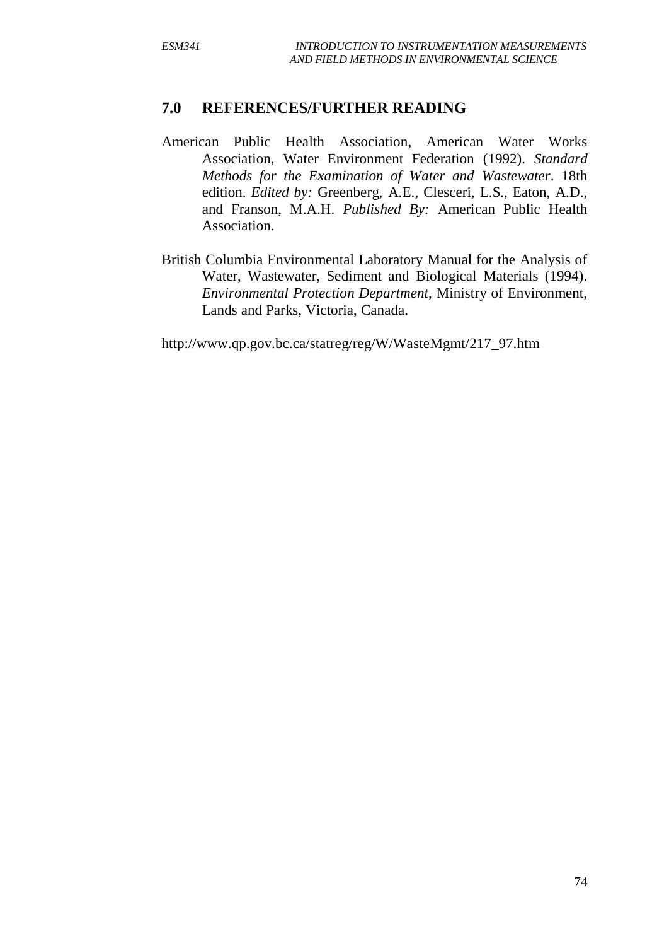### **7.0 REFERENCES/FURTHER READING**

- American Public Health Association, American Water Works Association, Water Environment Federation (1992). *Standard Methods for the Examination of Water and Wastewater*. 18th edition. *Edited by:* Greenberg, A.E., Clesceri, L.S., Eaton, A.D., and Franson, M.A.H. *Published By:* American Public Health Association.
- British Columbia Environmental Laboratory Manual for the Analysis of Water, Wastewater, Sediment and Biological Materials (1994). *Environmental Protection Department*, Ministry of Environment, Lands and Parks, Victoria, Canada.

http://www.qp.gov.bc.ca/statreg/reg/W/WasteMgmt/217\_97.htm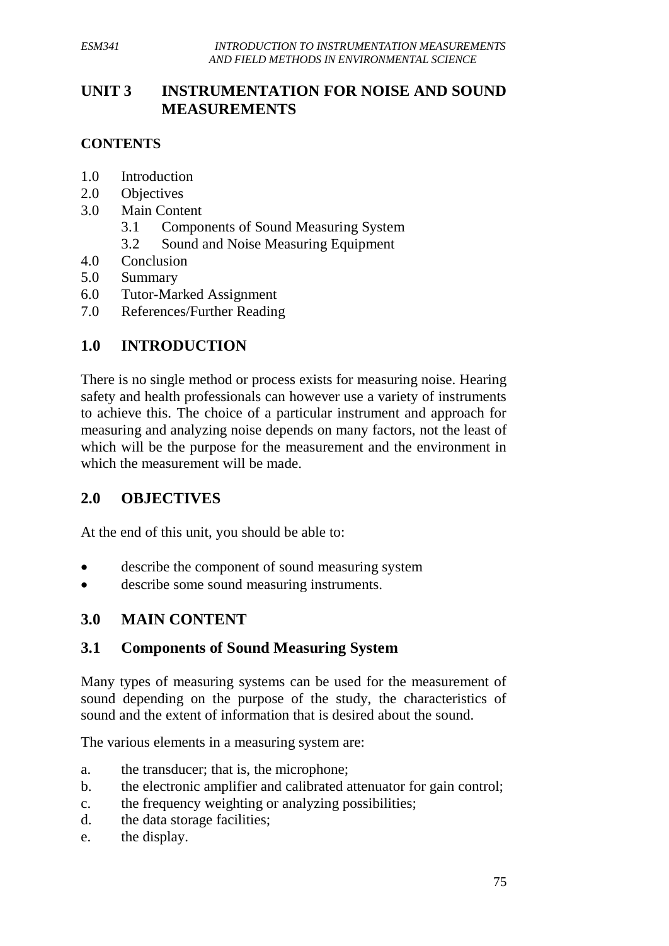## **UNIT 3 INSTRUMENTATION FOR NOISE AND SOUND MEASUREMENTS**

### **CONTENTS**

- 1.0 Introduction
- 2.0 Objectives
- 3.0 Main Content
	- 3.1 Components of Sound Measuring System
	- 3.2 Sound and Noise Measuring Equipment
- 4.0 Conclusion
- 5.0 Summary
- 6.0 Tutor-Marked Assignment
- 7.0 References/Further Reading

## **1.0 INTRODUCTION**

There is no single method or process exists for measuring noise. Hearing safety and health professionals can however use a variety of instruments to achieve this. The choice of a particular instrument and approach for measuring and analyzing noise depends on many factors, not the least of which will be the purpose for the measurement and the environment in which the measurement will be made.

### **2.0 OBJECTIVES**

At the end of this unit, you should be able to:

- describe the component of sound measuring system
- describe some sound measuring instruments.

### **3.0 MAIN CONTENT**

#### **3.1 Components of Sound Measuring System**

Many types of measuring systems can be used for the measurement of sound depending on the purpose of the study, the characteristics of sound and the extent of information that is desired about the sound.

The various elements in a measuring system are:

- a. the transducer; that is, the microphone;
- b. the electronic amplifier and calibrated attenuator for gain control;
- c. the frequency weighting or analyzing possibilities;
- d. the data storage facilities;
- e. the display.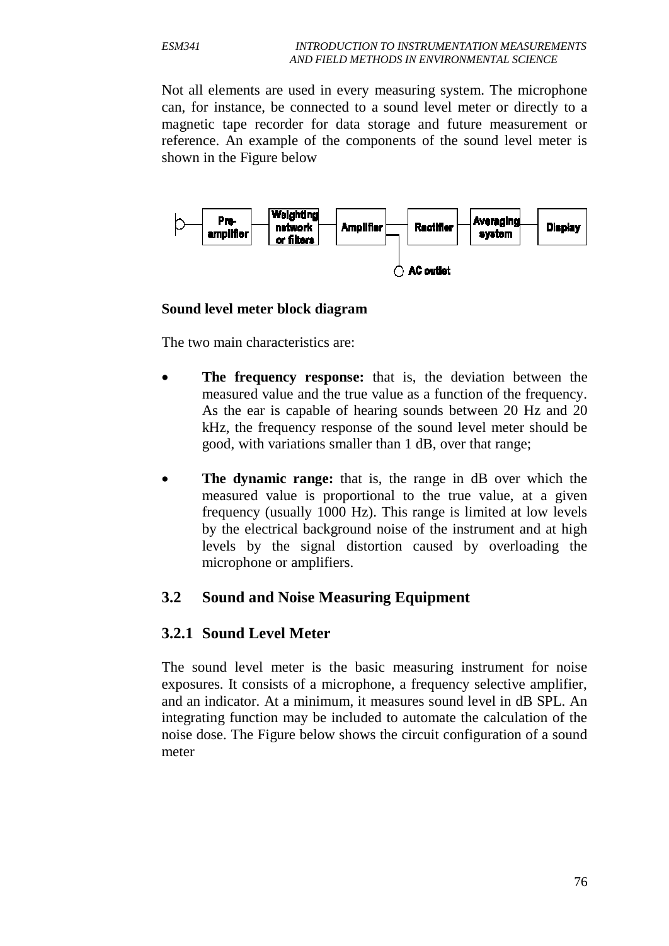Not all elements are used in every measuring system. The microphone can, for instance, be connected to a sound level meter or directly to a magnetic tape recorder for data storage and future measurement or reference. An example of the components of the sound level meter is shown in the Figure below



#### **Sound level meter block diagram**

The two main characteristics are:

- **The frequency response:** that is, the deviation between the measured value and the true value as a function of the frequency. As the ear is capable of hearing sounds between 20 Hz and 20 kHz, the frequency response of the sound level meter should be good, with variations smaller than 1 dB, over that range;
- **The dynamic range:** that is, the range in dB over which the measured value is proportional to the true value, at a given frequency (usually 1000 Hz). This range is limited at low levels by the electrical background noise of the instrument and at high levels by the signal distortion caused by overloading the microphone or amplifiers.

### **3.2 Sound and Noise Measuring Equipment**

### **3.2.1 Sound Level Meter**

The sound level meter is the basic measuring instrument for noise exposures. It consists of a microphone, a frequency selective amplifier, and an indicator. At a minimum, it measures sound level in dB SPL. An integrating function may be included to automate the calculation of the noise dose. The Figure below shows the circuit configuration of a sound meter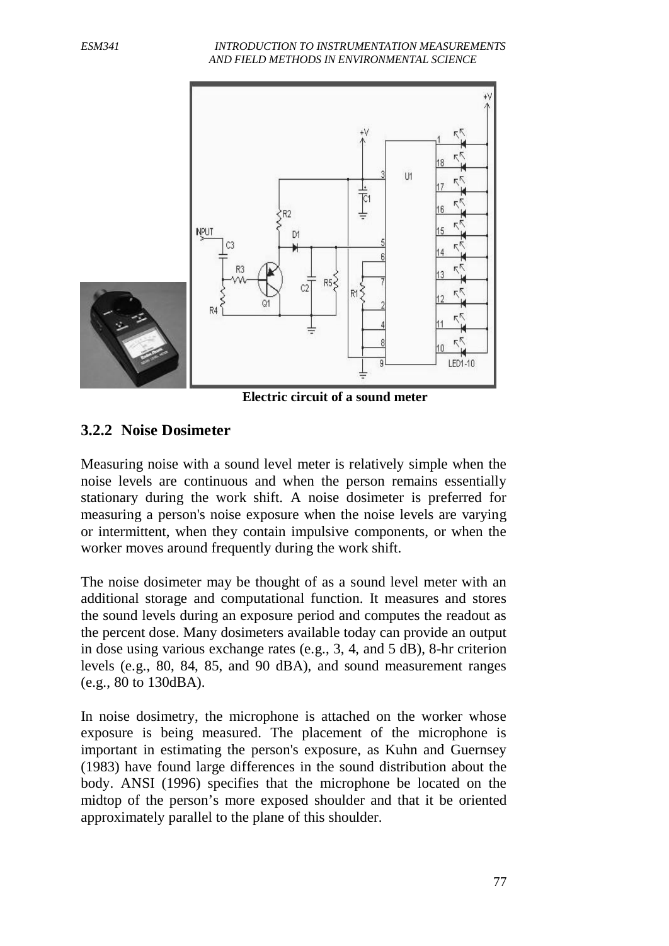*ESM341 INTRODUCTION TO INSTRUMENTATION MEASUREMENTS AND FIELD METHODS IN ENVIRONMENTAL SCIENCE*



**Electric circuit of a sound meter**

### **3.2.2 Noise Dosimeter**

Measuring noise with a sound level meter is relatively simple when the noise levels are continuous and when the person remains essentially stationary during the work shift. A noise dosimeter is preferred for measuring a person's noise exposure when the noise levels are varying or intermittent, when they contain impulsive components, or when the worker moves around frequently during the work shift.

The noise dosimeter may be thought of as a sound level meter with an additional storage and computational function. It measures and stores the sound levels during an exposure period and computes the readout as the percent dose. Many dosimeters available today can provide an output in dose using various exchange rates (e.g., 3, 4, and 5 dB), 8-hr criterion levels (e.g., 80, 84, 85, and 90 dBA), and sound measurement ranges (e.g., 80 to 130dBA).

In noise dosimetry, the microphone is attached on the worker whose exposure is being measured. The placement of the microphone is important in estimating the person's exposure, as Kuhn and Guernsey (1983) have found large differences in the sound distribution about the body. ANSI (1996) specifies that the microphone be located on the midtop of the person's more exposed shoulder and that it be oriented approximately parallel to the plane of this shoulder.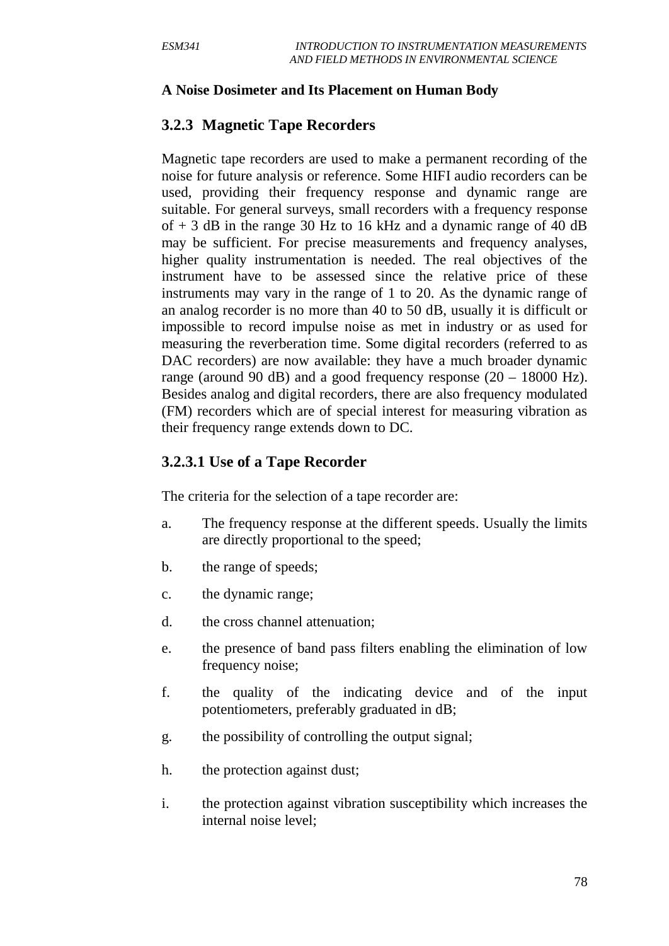#### **A Noise Dosimeter and Its Placement on Human Body**

### **3.2.3 Magnetic Tape Recorders**

Magnetic tape recorders are used to make a permanent recording of the noise for future analysis or reference. Some HIFI audio recorders can be used, providing their frequency response and dynamic range are suitable. For general surveys, small recorders with a frequency response of  $+3$  dB in the range 30 Hz to 16 kHz and a dynamic range of 40 dB may be sufficient. For precise measurements and frequency analyses, higher quality instrumentation is needed. The real objectives of the instrument have to be assessed since the relative price of these instruments may vary in the range of 1 to 20. As the dynamic range of an analog recorder is no more than 40 to 50 dB, usually it is difficult or impossible to record impulse noise as met in industry or as used for measuring the reverberation time. Some digital recorders (referred to as DAC recorders) are now available: they have a much broader dynamic range (around 90 dB) and a good frequency response  $(20 - 18000 \text{ Hz})$ . Besides analog and digital recorders, there are also frequency modulated (FM) recorders which are of special interest for measuring vibration as their frequency range extends down to DC.

### **3.2.3.1 Use of a Tape Recorder**

The criteria for the selection of a tape recorder are:

- a. The frequency response at the different speeds. Usually the limits are directly proportional to the speed;
- b. the range of speeds;
- c. the dynamic range;
- d. the cross channel attenuation;
- e. the presence of band pass filters enabling the elimination of low frequency noise;
- f. the quality of the indicating device and of the input potentiometers, preferably graduated in dB;
- g. the possibility of controlling the output signal;
- h. the protection against dust;
- i. the protection against vibration susceptibility which increases the internal noise level;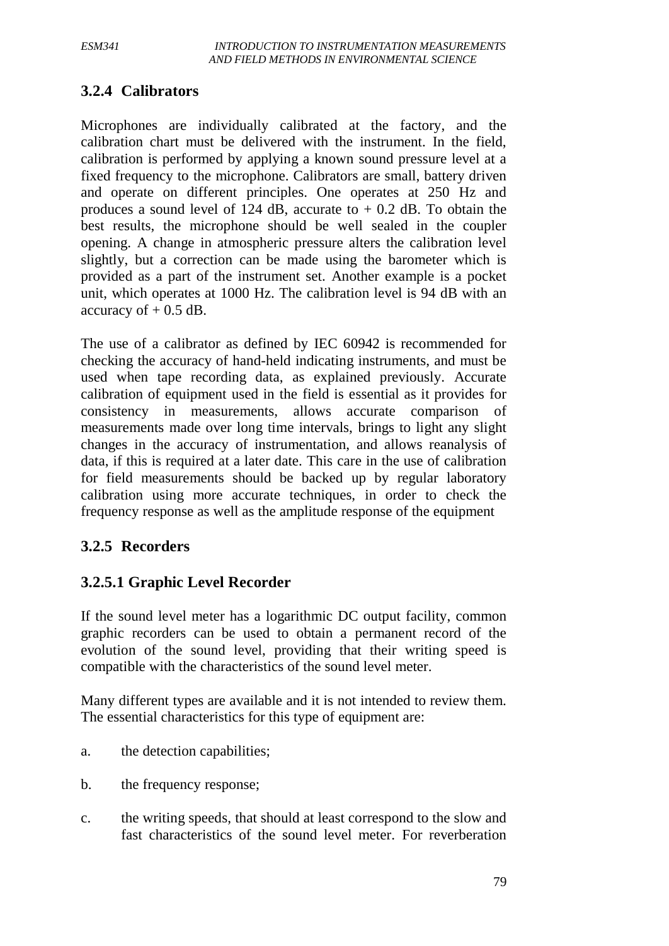## **3.2.4 Calibrators**

Microphones are individually calibrated at the factory, and the calibration chart must be delivered with the instrument. In the field, calibration is performed by applying a known sound pressure level at a fixed frequency to the microphone. Calibrators are small, battery driven and operate on different principles. One operates at 250 Hz and produces a sound level of 124 dB, accurate to  $+$  0.2 dB. To obtain the best results, the microphone should be well sealed in the coupler opening. A change in atmospheric pressure alters the calibration level slightly, but a correction can be made using the barometer which is provided as a part of the instrument set. Another example is a pocket unit, which operates at 1000 Hz. The calibration level is 94 dB with an accuracy of  $+$  0.5 dB.

The use of a calibrator as defined by IEC 60942 is recommended for checking the accuracy of hand-held indicating instruments, and must be used when tape recording data, as explained previously. Accurate calibration of equipment used in the field is essential as it provides for consistency in measurements, allows accurate comparison of measurements made over long time intervals, brings to light any slight changes in the accuracy of instrumentation, and allows reanalysis of data, if this is required at a later date. This care in the use of calibration for field measurements should be backed up by regular laboratory calibration using more accurate techniques, in order to check the frequency response as well as the amplitude response of the equipment

### **3.2.5 Recorders**

### **3.2.5.1 Graphic Level Recorder**

If the sound level meter has a logarithmic DC output facility, common graphic recorders can be used to obtain a permanent record of the evolution of the sound level, providing that their writing speed is compatible with the characteristics of the sound level meter.

Many different types are available and it is not intended to review them. The essential characteristics for this type of equipment are:

- a. the detection capabilities;
- b. the frequency response;
- c. the writing speeds, that should at least correspond to the slow and fast characteristics of the sound level meter. For reverberation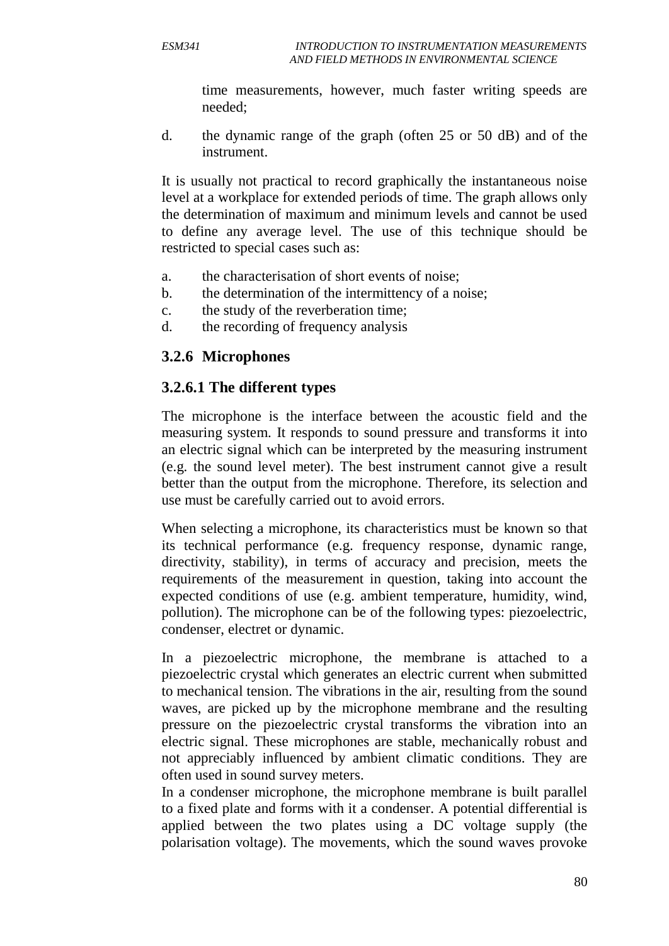time measurements, however, much faster writing speeds are needed;

d. the dynamic range of the graph (often 25 or 50 dB) and of the instrument.

It is usually not practical to record graphically the instantaneous noise level at a workplace for extended periods of time. The graph allows only the determination of maximum and minimum levels and cannot be used to define any average level. The use of this technique should be restricted to special cases such as:

- a. the characterisation of short events of noise;
- b. the determination of the intermittency of a noise;
- c. the study of the reverberation time;
- d. the recording of frequency analysis

### **3.2.6 Microphones**

### **3.2.6.1 The different types**

The microphone is the interface between the acoustic field and the measuring system. It responds to sound pressure and transforms it into an electric signal which can be interpreted by the measuring instrument (e.g. the sound level meter). The best instrument cannot give a result better than the output from the microphone. Therefore, its selection and use must be carefully carried out to avoid errors.

When selecting a microphone, its characteristics must be known so that its technical performance (e.g. frequency response, dynamic range, directivity, stability), in terms of accuracy and precision, meets the requirements of the measurement in question, taking into account the expected conditions of use (e.g. ambient temperature, humidity, wind, pollution). The microphone can be of the following types: piezoelectric, condenser, electret or dynamic.

In a piezoelectric microphone, the membrane is attached to a piezoelectric crystal which generates an electric current when submitted to mechanical tension. The vibrations in the air, resulting from the sound waves, are picked up by the microphone membrane and the resulting pressure on the piezoelectric crystal transforms the vibration into an electric signal. These microphones are stable, mechanically robust and not appreciably influenced by ambient climatic conditions. They are often used in sound survey meters.

In a condenser microphone, the microphone membrane is built parallel to a fixed plate and forms with it a condenser. A potential differential is applied between the two plates using a DC voltage supply (the polarisation voltage). The movements, which the sound waves provoke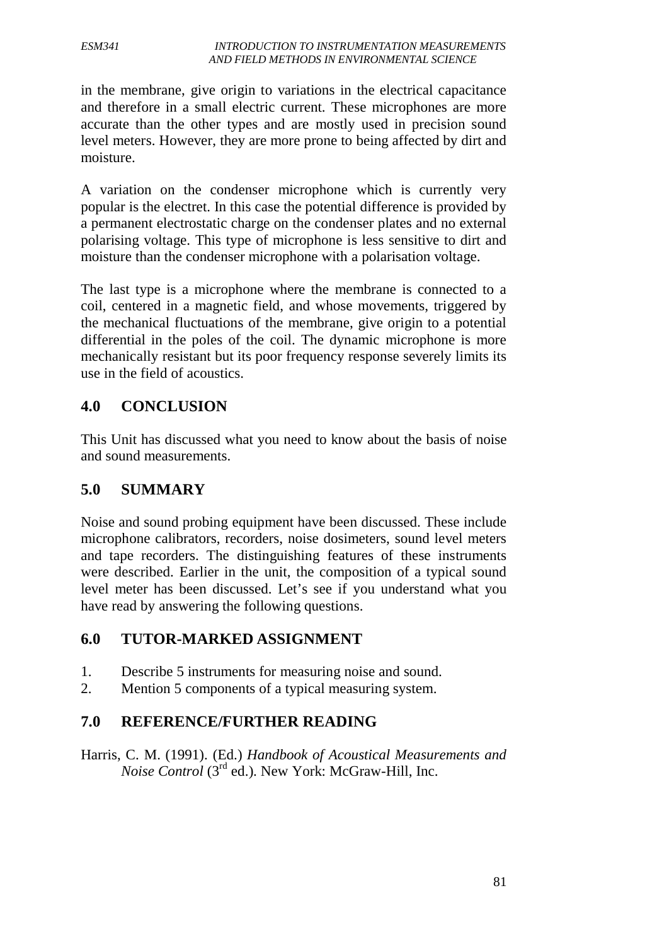in the membrane, give origin to variations in the electrical capacitance and therefore in a small electric current. These microphones are more accurate than the other types and are mostly used in precision sound level meters. However, they are more prone to being affected by dirt and moisture.

A variation on the condenser microphone which is currently very popular is the electret. In this case the potential difference is provided by a permanent electrostatic charge on the condenser plates and no external polarising voltage. This type of microphone is less sensitive to dirt and moisture than the condenser microphone with a polarisation voltage.

The last type is a microphone where the membrane is connected to a coil, centered in a magnetic field, and whose movements, triggered by the mechanical fluctuations of the membrane, give origin to a potential differential in the poles of the coil. The dynamic microphone is more mechanically resistant but its poor frequency response severely limits its use in the field of acoustics.

## **4.0 CONCLUSION**

This Unit has discussed what you need to know about the basis of noise and sound measurements.

## **5.0 SUMMARY**

Noise and sound probing equipment have been discussed. These include microphone calibrators, recorders, noise dosimeters, sound level meters and tape recorders. The distinguishing features of these instruments were described. Earlier in the unit, the composition of a typical sound level meter has been discussed. Let's see if you understand what you have read by answering the following questions.

## **6.0 TUTOR-MARKED ASSIGNMENT**

- 1. Describe 5 instruments for measuring noise and sound.
- 2. Mention 5 components of a typical measuring system.

## **7.0 REFERENCE/FURTHER READING**

Harris, C. M. (1991). (Ed.) *Handbook of Acoustical Measurements and Noise Control* (3<sup>rd</sup> ed.). New York: McGraw-Hill, Inc.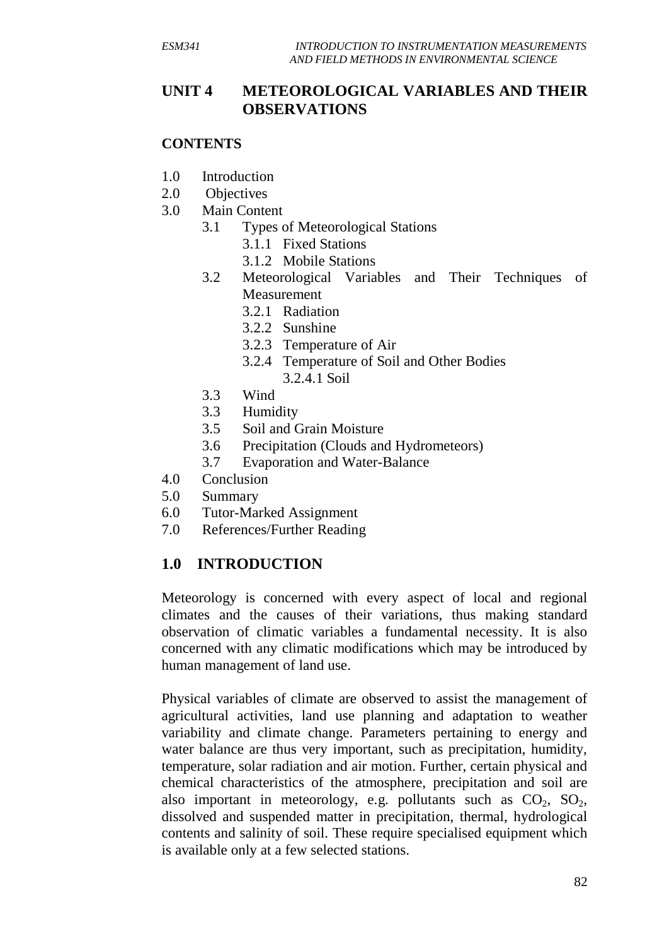### **UNIT 4 METEOROLOGICAL VARIABLES AND THEIR OBSERVATIONS**

#### **CONTENTS**

- 1.0 Introduction
- 2.0 Objectives
- 3.0 Main Content
	- 3.1 Types of Meteorological Stations
		- 3.1.1 Fixed Stations
		- 3.1.2 Mobile Stations
	- 3.2 Meteorological Variables and Their Techniques of Measurement
		- 3.2.1 Radiation
		- 3.2.2 Sunshine
		- 3.2.3 Temperature of Air
		- 3.2.4 Temperature of Soil and Other Bodies 3.2.4.1 Soil
	- 3.3 Wind
	- 3.3 Humidity
	- 3.5 Soil and Grain Moisture
	- 3.6 Precipitation (Clouds and Hydrometeors)
	- 3.7 Evaporation and Water-Balance
- 4.0 Conclusion
- 5.0 Summary
- 6.0 Tutor-Marked Assignment
- 7.0 References/Further Reading

#### **1.0 INTRODUCTION**

Meteorology is concerned with every aspect of local and regional climates and the causes of their variations, thus making standard observation of climatic variables a fundamental necessity. It is also concerned with any climatic modifications which may be introduced by human management of land use.

Physical variables of climate are observed to assist the management of agricultural activities, land use planning and adaptation to weather variability and climate change. Parameters pertaining to energy and water balance are thus very important, such as precipitation, humidity, temperature, solar radiation and air motion. Further, certain physical and chemical characteristics of the atmosphere, precipitation and soil are also important in meteorology, e.g. pollutants such as  $CO<sub>2</sub>$ ,  $SO<sub>2</sub>$ , dissolved and suspended matter in precipitation, thermal, hydrological contents and salinity of soil. These require specialised equipment which is available only at a few selected stations.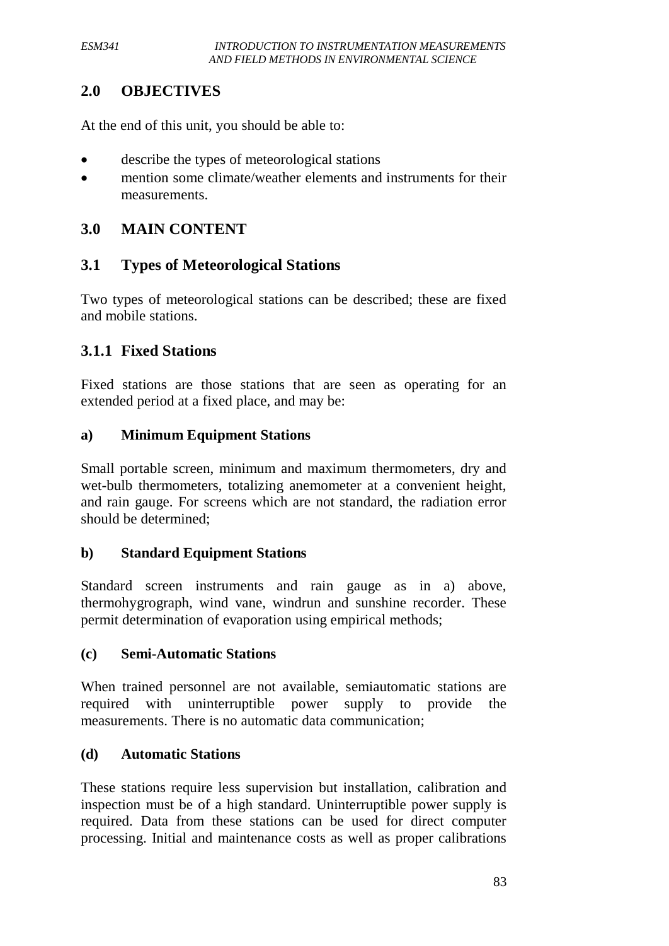## **2.0 OBJECTIVES**

At the end of this unit, you should be able to:

- describe the types of meteorological stations
- mention some climate/weather elements and instruments for their measurements.

### **3.0 MAIN CONTENT**

## **3.1 Types of Meteorological Stations**

Two types of meteorological stations can be described; these are fixed and mobile stations.

## **3.1.1 Fixed Stations**

Fixed stations are those stations that are seen as operating for an extended period at a fixed place, and may be:

### **a) Minimum Equipment Stations**

Small portable screen, minimum and maximum thermometers, dry and wet-bulb thermometers, totalizing anemometer at a convenient height, and rain gauge. For screens which are not standard, the radiation error should be determined;

#### **b) Standard Equipment Stations**

Standard screen instruments and rain gauge as in a) above, thermohygrograph, wind vane, windrun and sunshine recorder. These permit determination of evaporation using empirical methods;

#### **(c) Semi-Automatic Stations**

When trained personnel are not available, semiautomatic stations are required with uninterruptible power supply to provide the measurements. There is no automatic data communication;

#### **(d) Automatic Stations**

These stations require less supervision but installation, calibration and inspection must be of a high standard. Uninterruptible power supply is required. Data from these stations can be used for direct computer processing. Initial and maintenance costs as well as proper calibrations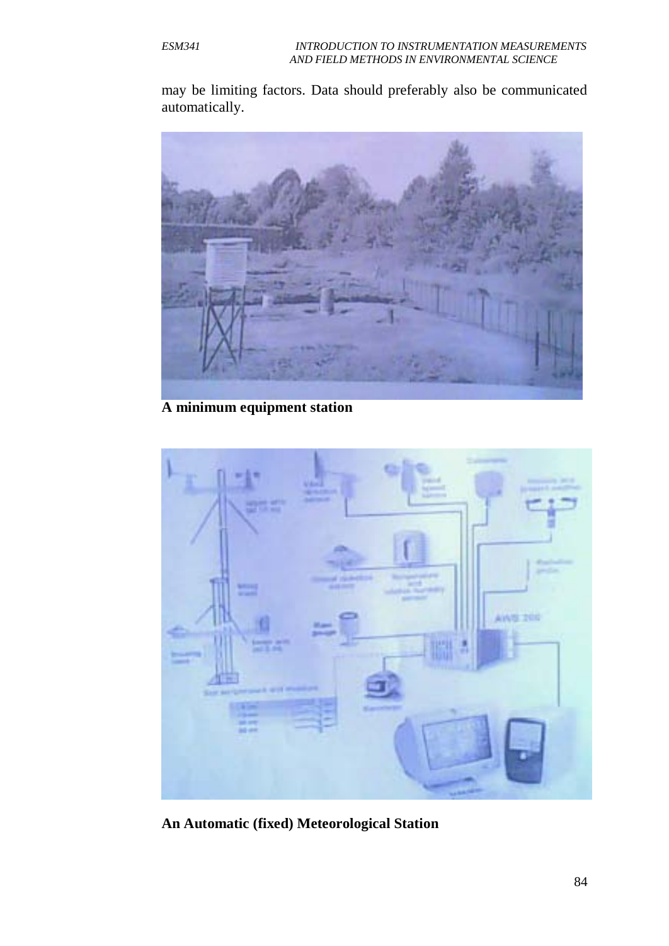may be limiting factors. Data should preferably also be communicated automatically.



**A minimum equipment station**



**An Automatic (fixed) Meteorological Station**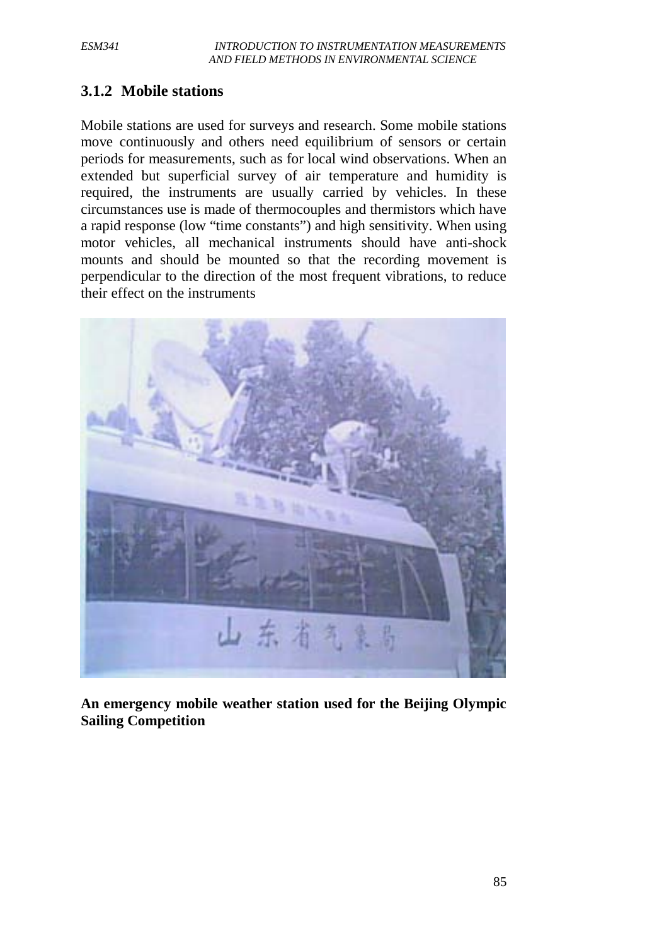## **3.1.2 Mobile stations**

Mobile stations are used for surveys and research. Some mobile stations move continuously and others need equilibrium of sensors or certain periods for measurements, such as for local wind observations. When an extended but superficial survey of air temperature and humidity is required, the instruments are usually carried by vehicles. In these circumstances use is made of thermocouples and thermistors which have a rapid response (low "time constants") and high sensitivity. When using motor vehicles, all mechanical instruments should have anti-shock mounts and should be mounted so that the recording movement is perpendicular to the direction of the most frequent vibrations, to reduce their effect on the instruments



**An emergency mobile weather station used for the Beijing Olympic Sailing Competition**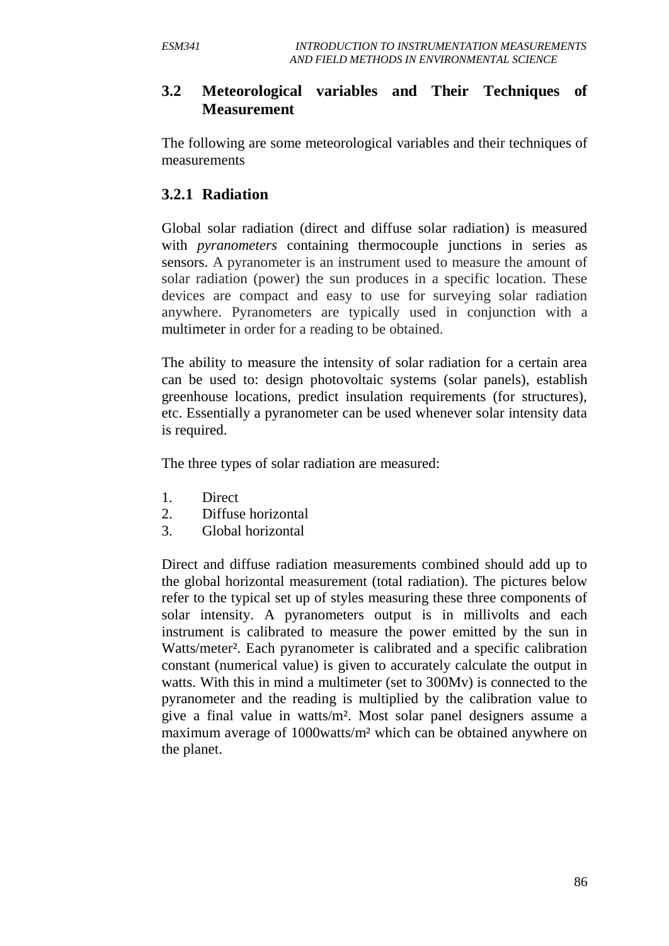### **3.2 Meteorological variables and Their Techniques of Measurement**

The following are some meteorological variables and their techniques of measurements

### **3.2.1 Radiation**

Global solar radiation (direct and diffuse solar radiation) is measured with *pyranometers* containing thermocouple junctions in series as sensors. A pyranometer is an instrument used to measure the amount of solar radiation (power) the sun produces in a specific location. These devices are compact and easy to use for surveying solar radiation anywhere. Pyranometers are typically used in conjunction with a multimeter in order for a reading to be obtained.

The ability to measure the intensity of solar radiation for a certain area can be used to: design photovoltaic systems (solar panels), establish greenhouse locations, predict insulation requirements (for structures), etc. Essentially a pyranometer can be used whenever solar intensity data is required.

The three types of solar radiation are measured:

- 1. Direct
- 2. Diffuse horizontal
- 3. Global horizontal

Direct and diffuse radiation measurements combined should add up to the global horizontal measurement (total radiation). The pictures below refer to the typical set up of styles measuring these three components of solar intensity. A pyranometers output is in millivolts and each instrument is calibrated to measure the power emitted by the sun in Watts/meter<sup>2</sup>. Each pyranometer is calibrated and a specific calibration constant (numerical value) is given to accurately calculate the output in watts. With this in mind a multimeter (set to 300Mv) is connected to the pyranometer and the reading is multiplied by the calibration value to give a final value in watts/m². Most solar panel designers assume a maximum average of 1000watts/m² which can be obtained anywhere on the planet.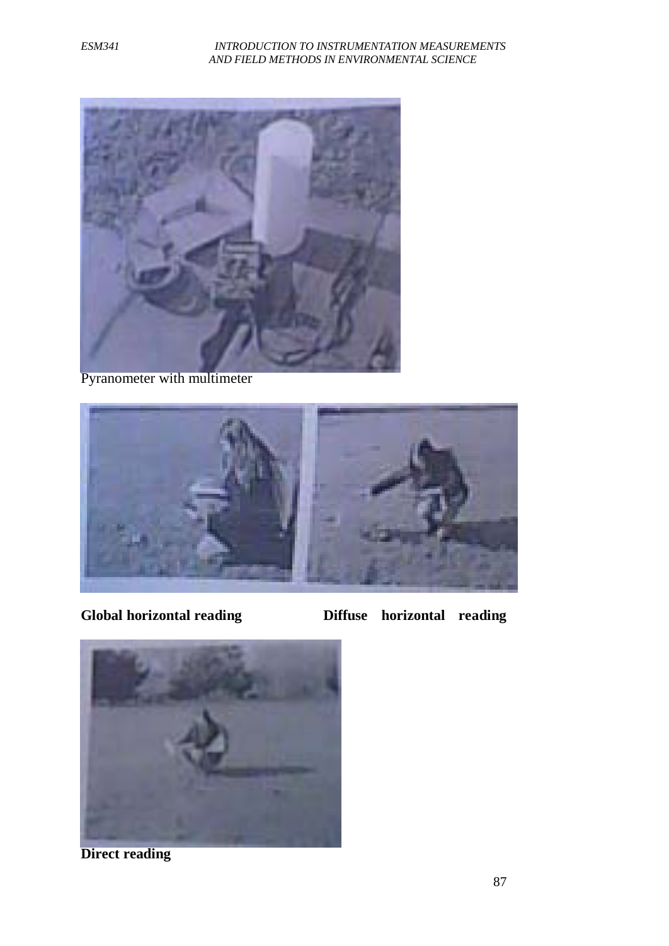#### *ESM341 INTRODUCTION TO INSTRUMENTATION MEASUREMENTS AND FIELD METHODS IN ENVIRONMENTAL SCIENCE*



Pyranometer with multimeter



**Global horizontal reading Diffuse horizontal reading** 



**Direct reading**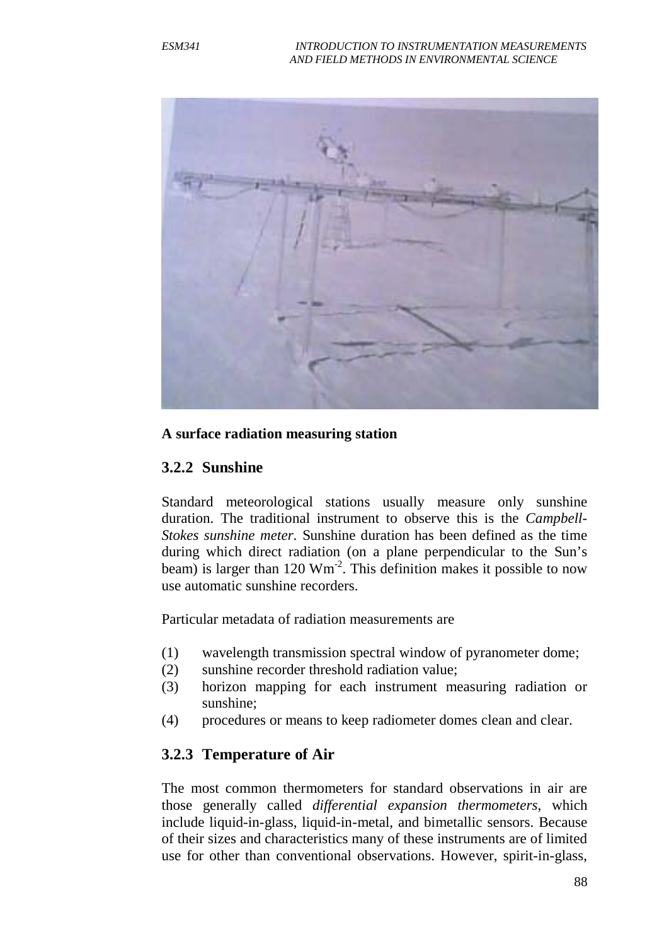

#### **A surface radiation measuring station**

#### **3.2.2 Sunshine**

Standard meteorological stations usually measure only sunshine duration. The traditional instrument to observe this is the *Campbell-Stokes sunshine meter*. Sunshine duration has been defined as the time during which direct radiation (on a plane perpendicular to the Sun's beam) is larger than  $120 \text{ Wm}^2$ . This definition makes it possible to now use automatic sunshine recorders.

Particular metadata of radiation measurements are

- (1) wavelength transmission spectral window of pyranometer dome;
- (2) sunshine recorder threshold radiation value;
- (3) horizon mapping for each instrument measuring radiation or sunshine;
- (4) procedures or means to keep radiometer domes clean and clear.

#### **3.2.3 Temperature of Air**

The most common thermometers for standard observations in air are those generally called *differential expansion thermometers*, which include liquid-in-glass, liquid-in-metal, and bimetallic sensors. Because of their sizes and characteristics many of these instruments are of limited use for other than conventional observations. However, spirit-in-glass,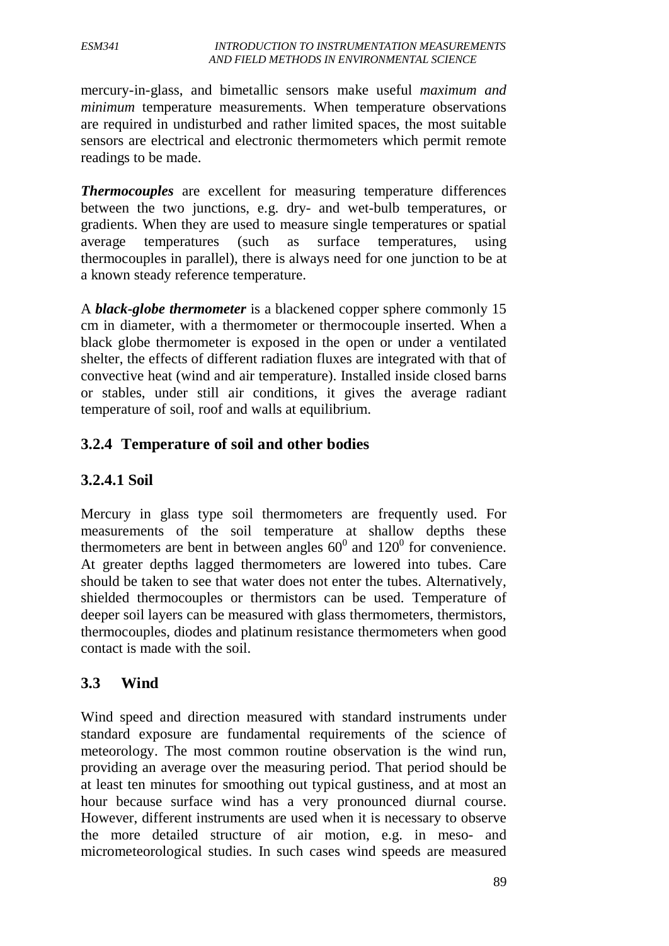mercury-in-glass, and bimetallic sensors make useful *maximum and minimum* temperature measurements. When temperature observations are required in undisturbed and rather limited spaces, the most suitable sensors are electrical and electronic thermometers which permit remote readings to be made.

*Thermocouples* are excellent for measuring temperature differences between the two junctions, e.g. dry- and wet-bulb temperatures, or gradients. When they are used to measure single temperatures or spatial average temperatures (such as surface temperatures, using thermocouples in parallel), there is always need for one junction to be at a known steady reference temperature.

A *black-globe thermometer* is a blackened copper sphere commonly 15 cm in diameter, with a thermometer or thermocouple inserted. When a black globe thermometer is exposed in the open or under a ventilated shelter, the effects of different radiation fluxes are integrated with that of convective heat (wind and air temperature). Installed inside closed barns or stables, under still air conditions, it gives the average radiant temperature of soil, roof and walls at equilibrium.

## **3.2.4 Temperature of soil and other bodies**

### **3.2.4.1 Soil**

Mercury in glass type soil thermometers are frequently used. For measurements of the soil temperature at shallow depths these thermometers are bent in between angles  $60^{\circ}$  and  $120^{\circ}$  for convenience. At greater depths lagged thermometers are lowered into tubes. Care should be taken to see that water does not enter the tubes. Alternatively, shielded thermocouples or thermistors can be used. Temperature of deeper soil layers can be measured with glass thermometers, thermistors, thermocouples, diodes and platinum resistance thermometers when good contact is made with the soil.

#### **3.3 Wind**

Wind speed and direction measured with standard instruments under standard exposure are fundamental requirements of the science of meteorology. The most common routine observation is the wind run, providing an average over the measuring period. That period should be at least ten minutes for smoothing out typical gustiness, and at most an hour because surface wind has a very pronounced diurnal course. However, different instruments are used when it is necessary to observe the more detailed structure of air motion, e.g. in meso- and micrometeorological studies. In such cases wind speeds are measured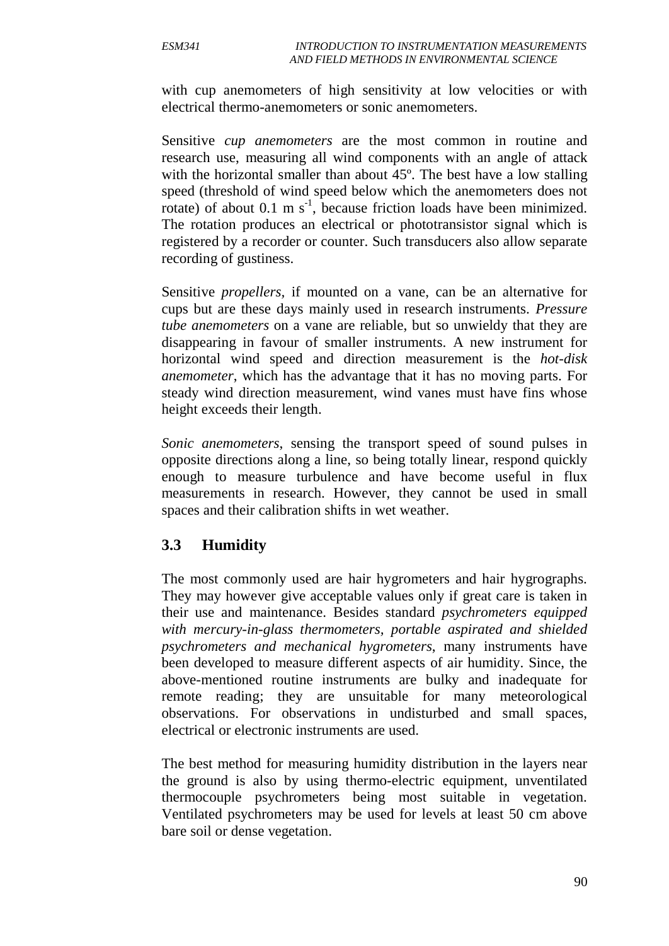with cup anemometers of high sensitivity at low velocities or with electrical thermo-anemometers or sonic anemometers.

Sensitive *cup anemometers* are the most common in routine and research use, measuring all wind components with an angle of attack with the horizontal smaller than about 45<sup>o</sup>. The best have a low stalling speed (threshold of wind speed below which the anemometers does not rotate) of about  $0.1 \text{ m s}^{-1}$ , because friction loads have been minimized. The rotation produces an electrical or phototransistor signal which is registered by a recorder or counter. Such transducers also allow separate recording of gustiness.

Sensitive *propellers,* if mounted on a vane, can be an alternative for cups but are these days mainly used in research instruments. *Pressure tube anemometers* on a vane are reliable, but so unwieldy that they are disappearing in favour of smaller instruments. A new instrument for horizontal wind speed and direction measurement is the *hot-disk anemometer*, which has the advantage that it has no moving parts. For steady wind direction measurement, wind vanes must have fins whose height exceeds their length.

*Sonic anemometers*, sensing the transport speed of sound pulses in opposite directions along a line, so being totally linear, respond quickly enough to measure turbulence and have become useful in flux measurements in research. However, they cannot be used in small spaces and their calibration shifts in wet weather.

### **3.3 Humidity**

The most commonly used are hair hygrometers and hair hygrographs. They may however give acceptable values only if great care is taken in their use and maintenance. Besides standard *psychrometers equipped with mercury-in-glass thermometers, portable aspirated and shielded psychrometers and mechanical hygrometers*, many instruments have been developed to measure different aspects of air humidity. Since, the above-mentioned routine instruments are bulky and inadequate for remote reading; they are unsuitable for many meteorological observations. For observations in undisturbed and small spaces, electrical or electronic instruments are used.

The best method for measuring humidity distribution in the layers near the ground is also by using thermo-electric equipment, unventilated thermocouple psychrometers being most suitable in vegetation. Ventilated psychrometers may be used for levels at least 50 cm above bare soil or dense vegetation.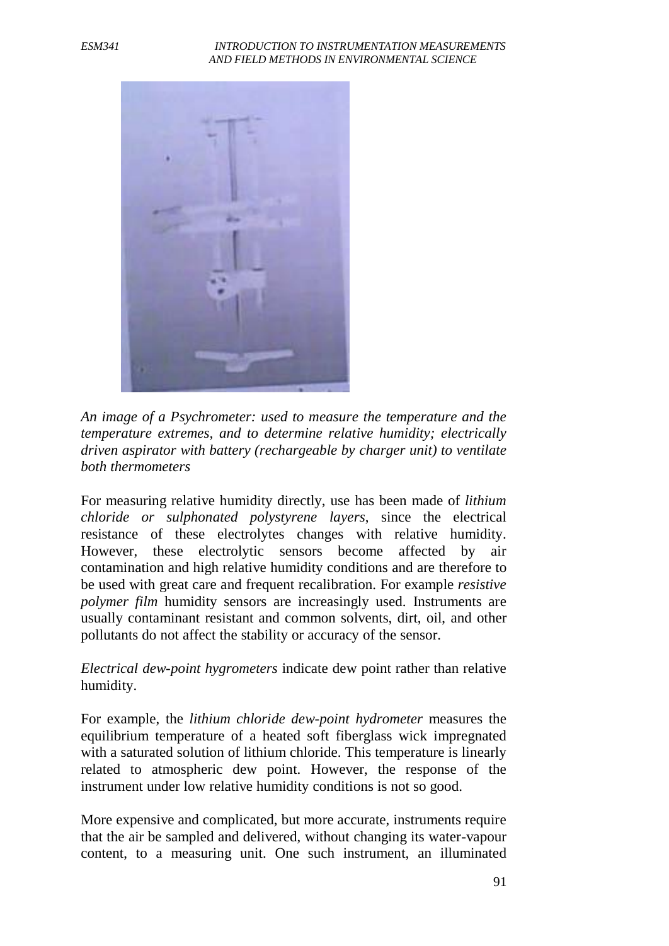

*An image of a Psychrometer: used to measure the temperature and the temperature extremes, and to determine relative humidity; electrically driven aspirator with battery (rechargeable by charger unit) to ventilate both thermometers*

For measuring relative humidity directly, use has been made of *lithium chloride or sulphonated polystyrene layers*, since the electrical resistance of these electrolytes changes with relative humidity. However, these electrolytic sensors become affected by air contamination and high relative humidity conditions and are therefore to be used with great care and frequent recalibration. For example *resistive polymer film* humidity sensors are increasingly used. Instruments are usually contaminant resistant and common solvents, dirt, oil, and other pollutants do not affect the stability or accuracy of the sensor.

*Electrical dew-point hygrometers* indicate dew point rather than relative humidity.

For example, the *lithium chloride dew-point hydrometer* measures the equilibrium temperature of a heated soft fiberglass wick impregnated with a saturated solution of lithium chloride. This temperature is linearly related to atmospheric dew point. However, the response of the instrument under low relative humidity conditions is not so good.

More expensive and complicated, but more accurate, instruments require that the air be sampled and delivered, without changing its water-vapour content, to a measuring unit. One such instrument, an illuminated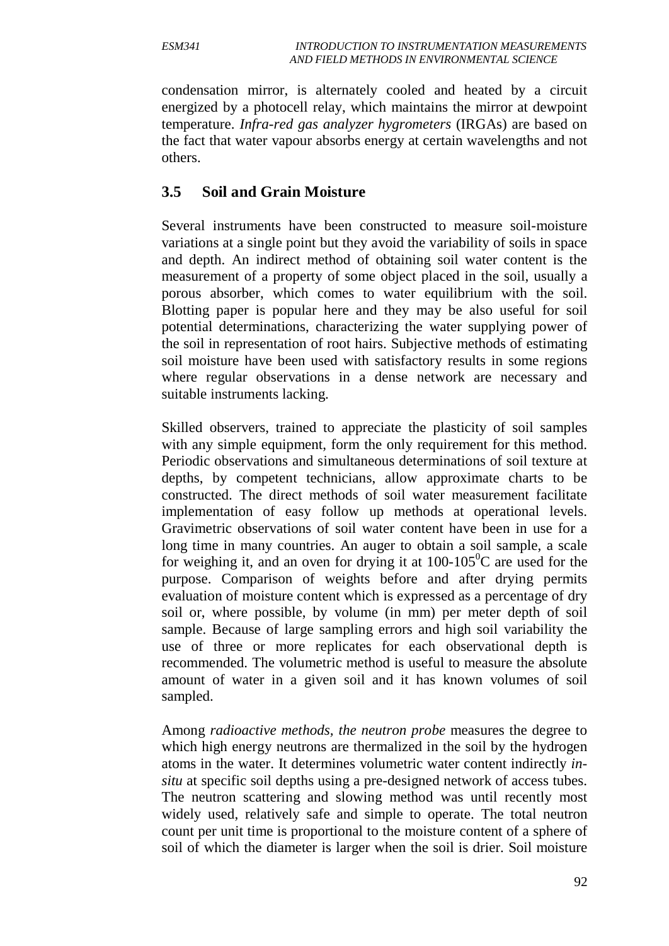condensation mirror, is alternately cooled and heated by a circuit energized by a photocell relay, which maintains the mirror at dewpoint temperature. *Infra-red gas analyzer hygrometers* (IRGAs) are based on the fact that water vapour absorbs energy at certain wavelengths and not others.

### **3.5 Soil and Grain Moisture**

Several instruments have been constructed to measure soil-moisture variations at a single point but they avoid the variability of soils in space and depth. An indirect method of obtaining soil water content is the measurement of a property of some object placed in the soil, usually a porous absorber, which comes to water equilibrium with the soil. Blotting paper is popular here and they may be also useful for soil potential determinations, characterizing the water supplying power of the soil in representation of root hairs. Subjective methods of estimating soil moisture have been used with satisfactory results in some regions where regular observations in a dense network are necessary and suitable instruments lacking.

Skilled observers, trained to appreciate the plasticity of soil samples with any simple equipment, form the only requirement for this method. Periodic observations and simultaneous determinations of soil texture at depths, by competent technicians, allow approximate charts to be constructed. The direct methods of soil water measurement facilitate implementation of easy follow up methods at operational levels. Gravimetric observations of soil water content have been in use for a long time in many countries. An auger to obtain a soil sample, a scale for weighing it, and an oven for drying it at  $100-105^{\circ}$ C are used for the purpose. Comparison of weights before and after drying permits evaluation of moisture content which is expressed as a percentage of dry soil or, where possible, by volume (in mm) per meter depth of soil sample. Because of large sampling errors and high soil variability the use of three or more replicates for each observational depth is recommended. The volumetric method is useful to measure the absolute amount of water in a given soil and it has known volumes of soil sampled.

Among *radioactive methods, the neutron probe* measures the degree to which high energy neutrons are thermalized in the soil by the hydrogen atoms in the water. It determines volumetric water content indirectly *insitu* at specific soil depths using a pre-designed network of access tubes. The neutron scattering and slowing method was until recently most widely used, relatively safe and simple to operate. The total neutron count per unit time is proportional to the moisture content of a sphere of soil of which the diameter is larger when the soil is drier. Soil moisture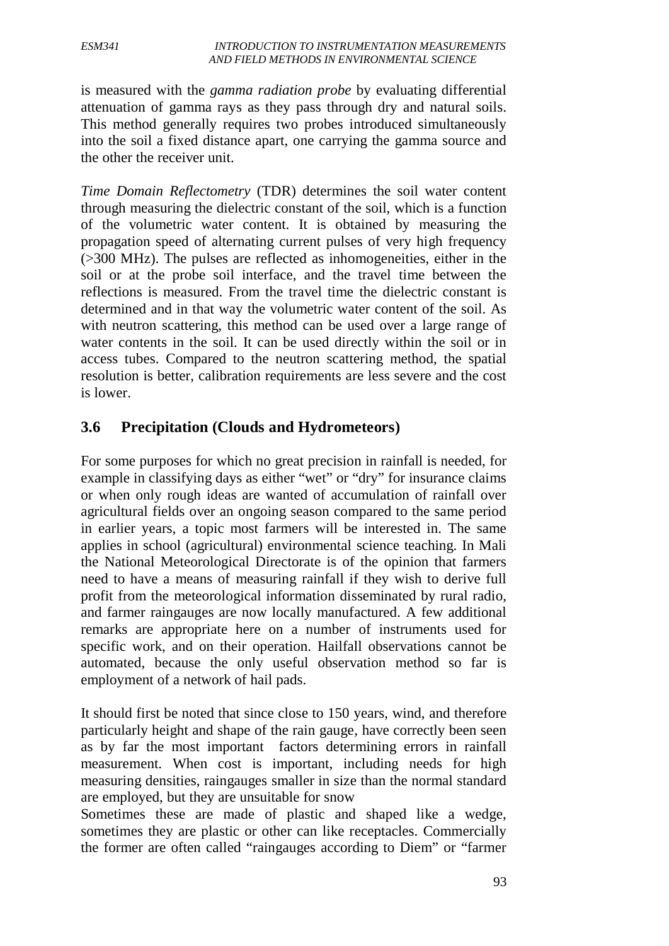is measured with the *gamma radiation probe* by evaluating differential attenuation of gamma rays as they pass through dry and natural soils. This method generally requires two probes introduced simultaneously into the soil a fixed distance apart, one carrying the gamma source and the other the receiver unit.

*Time Domain Reflectometry* (TDR) determines the soil water content through measuring the dielectric constant of the soil, which is a function of the volumetric water content. It is obtained by measuring the propagation speed of alternating current pulses of very high frequency (>300 MHz). The pulses are reflected as inhomogeneities, either in the soil or at the probe soil interface, and the travel time between the reflections is measured. From the travel time the dielectric constant is determined and in that way the volumetric water content of the soil. As with neutron scattering, this method can be used over a large range of water contents in the soil. It can be used directly within the soil or in access tubes. Compared to the neutron scattering method, the spatial resolution is better, calibration requirements are less severe and the cost is lower.

### **3.6 Precipitation (Clouds and Hydrometeors)**

For some purposes for which no great precision in rainfall is needed, for example in classifying days as either "wet" or "dry" for insurance claims or when only rough ideas are wanted of accumulation of rainfall over agricultural fields over an ongoing season compared to the same period in earlier years, a topic most farmers will be interested in. The same applies in school (agricultural) environmental science teaching. In Mali the National Meteorological Directorate is of the opinion that farmers need to have a means of measuring rainfall if they wish to derive full profit from the meteorological information disseminated by rural radio, and farmer raingauges are now locally manufactured. A few additional remarks are appropriate here on a number of instruments used for specific work, and on their operation. Hailfall observations cannot be automated, because the only useful observation method so far is employment of a network of hail pads.

It should first be noted that since close to 150 years, wind, and therefore particularly height and shape of the rain gauge, have correctly been seen as by far the most important factors determining errors in rainfall measurement. When cost is important, including needs for high measuring densities, raingauges smaller in size than the normal standard are employed, but they are unsuitable for snow

Sometimes these are made of plastic and shaped like a wedge, sometimes they are plastic or other can like receptacles. Commercially the former are often called "raingauges according to Diem" or "farmer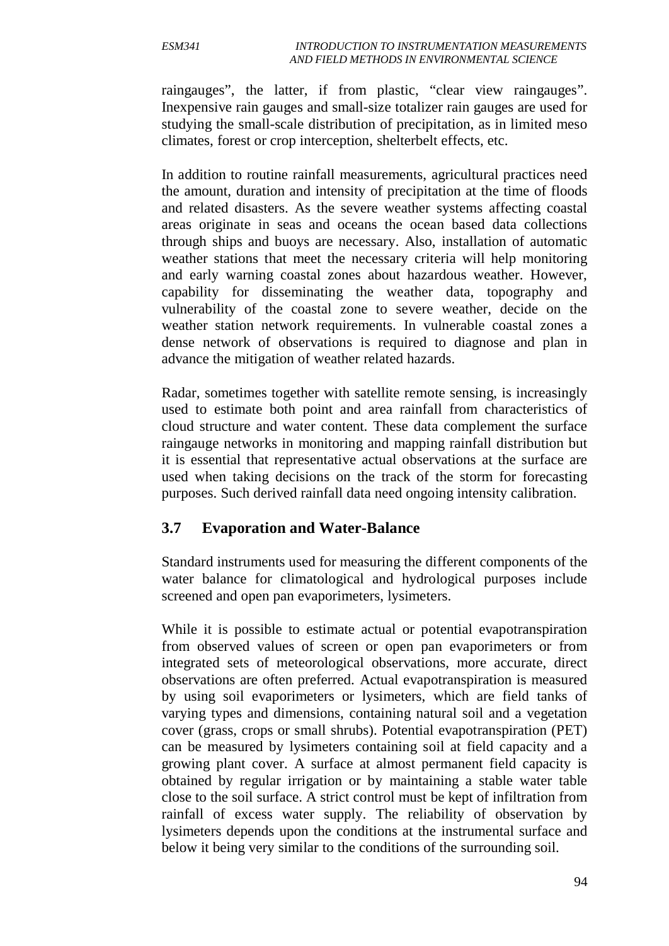raingauges", the latter, if from plastic, "clear view raingauges". Inexpensive rain gauges and small-size totalizer rain gauges are used for studying the small-scale distribution of precipitation, as in limited meso climates, forest or crop interception, shelterbelt effects, etc.

In addition to routine rainfall measurements, agricultural practices need the amount, duration and intensity of precipitation at the time of floods and related disasters. As the severe weather systems affecting coastal areas originate in seas and oceans the ocean based data collections through ships and buoys are necessary. Also, installation of automatic weather stations that meet the necessary criteria will help monitoring and early warning coastal zones about hazardous weather. However, capability for disseminating the weather data, topography and vulnerability of the coastal zone to severe weather, decide on the weather station network requirements. In vulnerable coastal zones a dense network of observations is required to diagnose and plan in advance the mitigation of weather related hazards.

Radar, sometimes together with satellite remote sensing, is increasingly used to estimate both point and area rainfall from characteristics of cloud structure and water content. These data complement the surface raingauge networks in monitoring and mapping rainfall distribution but it is essential that representative actual observations at the surface are used when taking decisions on the track of the storm for forecasting purposes. Such derived rainfall data need ongoing intensity calibration.

### **3.7 Evaporation and Water-Balance**

Standard instruments used for measuring the different components of the water balance for climatological and hydrological purposes include screened and open pan evaporimeters, lysimeters.

While it is possible to estimate actual or potential evapotranspiration from observed values of screen or open pan evaporimeters or from integrated sets of meteorological observations, more accurate, direct observations are often preferred. Actual evapotranspiration is measured by using soil evaporimeters or lysimeters, which are field tanks of varying types and dimensions, containing natural soil and a vegetation cover (grass, crops or small shrubs). Potential evapotranspiration (PET) can be measured by lysimeters containing soil at field capacity and a growing plant cover. A surface at almost permanent field capacity is obtained by regular irrigation or by maintaining a stable water table close to the soil surface. A strict control must be kept of infiltration from rainfall of excess water supply. The reliability of observation by lysimeters depends upon the conditions at the instrumental surface and below it being very similar to the conditions of the surrounding soil.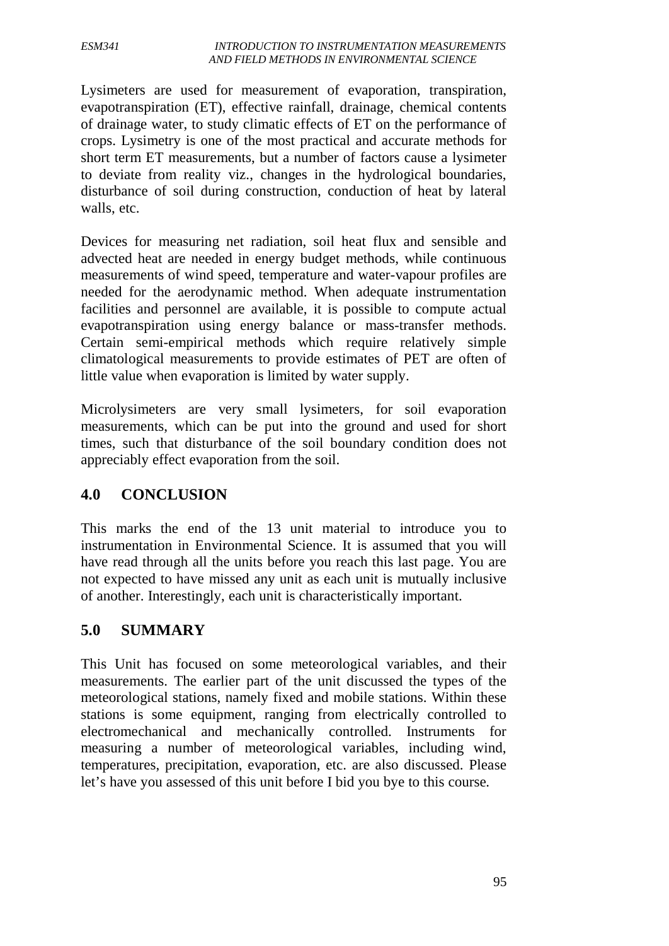#### *ESM341 INTRODUCTION TO INSTRUMENTATION MEASUREMENTS AND FIELD METHODS IN ENVIRONMENTAL SCIENCE*

Lysimeters are used for measurement of evaporation, transpiration, evapotranspiration (ET), effective rainfall, drainage, chemical contents of drainage water, to study climatic effects of ET on the performance of crops. Lysimetry is one of the most practical and accurate methods for short term ET measurements, but a number of factors cause a lysimeter to deviate from reality viz., changes in the hydrological boundaries, disturbance of soil during construction, conduction of heat by lateral walls, etc.

Devices for measuring net radiation, soil heat flux and sensible and advected heat are needed in energy budget methods, while continuous measurements of wind speed, temperature and water-vapour profiles are needed for the aerodynamic method. When adequate instrumentation facilities and personnel are available, it is possible to compute actual evapotranspiration using energy balance or mass-transfer methods. Certain semi-empirical methods which require relatively simple climatological measurements to provide estimates of PET are often of little value when evaporation is limited by water supply.

Microlysimeters are very small lysimeters, for soil evaporation measurements, which can be put into the ground and used for short times, such that disturbance of the soil boundary condition does not appreciably effect evaporation from the soil.

# **4.0 CONCLUSION**

This marks the end of the 13 unit material to introduce you to instrumentation in Environmental Science. It is assumed that you will have read through all the units before you reach this last page. You are not expected to have missed any unit as each unit is mutually inclusive of another. Interestingly, each unit is characteristically important.

### **5.0 SUMMARY**

This Unit has focused on some meteorological variables, and their measurements. The earlier part of the unit discussed the types of the meteorological stations, namely fixed and mobile stations. Within these stations is some equipment, ranging from electrically controlled to electromechanical and mechanically controlled. Instruments for measuring a number of meteorological variables, including wind, temperatures, precipitation, evaporation, etc. are also discussed. Please let's have you assessed of this unit before I bid you bye to this course.